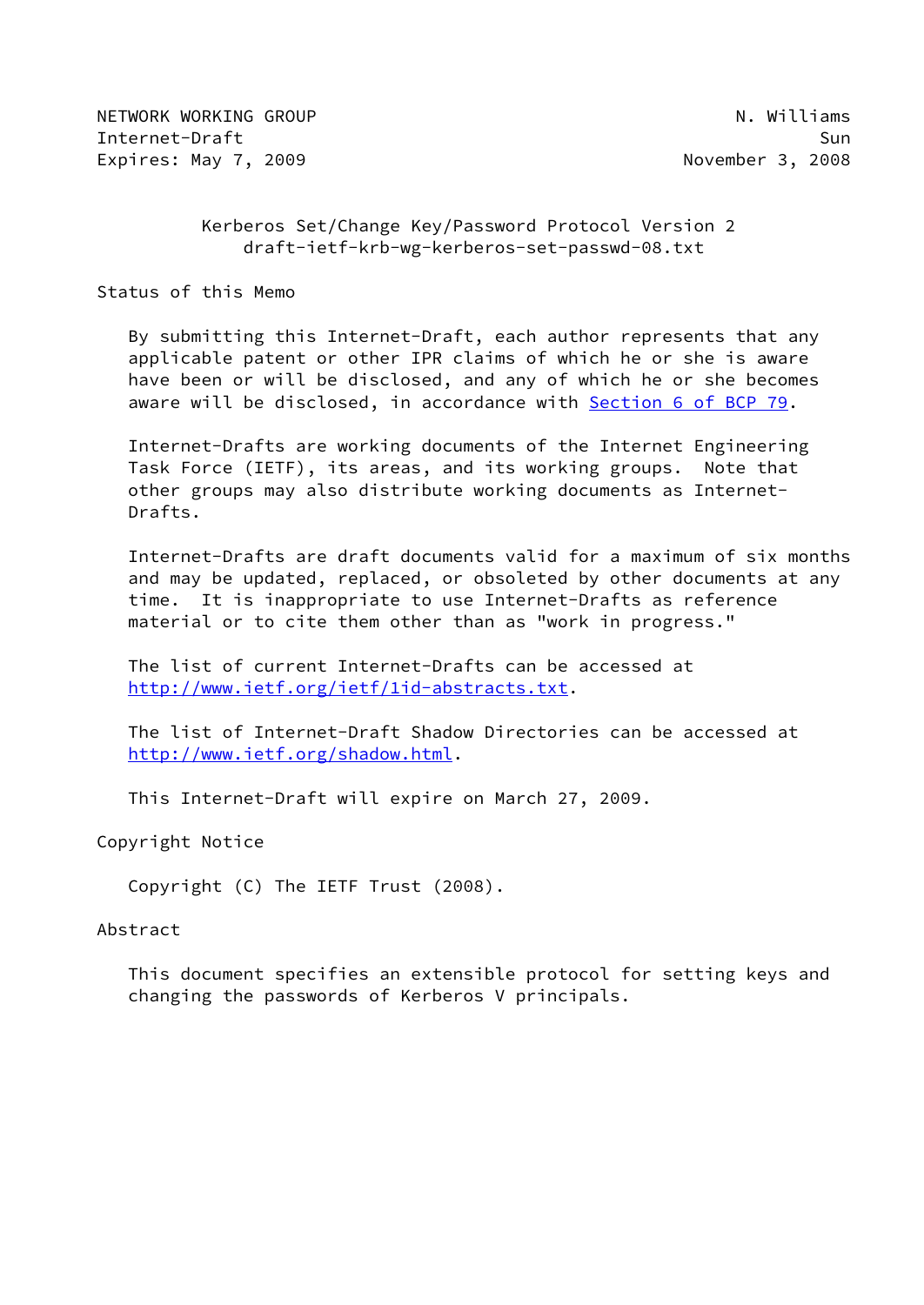NETWORK WORKING GROUP NETWORK WORKING OR UP NOT A WILLIAMS Internet-Draft Sun Expires: May 7, 2009 **November 3, 2008** 

# Kerberos Set/Change Key/Password Protocol Version 2 draft-ietf-krb-wg-kerberos-set-passwd-08.txt

Status of this Memo

 By submitting this Internet-Draft, each author represents that any applicable patent or other IPR claims of which he or she is aware have been or will be disclosed, and any of which he or she becomes aware will be disclosed, in accordance with Section [6 of BCP 79.](https://datatracker.ietf.org/doc/pdf/bcp79#section-6)

 Internet-Drafts are working documents of the Internet Engineering Task Force (IETF), its areas, and its working groups. Note that other groups may also distribute working documents as Internet- Drafts.

 Internet-Drafts are draft documents valid for a maximum of six months and may be updated, replaced, or obsoleted by other documents at any time. It is inappropriate to use Internet-Drafts as reference material or to cite them other than as "work in progress."

 The list of current Internet-Drafts can be accessed at <http://www.ietf.org/ietf/1id-abstracts.txt>.

 The list of Internet-Draft Shadow Directories can be accessed at <http://www.ietf.org/shadow.html>.

This Internet-Draft will expire on March 27, 2009.

Copyright Notice

Copyright (C) The IETF Trust (2008).

#### Abstract

 This document specifies an extensible protocol for setting keys and changing the passwords of Kerberos V principals.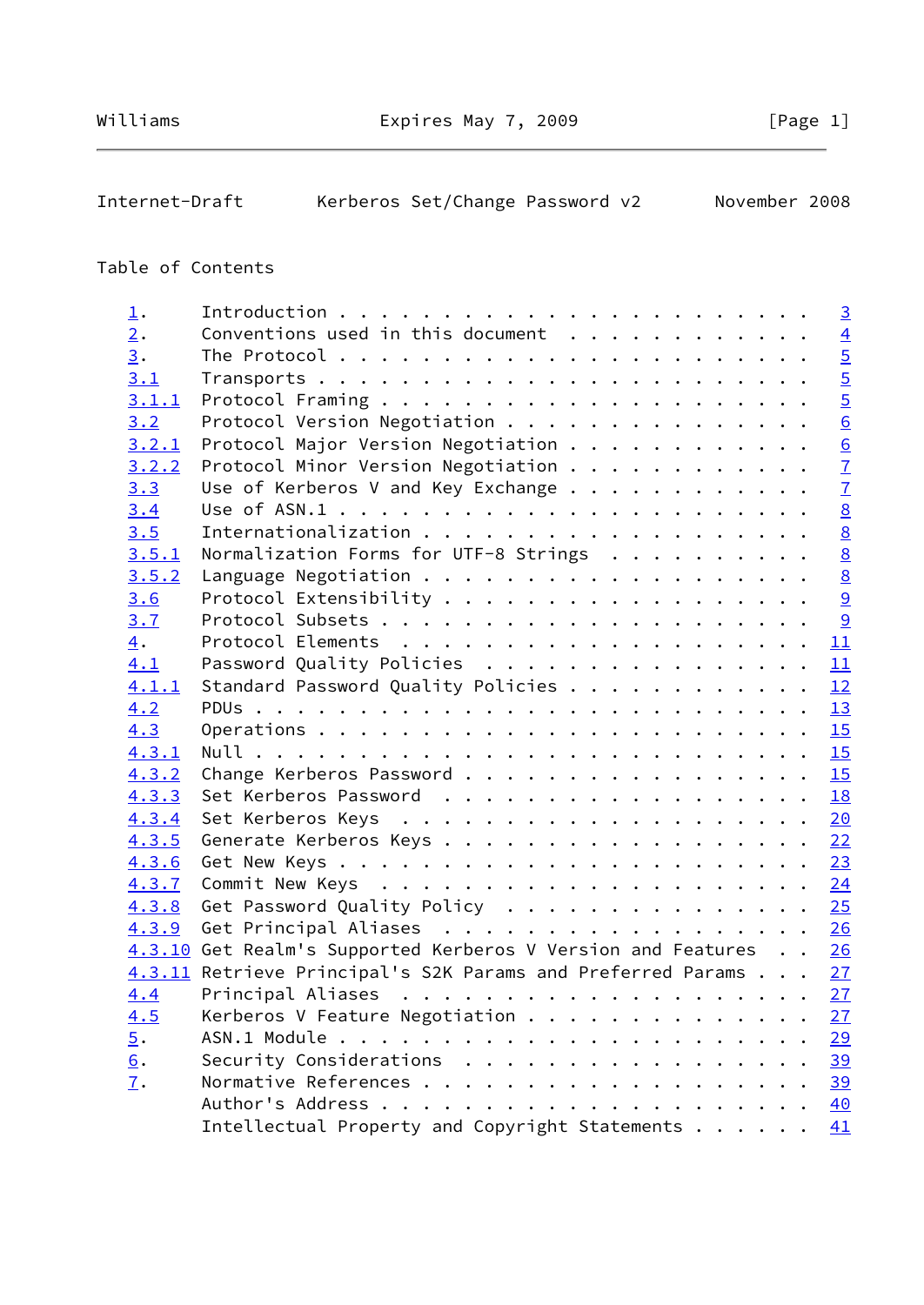Internet-Draft Kerberos Set/Change Password v2 November 2008

# Table of Contents

| $\perp$ .         |                                                                 | $\overline{3}$  |
|-------------------|-----------------------------------------------------------------|-----------------|
| $\overline{2}$ .  | Conventions used in this document $\cdots$                      | $\overline{4}$  |
| $\overline{3}$ .  |                                                                 | $\overline{5}$  |
| 3.1               |                                                                 | $\overline{5}$  |
| 3.1.1             |                                                                 | $\overline{5}$  |
| 3.2               | Protocol Version Negotiation                                    | $\overline{6}$  |
| 3.2.1             | Protocol Major Version Negotiation                              |                 |
| 3.2.2             | Protocol Minor Version Negotiation                              | $\frac{6}{7}$   |
| 3.3               | Use of Kerberos V and Key Exchange                              | $\overline{1}$  |
| 3.4               |                                                                 | $\underline{8}$ |
| 3.5               |                                                                 | $\underline{8}$ |
| 3.5.1             | Normalization Forms for UTF-8 Strings                           | $\underline{8}$ |
| 3.5.2             |                                                                 | $\frac{8}{9}$   |
| 3.6               |                                                                 |                 |
| 3.7               |                                                                 |                 |
| 4.                |                                                                 | 11              |
| 4.1               | Password Quality Policies                                       | 11              |
| 4.1.1             | Standard Password Quality Policies 12                           |                 |
| 4.2               |                                                                 | 13              |
| 4.3               |                                                                 | 15              |
| 4.3.1             |                                                                 |                 |
| 4.3.2             | Change Kerberos Password                                        | 15              |
| 4.3.3             | Set Kerberos Password                                           | 18              |
| 4.3.4             |                                                                 |                 |
| 4.3.5             |                                                                 | 22              |
| 4.3.6             |                                                                 |                 |
| 4.3.7             |                                                                 |                 |
| 4.3.8             | Get Password Quality Policy                                     | 25              |
|                   | 4.3.9 Get Principal Aliases 26                                  |                 |
|                   | 4.3.10 Get Realm's Supported Kerberos V Version and Features 26 |                 |
|                   | 4.3.11 Retrieve Principal's S2K Params and Preferred Params 27  |                 |
| 4.4               |                                                                 |                 |
| 4.5               | Kerberos V Feature Negotiation                                  | <u>27</u>       |
| $\overline{5}$ .  |                                                                 | <u>29</u>       |
| 6.                | Security Considerations                                         | <u>39</u>       |
| $\underline{7}$ . |                                                                 | <u>39</u>       |
|                   | Author's Address<br>.                                           | 40              |
|                   | Intellectual Property and Copyright Statements                  | 41              |
|                   |                                                                 |                 |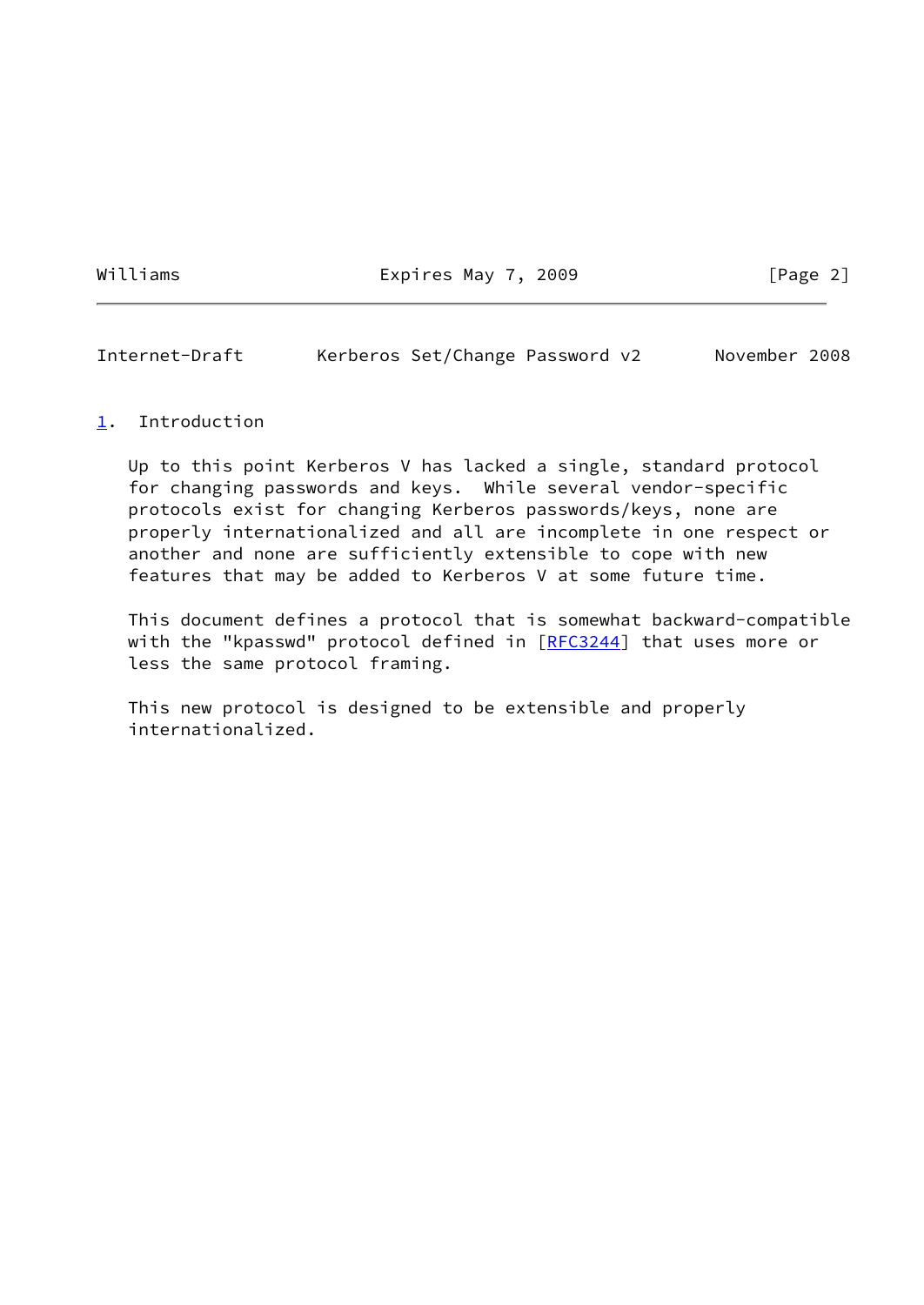Williams **Expires May 7, 2009** [Page 2]

<span id="page-2-1"></span>Internet-Draft Kerberos Set/Change Password v2 November 2008

#### <span id="page-2-0"></span>[1](#page-2-0). Introduction

 Up to this point Kerberos V has lacked a single, standard protocol for changing passwords and keys. While several vendor-specific protocols exist for changing Kerberos passwords/keys, none are properly internationalized and all are incomplete in one respect or another and none are sufficiently extensible to cope with new features that may be added to Kerberos V at some future time.

 This document defines a protocol that is somewhat backward-compatible with the "kpasswd" protocol defined in [\[RFC3244](https://datatracker.ietf.org/doc/pdf/rfc3244)] that uses more or less the same protocol framing.

 This new protocol is designed to be extensible and properly internationalized.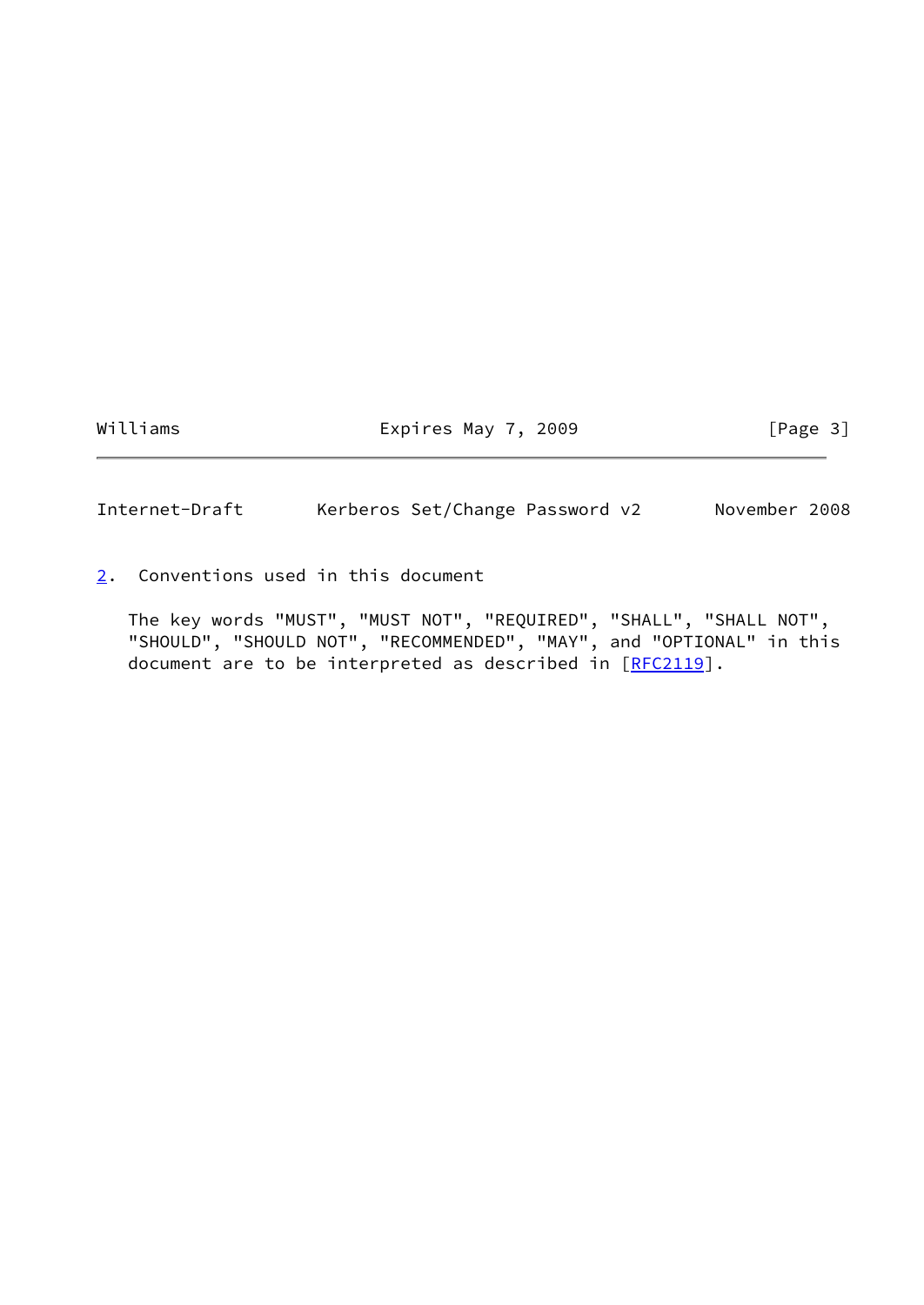Williams **Expires May 7, 2009** [Page 3]

<span id="page-3-1"></span>Internet-Draft Kerberos Set/Change Password v2 November 2008

<span id="page-3-0"></span>[2](#page-3-0). Conventions used in this document

 The key words "MUST", "MUST NOT", "REQUIRED", "SHALL", "SHALL NOT", "SHOULD", "SHOULD NOT", "RECOMMENDED", "MAY", and "OPTIONAL" in this document are to be interpreted as described in [\[RFC2119](https://datatracker.ietf.org/doc/pdf/rfc2119)].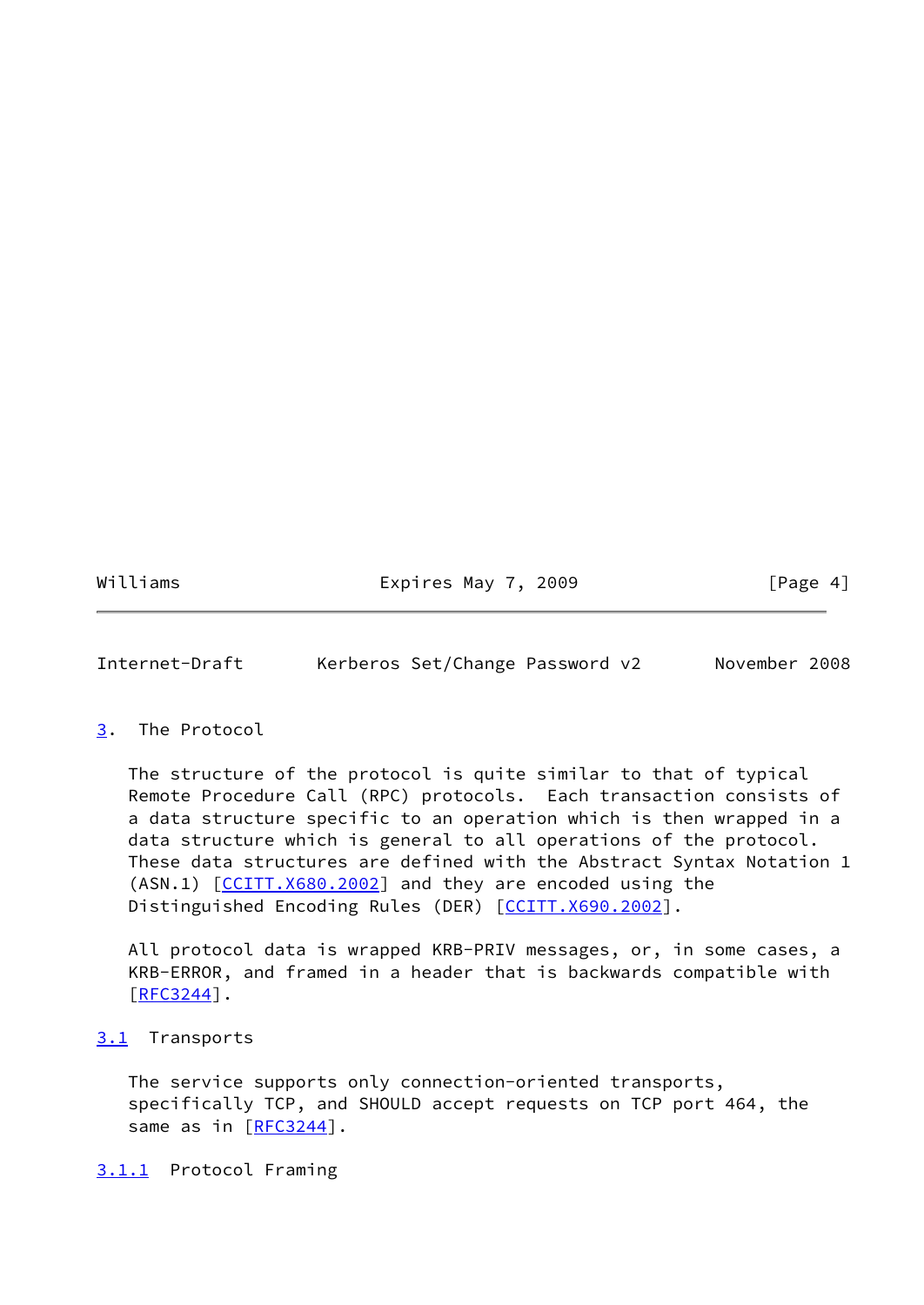Williams **Expires May 7, 2009** [Page 4]

<span id="page-4-1"></span>Internet-Draft Kerberos Set/Change Password v2 November 2008

### <span id="page-4-0"></span>[3](#page-4-0). The Protocol

 The structure of the protocol is quite similar to that of typical Remote Procedure Call (RPC) protocols. Each transaction consists of a data structure specific to an operation which is then wrapped in a data structure which is general to all operations of the protocol. These data structures are defined with the Abstract Syntax Notation 1 (ASN.1) [\[CCITT.X680.2002](#page-43-3)] and they are encoded using the Distinguished Encoding Rules (DER) [[CCITT.X690.2002\]](#page-43-4).

 All protocol data is wrapped KRB-PRIV messages, or, in some cases, a KRB-ERROR, and framed in a header that is backwards compatible with [\[RFC3244](https://datatracker.ietf.org/doc/pdf/rfc3244)].

# <span id="page-4-2"></span>[3.1](#page-4-2) Transports

 The service supports only connection-oriented transports, specifically TCP, and SHOULD accept requests on TCP port 464, the same as in [[RFC3244\]](https://datatracker.ietf.org/doc/pdf/rfc3244).

<span id="page-4-3"></span>[3.1.1](#page-4-3) Protocol Framing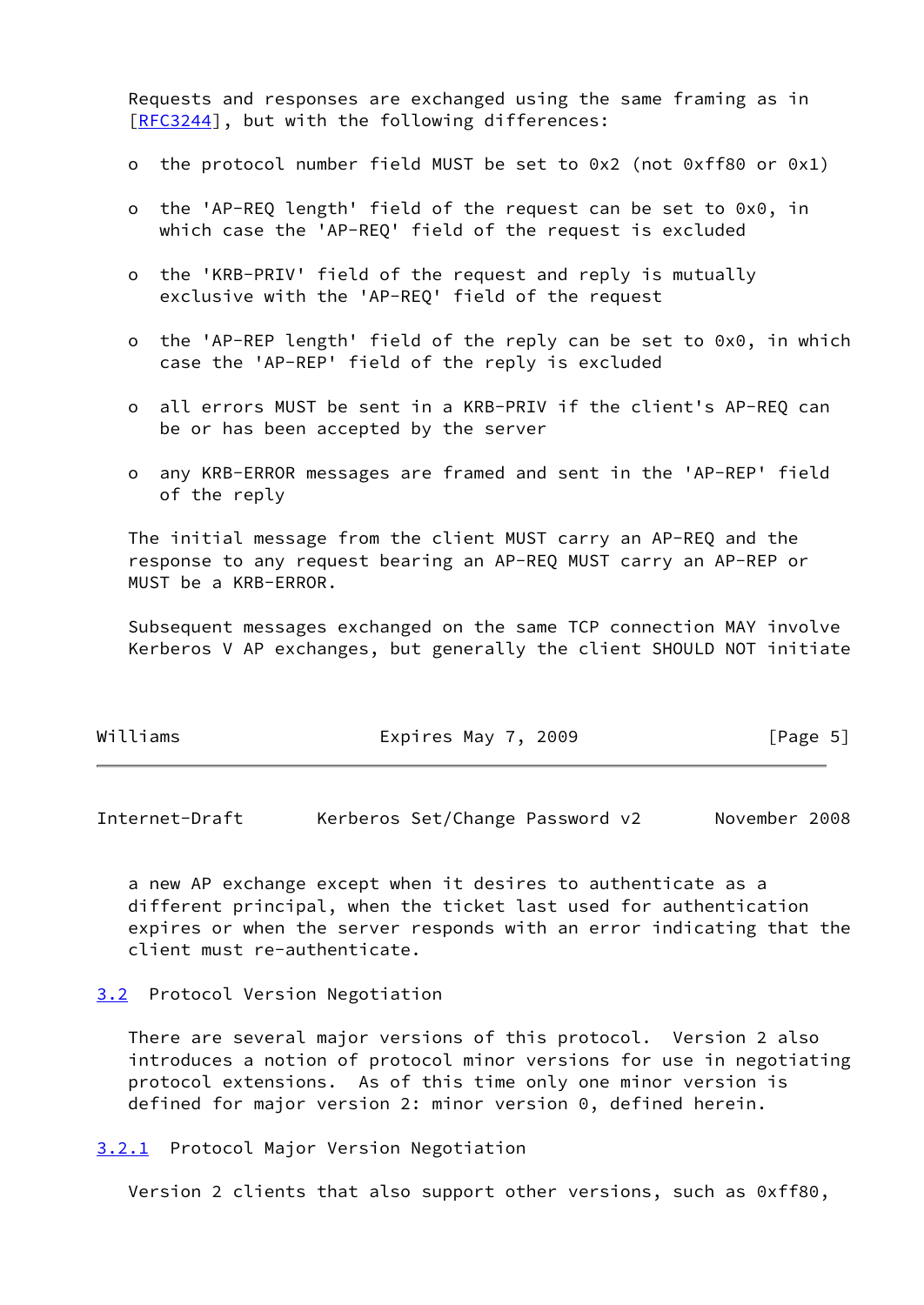Requests and responses are exchanged using the same framing as in [\[RFC3244](https://datatracker.ietf.org/doc/pdf/rfc3244)], but with the following differences:

- o the protocol number field MUST be set to 0x2 (not 0xff80 or 0x1)
- o the 'AP-REQ length' field of the request can be set to 0x0, in which case the 'AP-REO' field of the request is excluded
- o the 'KRB-PRIV' field of the request and reply is mutually exclusive with the 'AP-REQ' field of the request
- o the 'AP-REP length' field of the reply can be set to 0x0, in which case the 'AP-REP' field of the reply is excluded
- o all errors MUST be sent in a KRB-PRIV if the client's AP-REQ can be or has been accepted by the server
- o any KRB-ERROR messages are framed and sent in the 'AP-REP' field of the reply

 The initial message from the client MUST carry an AP-REQ and the response to any request bearing an AP-REQ MUST carry an AP-REP or MUST be a KRB-ERROR.

 Subsequent messages exchanged on the same TCP connection MAY involve Kerberos V AP exchanges, but generally the client SHOULD NOT initiate

| Williams | Expires May 7, 2009 | [Page 5] |  |
|----------|---------------------|----------|--|
|          |                     |          |  |

<span id="page-5-1"></span>Internet-Draft Kerberos Set/Change Password v2 November 2008

 a new AP exchange except when it desires to authenticate as a different principal, when the ticket last used for authentication expires or when the server responds with an error indicating that the client must re-authenticate.

# <span id="page-5-0"></span>[3.2](#page-5-0) Protocol Version Negotiation

 There are several major versions of this protocol. Version 2 also introduces a notion of protocol minor versions for use in negotiating protocol extensions. As of this time only one minor version is defined for major version 2: minor version 0, defined herein.

<span id="page-5-2"></span>[3.2.1](#page-5-2) Protocol Major Version Negotiation

Version 2 clients that also support other versions, such as 0xff80,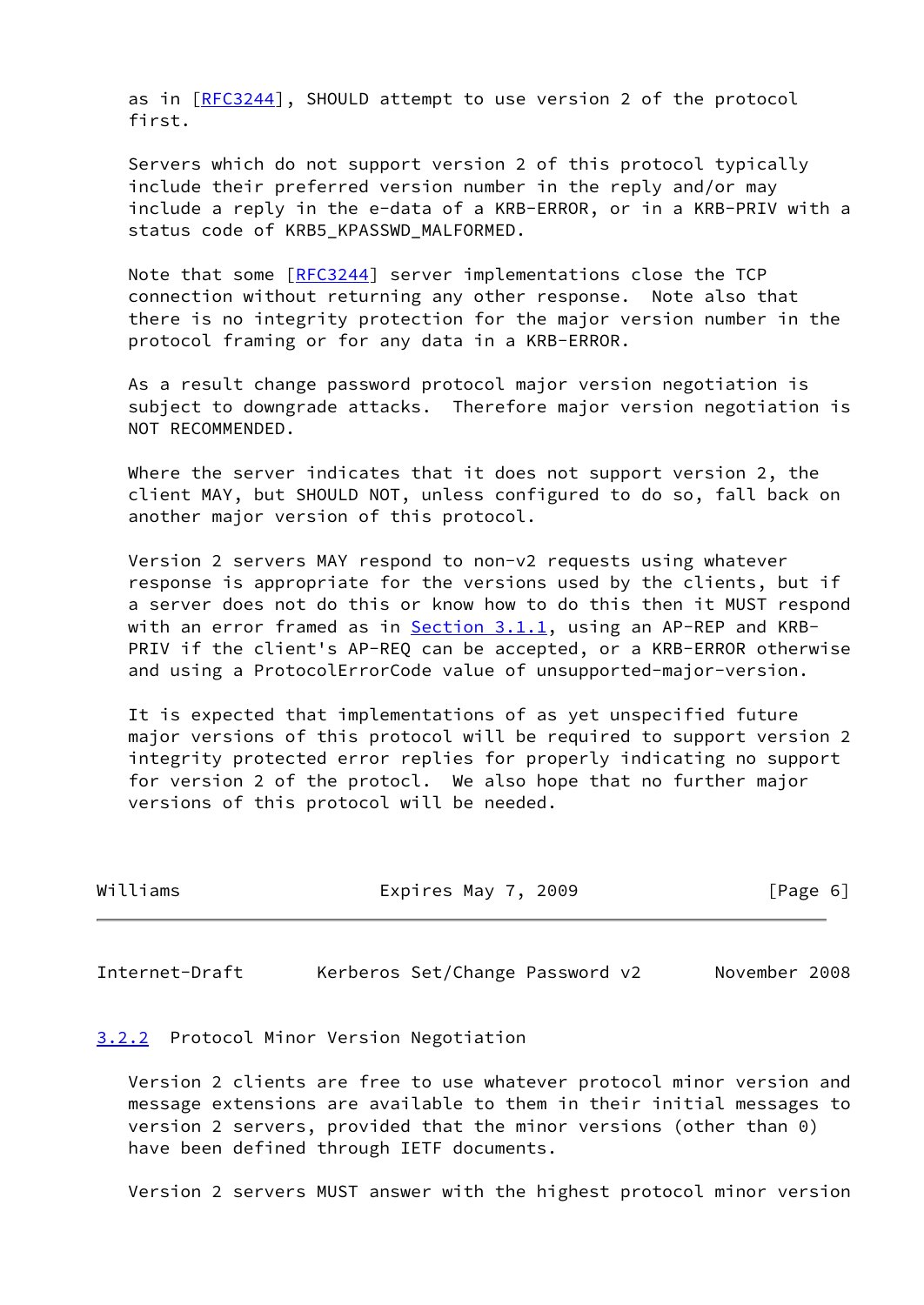as in [[RFC3244](https://datatracker.ietf.org/doc/pdf/rfc3244)], SHOULD attempt to use version 2 of the protocol first.

 Servers which do not support version 2 of this protocol typically include their preferred version number in the reply and/or may include a reply in the e-data of a KRB-ERROR, or in a KRB-PRIV with a status code of KRB5 KPASSWD MALFORMED.

 Note that some [\[RFC3244](https://datatracker.ietf.org/doc/pdf/rfc3244)] server implementations close the TCP connection without returning any other response. Note also that there is no integrity protection for the major version number in the protocol framing or for any data in a KRB-ERROR.

 As a result change password protocol major version negotiation is subject to downgrade attacks. Therefore major version negotiation is NOT RECOMMENDED.

 Where the server indicates that it does not support version 2, the client MAY, but SHOULD NOT, unless configured to do so, fall back on another major version of this protocol.

 Version 2 servers MAY respond to non-v2 requests using whatever response is appropriate for the versions used by the clients, but if a server does not do this or know how to do this then it MUST respond with an error framed as in  $Section 3.1.1$ , using an AP-REP and KRB- PRIV if the client's AP-REQ can be accepted, or a KRB-ERROR otherwise and using a ProtocolErrorCode value of unsupported-major-version.

 It is expected that implementations of as yet unspecified future major versions of this protocol will be required to support version 2 integrity protected error replies for properly indicating no support for version 2 of the protocl. We also hope that no further major versions of this protocol will be needed.

| Williams | Expires May 7, 2009 | [Page 6] |
|----------|---------------------|----------|
|----------|---------------------|----------|

<span id="page-6-1"></span>Internet-Draft Kerberos Set/Change Password v2 November 2008

# <span id="page-6-0"></span>[3.2.2](#page-6-0) Protocol Minor Version Negotiation

 Version 2 clients are free to use whatever protocol minor version and message extensions are available to them in their initial messages to version 2 servers, provided that the minor versions (other than 0) have been defined through IETF documents.

Version 2 servers MUST answer with the highest protocol minor version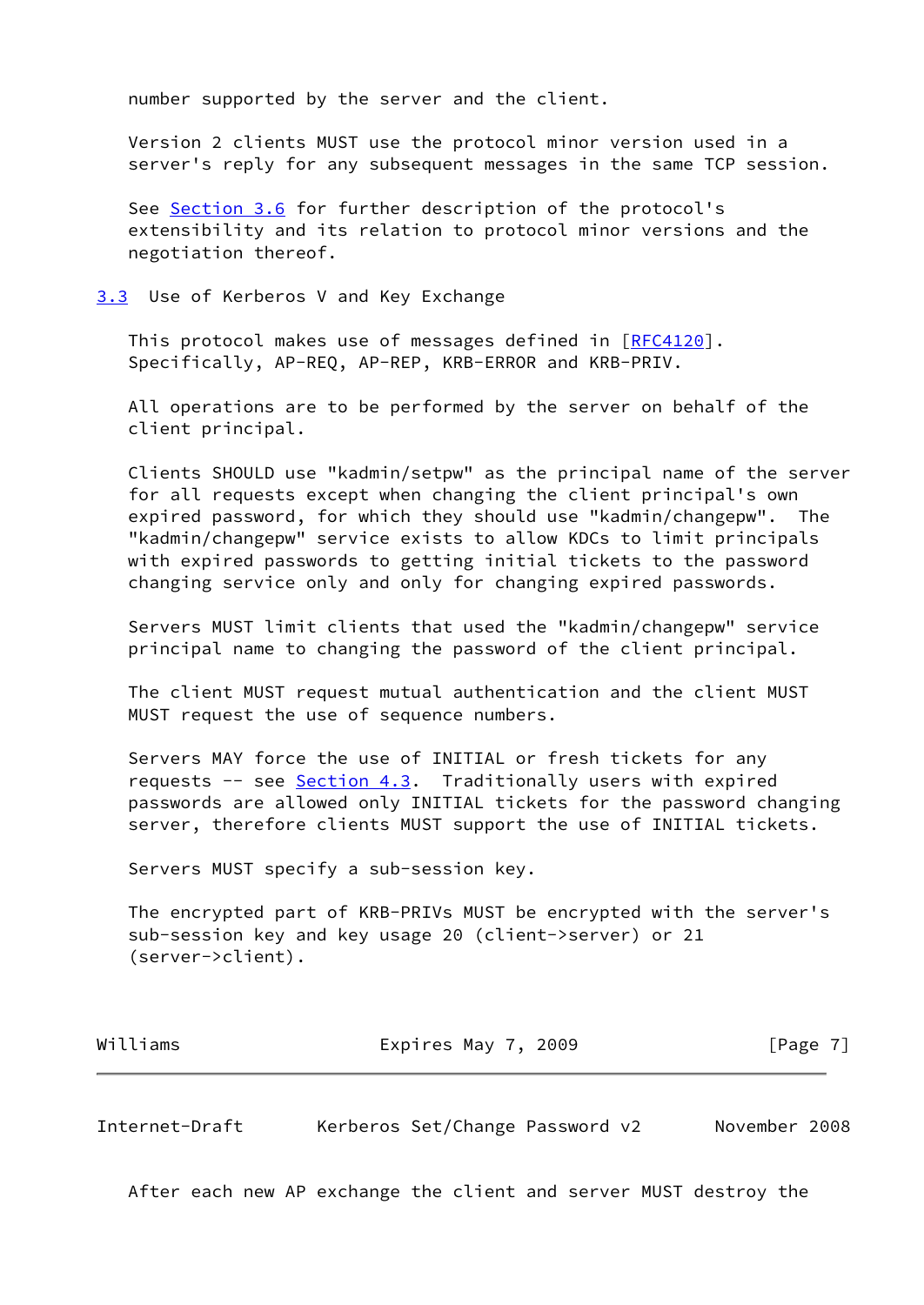number supported by the server and the client.

 Version 2 clients MUST use the protocol minor version used in a server's reply for any subsequent messages in the same TCP session.

 See [Section 3.6](#page-9-0) for further description of the protocol's extensibility and its relation to protocol minor versions and the negotiation thereof.

<span id="page-7-0"></span>[3.3](#page-7-0) Use of Kerberos V and Key Exchange

This protocol makes use of messages defined in [\[RFC4120](https://datatracker.ietf.org/doc/pdf/rfc4120)]. Specifically, AP-REQ, AP-REP, KRB-ERROR and KRB-PRIV.

 All operations are to be performed by the server on behalf of the client principal.

 Clients SHOULD use "kadmin/setpw" as the principal name of the server for all requests except when changing the client principal's own expired password, for which they should use "kadmin/changepw". The "kadmin/changepw" service exists to allow KDCs to limit principals with expired passwords to getting initial tickets to the password changing service only and only for changing expired passwords.

 Servers MUST limit clients that used the "kadmin/changepw" service principal name to changing the password of the client principal.

 The client MUST request mutual authentication and the client MUST MUST request the use of sequence numbers.

 Servers MAY force the use of INITIAL or fresh tickets for any requests -- see [Section 4.3](#page-16-0). Traditionally users with expired passwords are allowed only INITIAL tickets for the password changing server, therefore clients MUST support the use of INITIAL tickets.

Servers MUST specify a sub-session key.

 The encrypted part of KRB-PRIVs MUST be encrypted with the server's sub-session key and key usage 20 (client->server) or 21 (server->client).

| Williams | Expires May 7, 2009 | [Page 7] |
|----------|---------------------|----------|
|----------|---------------------|----------|

<span id="page-7-1"></span>Internet-Draft Kerberos Set/Change Password v2 November 2008

After each new AP exchange the client and server MUST destroy the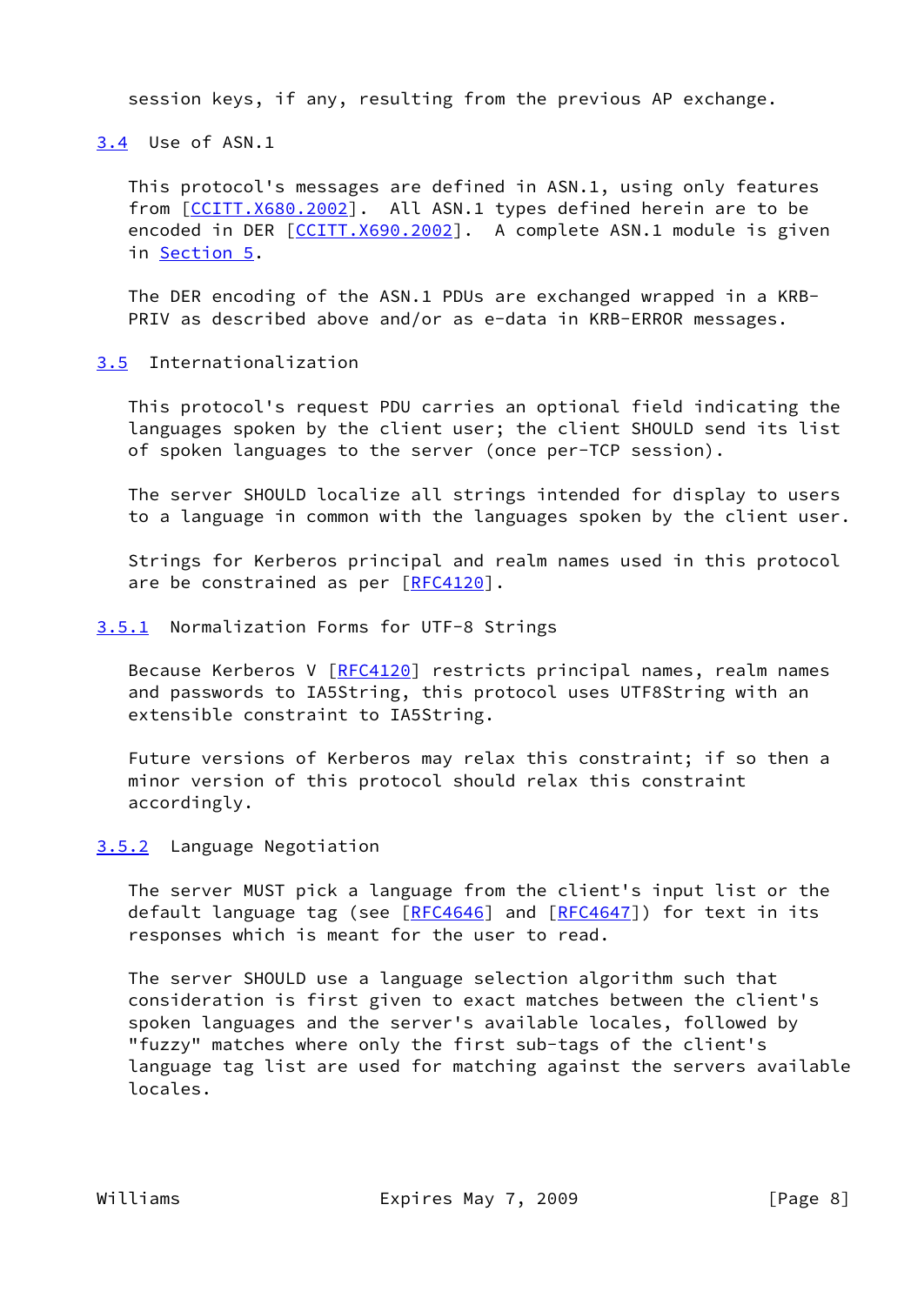session keys, if any, resulting from the previous AP exchange.

<span id="page-8-0"></span>[3.4](#page-8-0) Use of ASN.1

 This protocol's messages are defined in ASN.1, using only features from [\[CCITT.X680.2002](#page-43-3)]. All ASN.1 types defined herein are to be encoded in DER [\[CCITT.X690.2002](#page-43-4)]. A complete ASN.1 module is given in [Section 5.](#page-31-0)

 The DER encoding of the ASN.1 PDUs are exchanged wrapped in a KRB- PRIV as described above and/or as e-data in KRB-ERROR messages.

<span id="page-8-1"></span>[3.5](#page-8-1) Internationalization

 This protocol's request PDU carries an optional field indicating the languages spoken by the client user; the client SHOULD send its list of spoken languages to the server (once per-TCP session).

 The server SHOULD localize all strings intended for display to users to a language in common with the languages spoken by the client user.

 Strings for Kerberos principal and realm names used in this protocol are be constrained as per [[RFC4120](https://datatracker.ietf.org/doc/pdf/rfc4120)].

<span id="page-8-2"></span>[3.5.1](#page-8-2) Normalization Forms for UTF-8 Strings

Because Kerberos V [[RFC4120\]](https://datatracker.ietf.org/doc/pdf/rfc4120) restricts principal names, realm names and passwords to IA5String, this protocol uses UTF8String with an extensible constraint to IA5String.

 Future versions of Kerberos may relax this constraint; if so then a minor version of this protocol should relax this constraint accordingly.

<span id="page-8-3"></span>[3.5.2](#page-8-3) Language Negotiation

 The server MUST pick a language from the client's input list or the default language tag (see [[RFC4646](https://datatracker.ietf.org/doc/pdf/rfc4646)] and [\[RFC4647](https://datatracker.ietf.org/doc/pdf/rfc4647)]) for text in its responses which is meant for the user to read.

 The server SHOULD use a language selection algorithm such that consideration is first given to exact matches between the client's spoken languages and the server's available locales, followed by "fuzzy" matches where only the first sub-tags of the client's language tag list are used for matching against the servers available locales.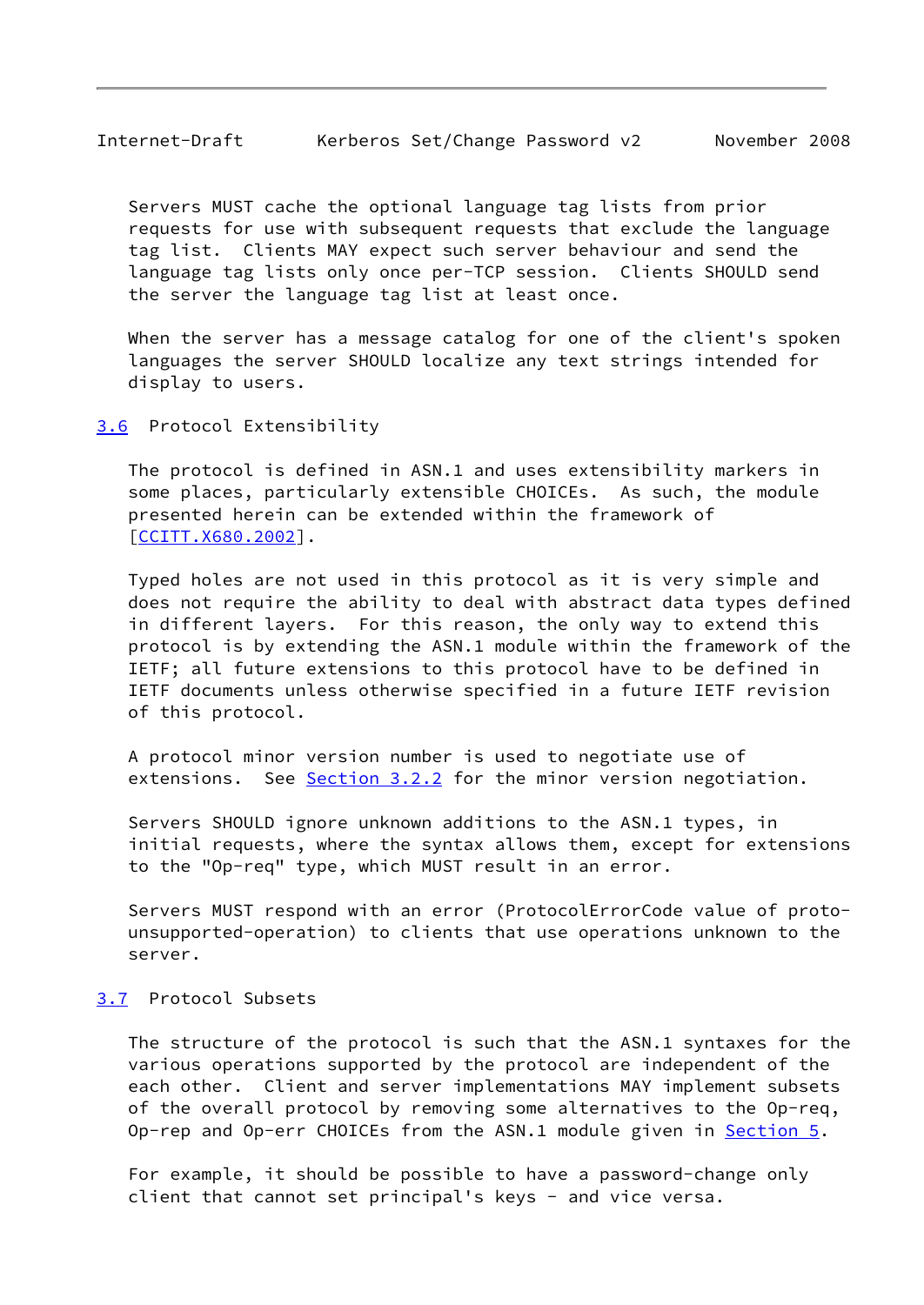<span id="page-9-1"></span> Servers MUST cache the optional language tag lists from prior requests for use with subsequent requests that exclude the language tag list. Clients MAY expect such server behaviour and send the language tag lists only once per-TCP session. Clients SHOULD send the server the language tag list at least once.

 When the server has a message catalog for one of the client's spoken languages the server SHOULD localize any text strings intended for display to users.

<span id="page-9-0"></span>[3.6](#page-9-0) Protocol Extensibility

 The protocol is defined in ASN.1 and uses extensibility markers in some places, particularly extensible CHOICEs. As such, the module presented herein can be extended within the framework of [\[CCITT.X680.2002](#page-43-3)].

 Typed holes are not used in this protocol as it is very simple and does not require the ability to deal with abstract data types defined in different layers. For this reason, the only way to extend this protocol is by extending the ASN.1 module within the framework of the IETF; all future extensions to this protocol have to be defined in IETF documents unless otherwise specified in a future IETF revision of this protocol.

 A protocol minor version number is used to negotiate use of extensions. See [Section 3.2.2](#page-6-0) for the minor version negotiation.

 Servers SHOULD ignore unknown additions to the ASN.1 types, in initial requests, where the syntax allows them, except for extensions to the "Op-req" type, which MUST result in an error.

 Servers MUST respond with an error (ProtocolErrorCode value of proto unsupported-operation) to clients that use operations unknown to the server.

# <span id="page-9-2"></span>[3.7](#page-9-2) Protocol Subsets

 The structure of the protocol is such that the ASN.1 syntaxes for the various operations supported by the protocol are independent of the each other. Client and server implementations MAY implement subsets of the overall protocol by removing some alternatives to the Op-req, Op-rep and Op-err CHOICEs from the ASN.1 module given in [Section 5](#page-31-0).

 For example, it should be possible to have a password-change only client that cannot set principal's keys - and vice versa.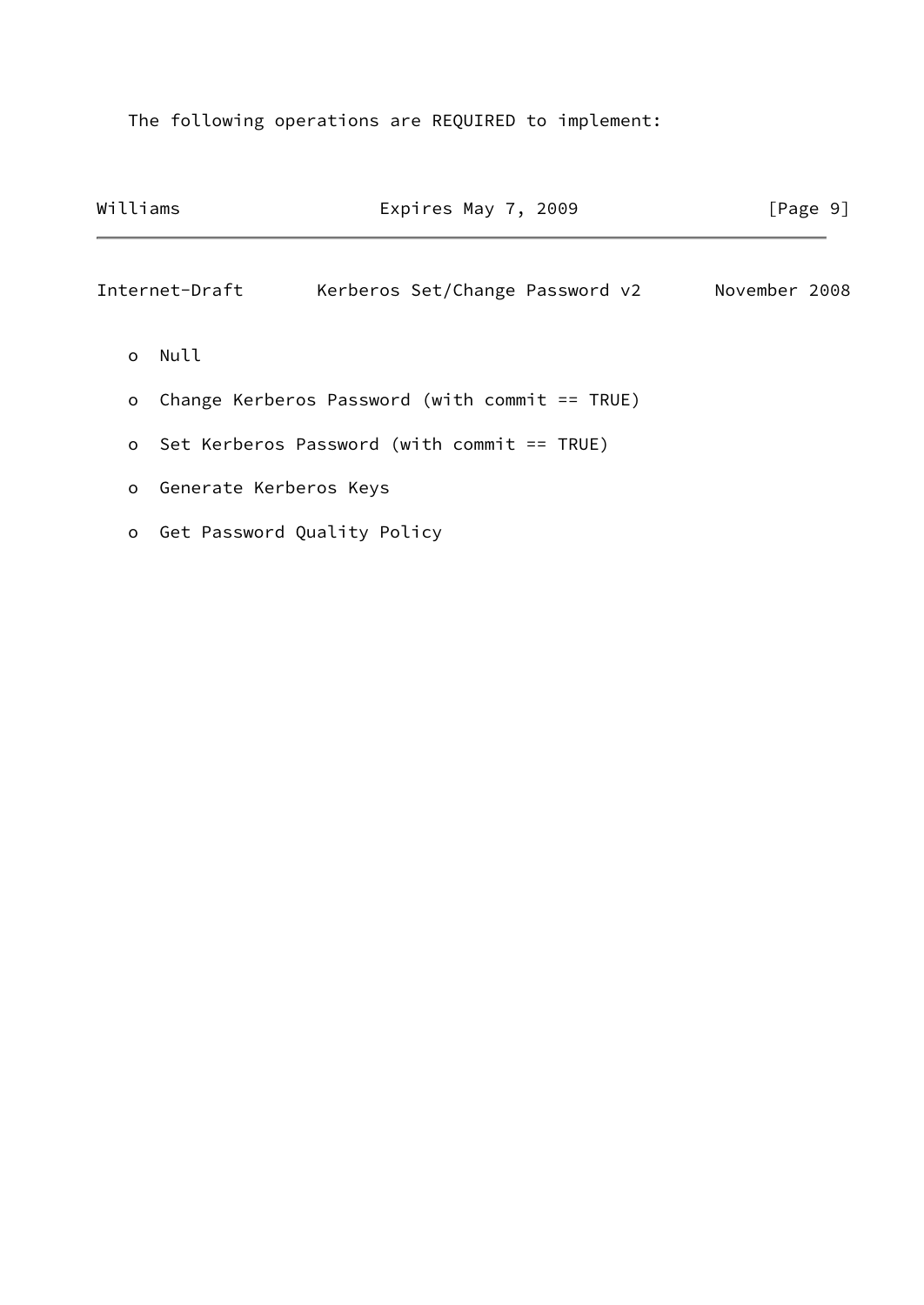The following operations are REQUIRED to implement:

| Williams |                          | Expires May 7, 2009                              | [Page 9]      |  |
|----------|--------------------------|--------------------------------------------------|---------------|--|
|          | Internet-Draft           | Kerberos Set/Change Password v2                  | November 2008 |  |
| $\Omega$ | Null                     |                                                  |               |  |
| $\circ$  |                          | Change Kerberos Password (with commit $==$ TRUE) |               |  |
|          |                          | o Set Kerberos Password (with commit == TRUE)    |               |  |
|          | o Generate Kerberos Keys |                                                  |               |  |
| $\circ$  |                          | Get Password Quality Policy                      |               |  |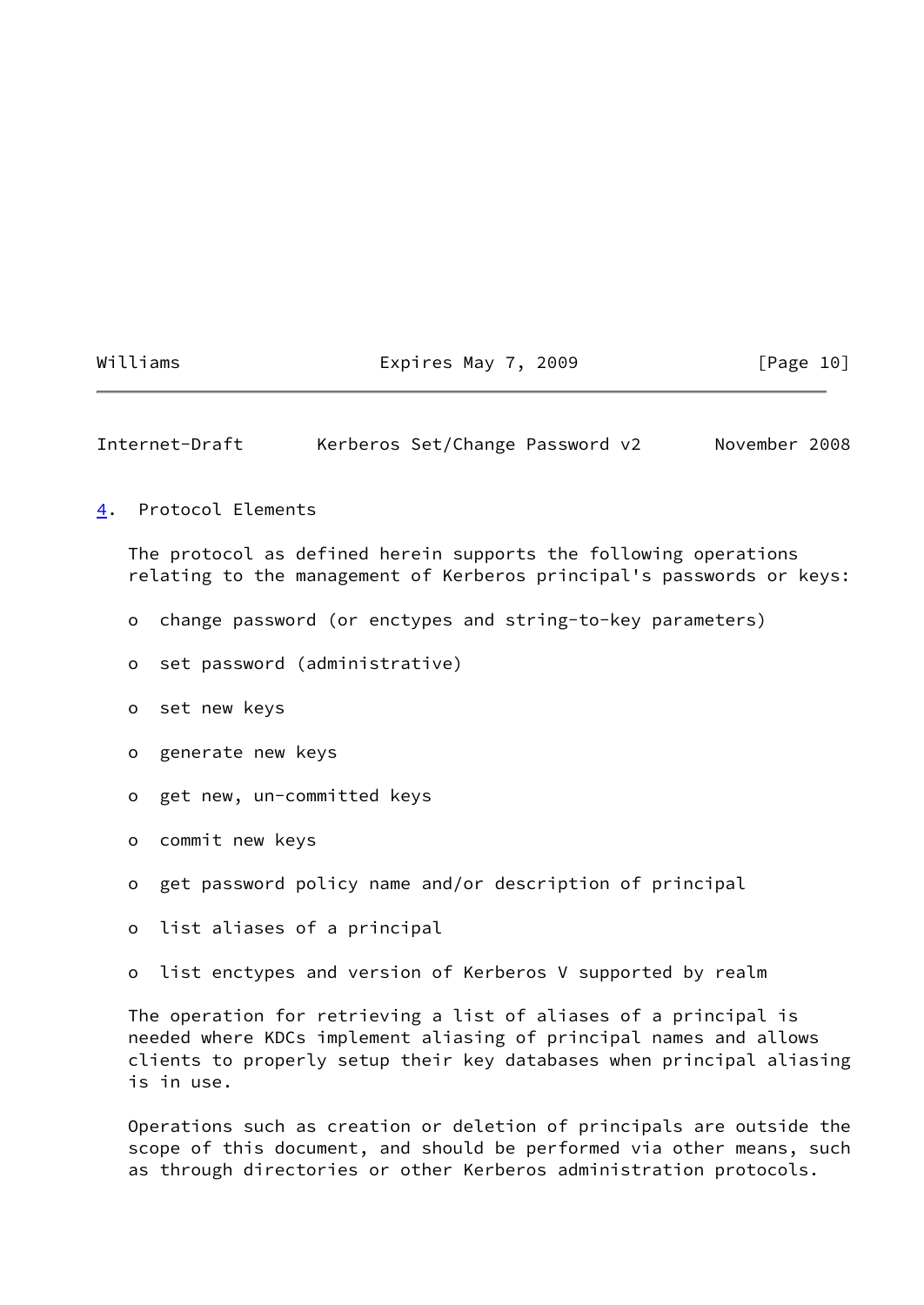# Williams **Expires May 7, 2009** [Page 10]

<span id="page-11-1"></span>Internet-Draft Kerberos Set/Change Password v2 November 2008

### <span id="page-11-0"></span>[4](#page-11-0). Protocol Elements

 The protocol as defined herein supports the following operations relating to the management of Kerberos principal's passwords or keys:

- o change password (or enctypes and string-to-key parameters)
- o set password (administrative)
- o set new keys
- o generate new keys
- o get new, un-committed keys
- o commit new keys
- o get password policy name and/or description of principal
- o list aliases of a principal
- o list enctypes and version of Kerberos V supported by realm

 The operation for retrieving a list of aliases of a principal is needed where KDCs implement aliasing of principal names and allows clients to properly setup their key databases when principal aliasing is in use.

 Operations such as creation or deletion of principals are outside the scope of this document, and should be performed via other means, such as through directories or other Kerberos administration protocols.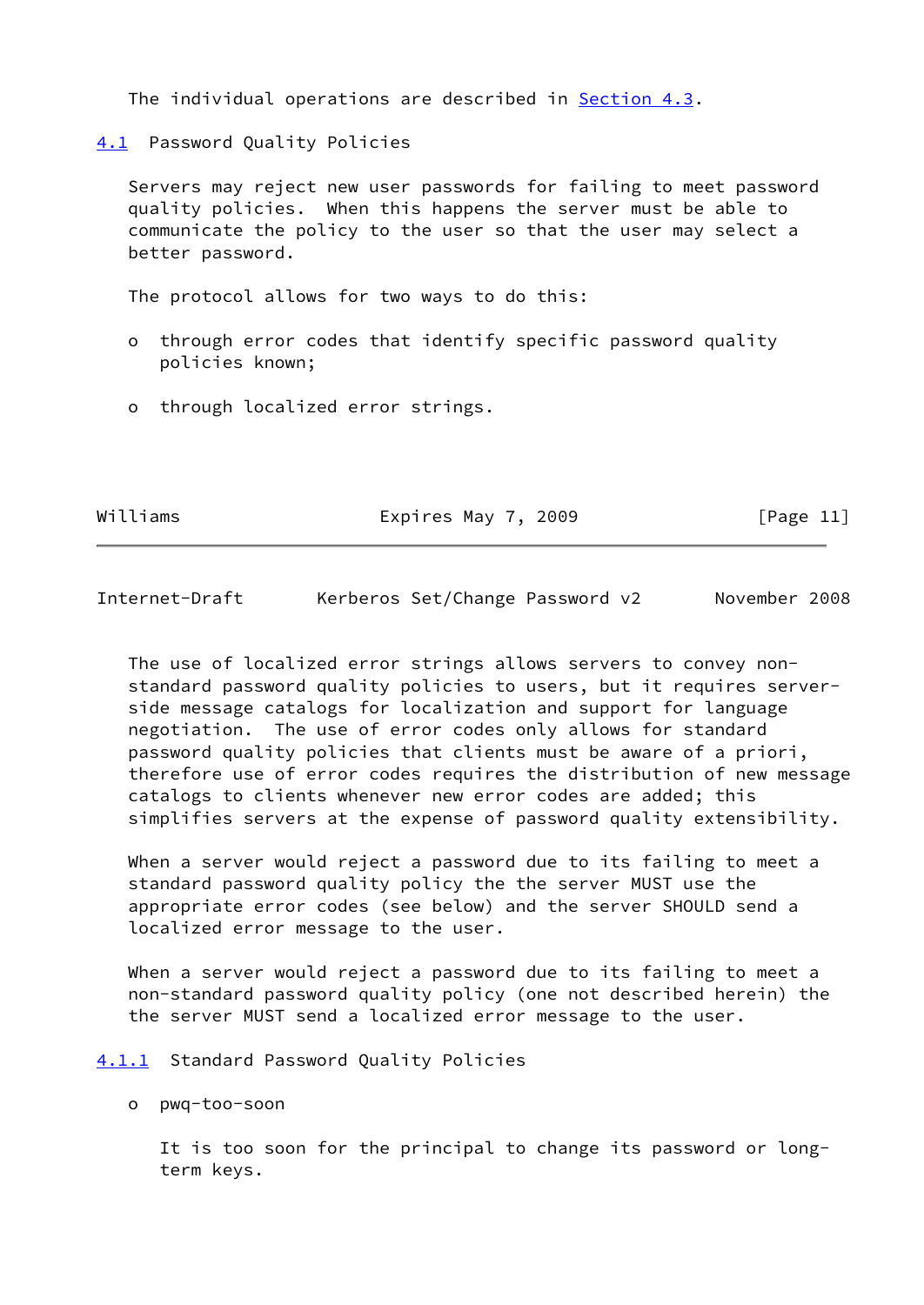The individual operations are described in [Section 4.3](#page-16-0).

<span id="page-12-0"></span>[4.1](#page-12-0) Password Quality Policies

 Servers may reject new user passwords for failing to meet password quality policies. When this happens the server must be able to communicate the policy to the user so that the user may select a better password.

The protocol allows for two ways to do this:

- o through error codes that identify specific password quality policies known;
- o through localized error strings.

Williams **Expires May 7, 2009** [Page 11]

<span id="page-12-2"></span>Internet-Draft Kerberos Set/Change Password v2 November 2008

 The use of localized error strings allows servers to convey non standard password quality policies to users, but it requires server side message catalogs for localization and support for language negotiation. The use of error codes only allows for standard password quality policies that clients must be aware of a priori, therefore use of error codes requires the distribution of new message catalogs to clients whenever new error codes are added; this simplifies servers at the expense of password quality extensibility.

When a server would reject a password due to its failing to meet a standard password quality policy the the server MUST use the appropriate error codes (see below) and the server SHOULD send a localized error message to the user.

 When a server would reject a password due to its failing to meet a non-standard password quality policy (one not described herein) the the server MUST send a localized error message to the user.

#### <span id="page-12-1"></span>[4.1.1](#page-12-1) Standard Password Quality Policies

o pwq-too-soon

 It is too soon for the principal to change its password or long term keys.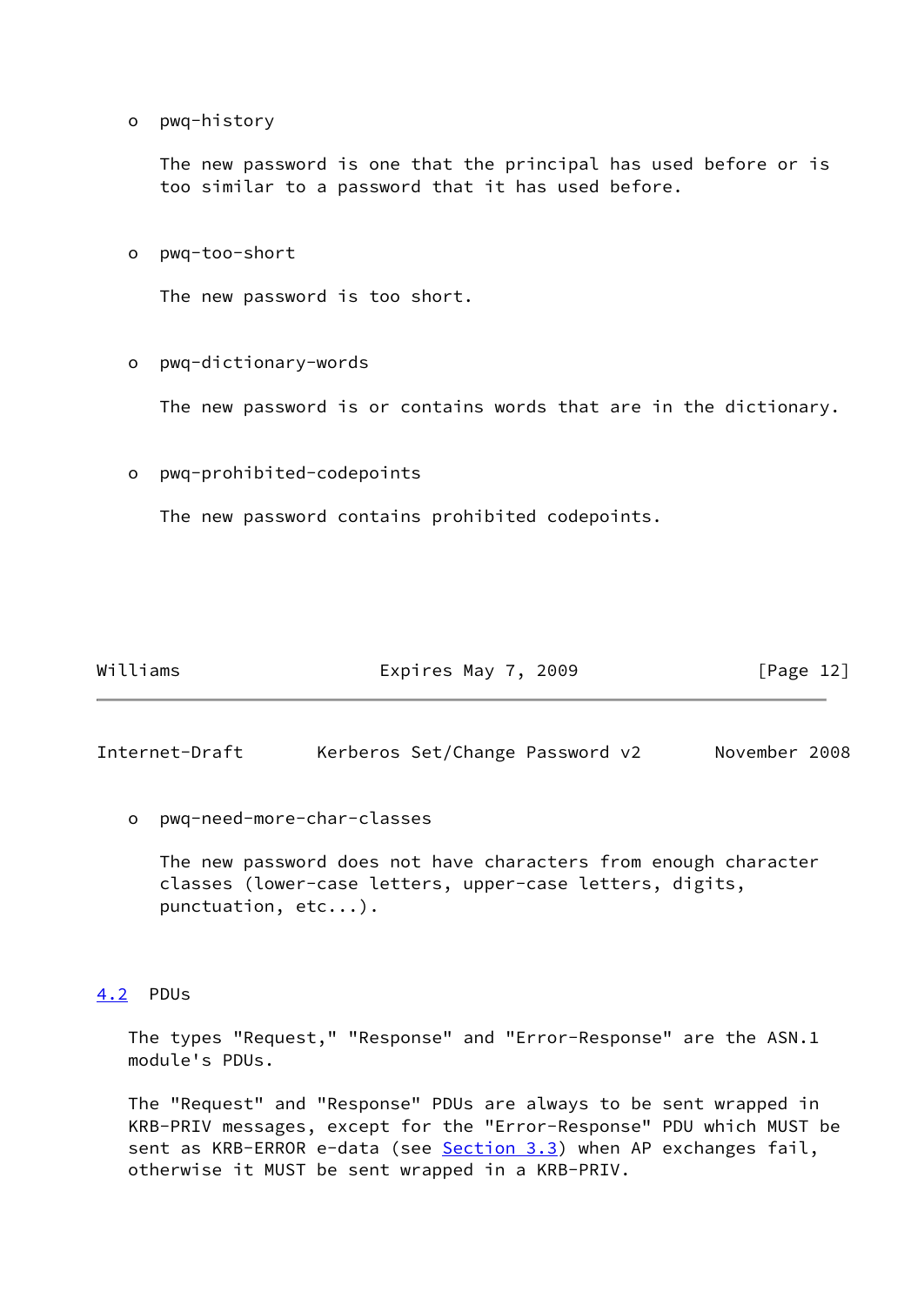o pwq-history

 The new password is one that the principal has used before or is too similar to a password that it has used before.

o pwq-too-short

The new password is too short.

# o pwq-dictionary-words

The new password is or contains words that are in the dictionary.

o pwq-prohibited-codepoints

The new password contains prohibited codepoints.

| Williams | Expires May 7, 2009 | [Page 12] |
|----------|---------------------|-----------|
|----------|---------------------|-----------|

<span id="page-13-1"></span>Internet-Draft Kerberos Set/Change Password v2 November 2008

o pwq-need-more-char-classes

 The new password does not have characters from enough character classes (lower-case letters, upper-case letters, digits, punctuation, etc...).

### <span id="page-13-0"></span>[4.2](#page-13-0) PDUs

 The types "Request," "Response" and "Error-Response" are the ASN.1 module's PDUs.

 The "Request" and "Response" PDUs are always to be sent wrapped in KRB-PRIV messages, except for the "Error-Response" PDU which MUST be sent as KRB-ERROR e-data (see [Section 3.3](#page-7-0)) when AP exchanges fail, otherwise it MUST be sent wrapped in a KRB-PRIV.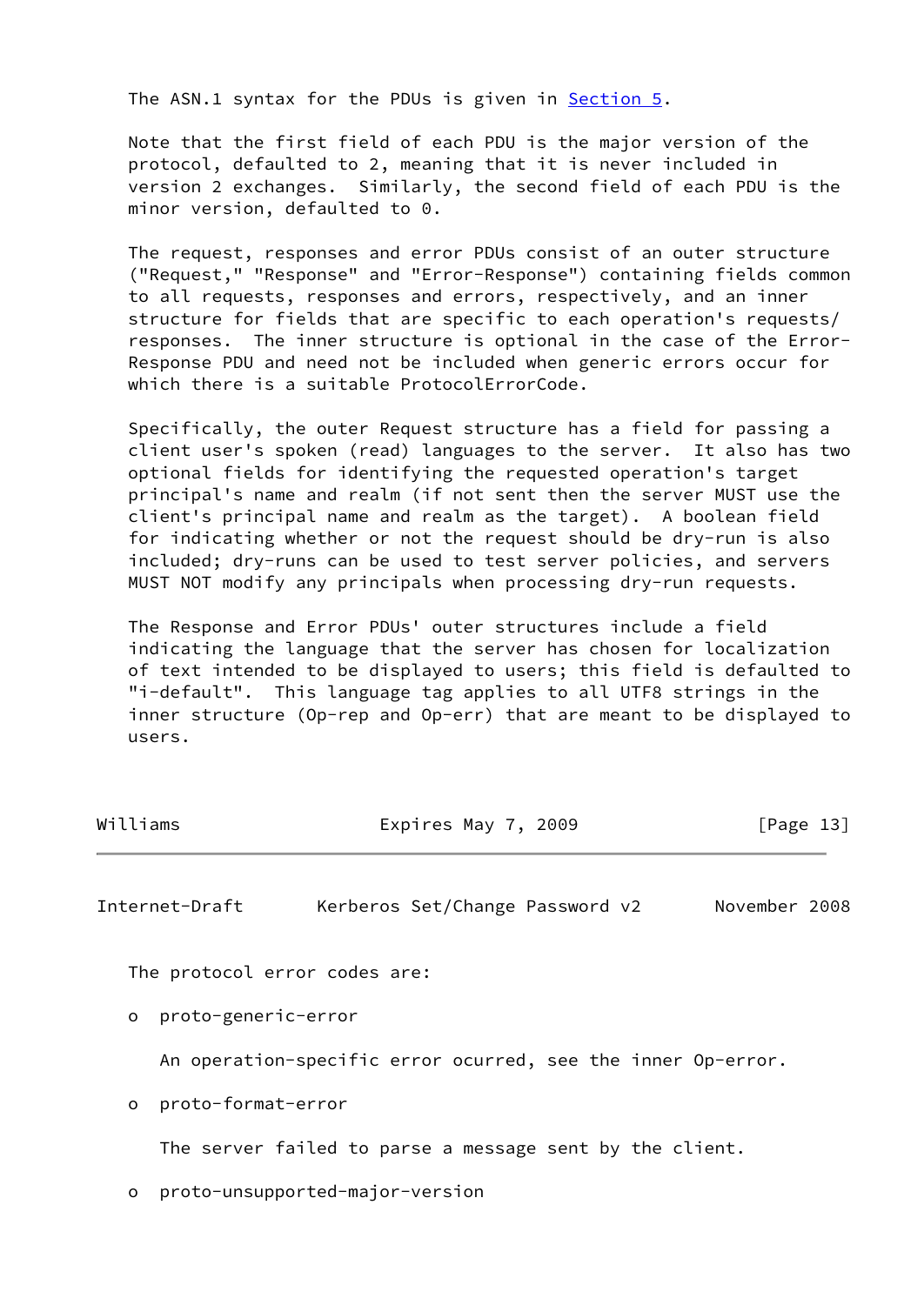The ASN.1 syntax for the PDUs is given in [Section 5.](#page-31-0)

 Note that the first field of each PDU is the major version of the protocol, defaulted to 2, meaning that it is never included in version 2 exchanges. Similarly, the second field of each PDU is the minor version, defaulted to 0.

 The request, responses and error PDUs consist of an outer structure ("Request," "Response" and "Error-Response") containing fields common to all requests, responses and errors, respectively, and an inner structure for fields that are specific to each operation's requests/ responses. The inner structure is optional in the case of the Error- Response PDU and need not be included when generic errors occur for which there is a suitable ProtocolErrorCode.

 Specifically, the outer Request structure has a field for passing a client user's spoken (read) languages to the server. It also has two optional fields for identifying the requested operation's target principal's name and realm (if not sent then the server MUST use the client's principal name and realm as the target). A boolean field for indicating whether or not the request should be dry-run is also included; dry-runs can be used to test server policies, and servers MUST NOT modify any principals when processing dry-run requests.

 The Response and Error PDUs' outer structures include a field indicating the language that the server has chosen for localization of text intended to be displayed to users; this field is defaulted to "i-default". This language tag applies to all UTF8 strings in the inner structure (Op-rep and Op-err) that are meant to be displayed to users.

| Williams | Expires May 7, 2009 |  | [Page $13$ ] |  |
|----------|---------------------|--|--------------|--|
|          |                     |  |              |  |

Internet-Draft Kerberos Set/Change Password v2 November 2008

The protocol error codes are:

o proto-generic-error

An operation-specific error ocurred, see the inner Op-error.

o proto-format-error

The server failed to parse a message sent by the client.

o proto-unsupported-major-version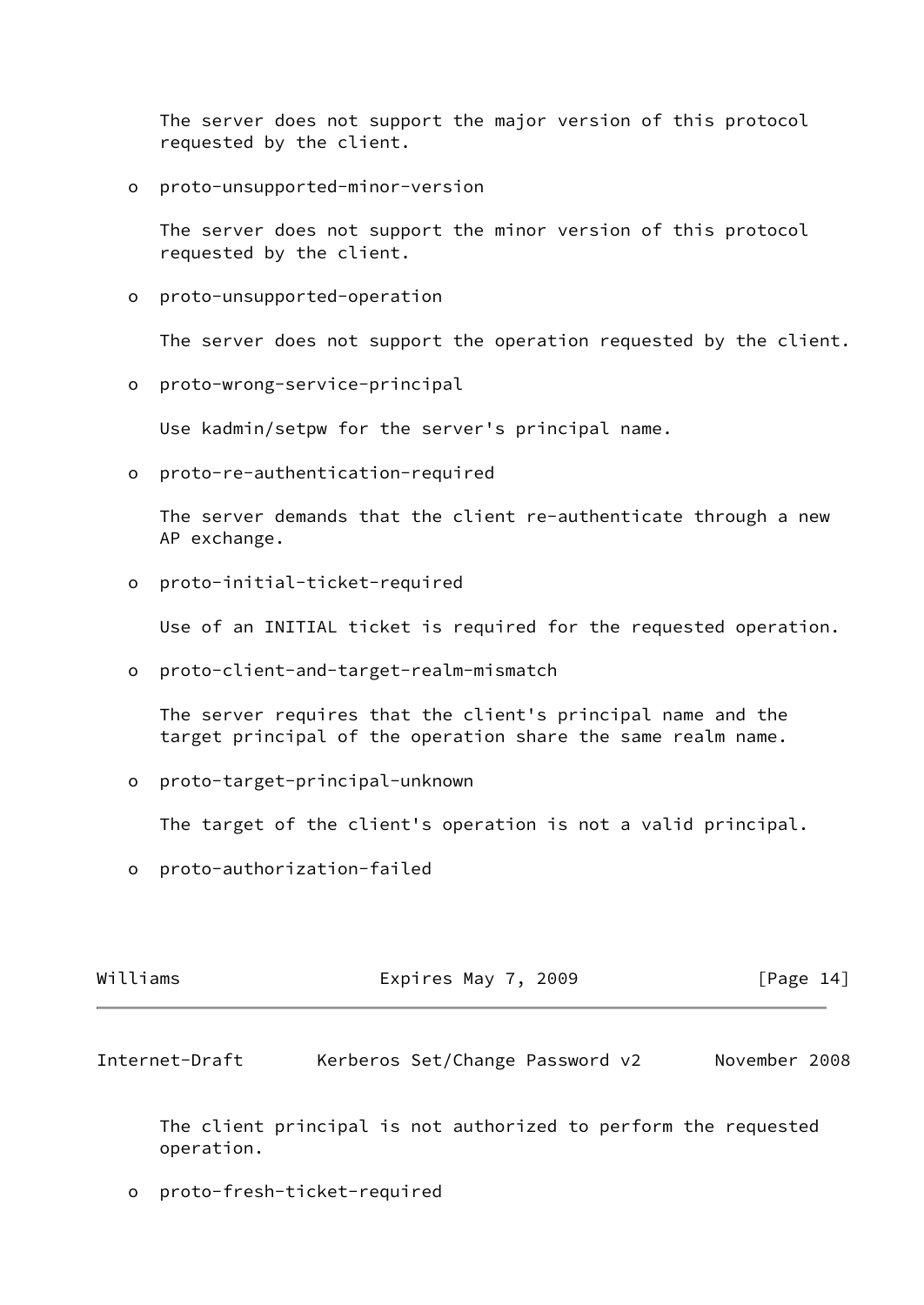The server does not support the major version of this protocol requested by the client.

o proto-unsupported-minor-version

 The server does not support the minor version of this protocol requested by the client.

o proto-unsupported-operation

The server does not support the operation requested by the client.

o proto-wrong-service-principal

Use kadmin/setpw for the server's principal name.

o proto-re-authentication-required

 The server demands that the client re-authenticate through a new AP exchange.

o proto-initial-ticket-required

Use of an INITIAL ticket is required for the requested operation.

o proto-client-and-target-realm-mismatch

 The server requires that the client's principal name and the target principal of the operation share the same realm name.

o proto-target-principal-unknown

The target of the client's operation is not a valid principal.

o proto-authorization-failed

| Williams | Expires May 7, 2009 | [Page 14] |
|----------|---------------------|-----------|
|          |                     |           |

<span id="page-15-0"></span>Internet-Draft Kerberos Set/Change Password v2 November 2008

 The client principal is not authorized to perform the requested operation.

o proto-fresh-ticket-required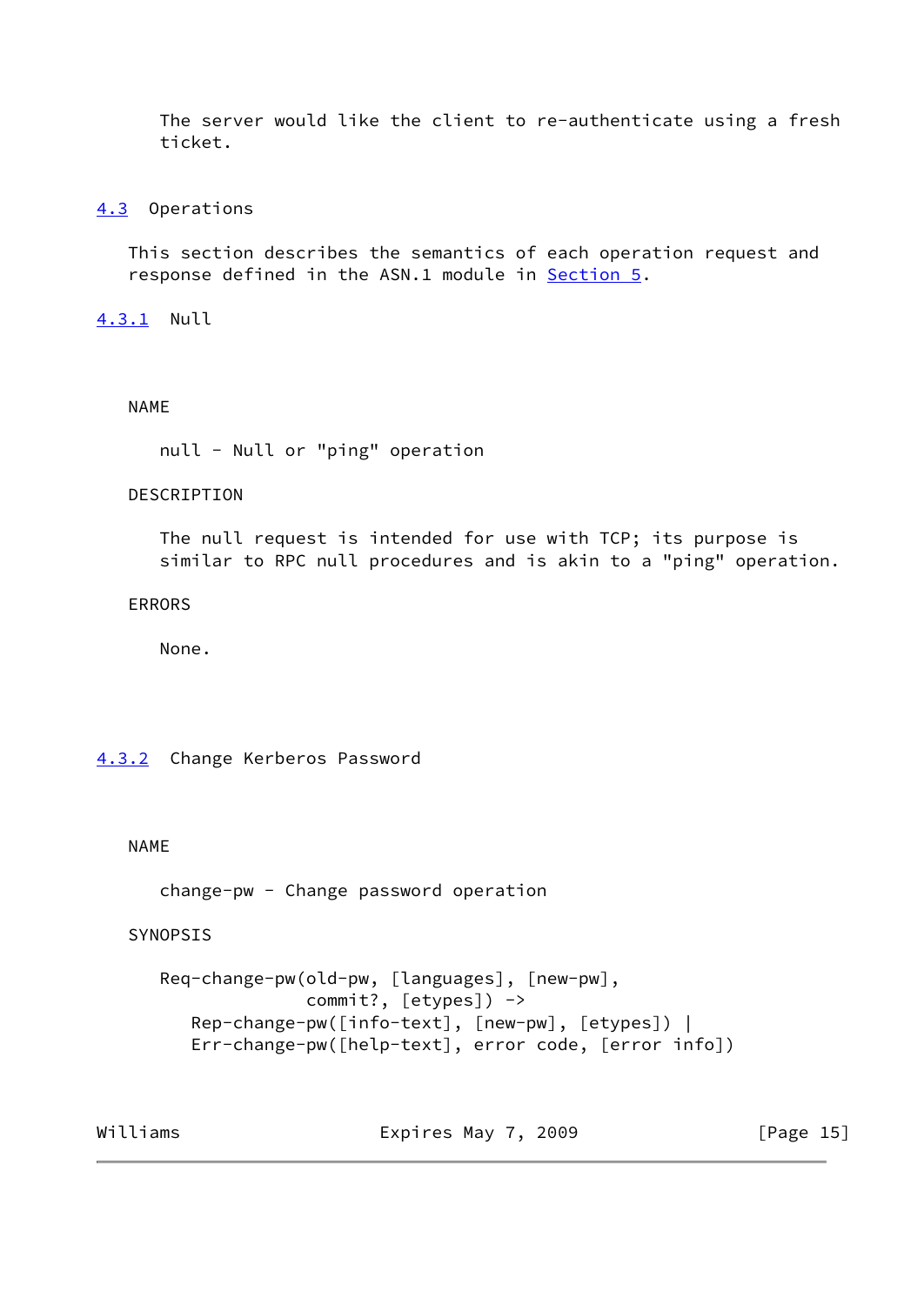The server would like the client to re-authenticate using a fresh ticket.

# <span id="page-16-0"></span>[4.3](#page-16-0) Operations

 This section describes the semantics of each operation request and response defined in the ASN.1 module in **Section 5**.

<span id="page-16-1"></span>[4.3.1](#page-16-1) Null

### NAME

```
 null - Null or "ping" operation
```
# DESCRIPTION

 The null request is intended for use with TCP; its purpose is similar to RPC null procedures and is akin to a "ping" operation.

### ERRORS

None.

# <span id="page-16-2"></span>[4.3.2](#page-16-2) Change Kerberos Password

# NAME

change-pw - Change password operation

# SYNOPSIS

```
 Req-change-pw(old-pw, [languages], [new-pw],
               commit?, [etypes]) ->
    Rep-change-pw([info-text], [new-pw], [etypes]) |
    Err-change-pw([help-text], error code, [error info])
```
Williams **Expires May 7, 2009** [Page 15]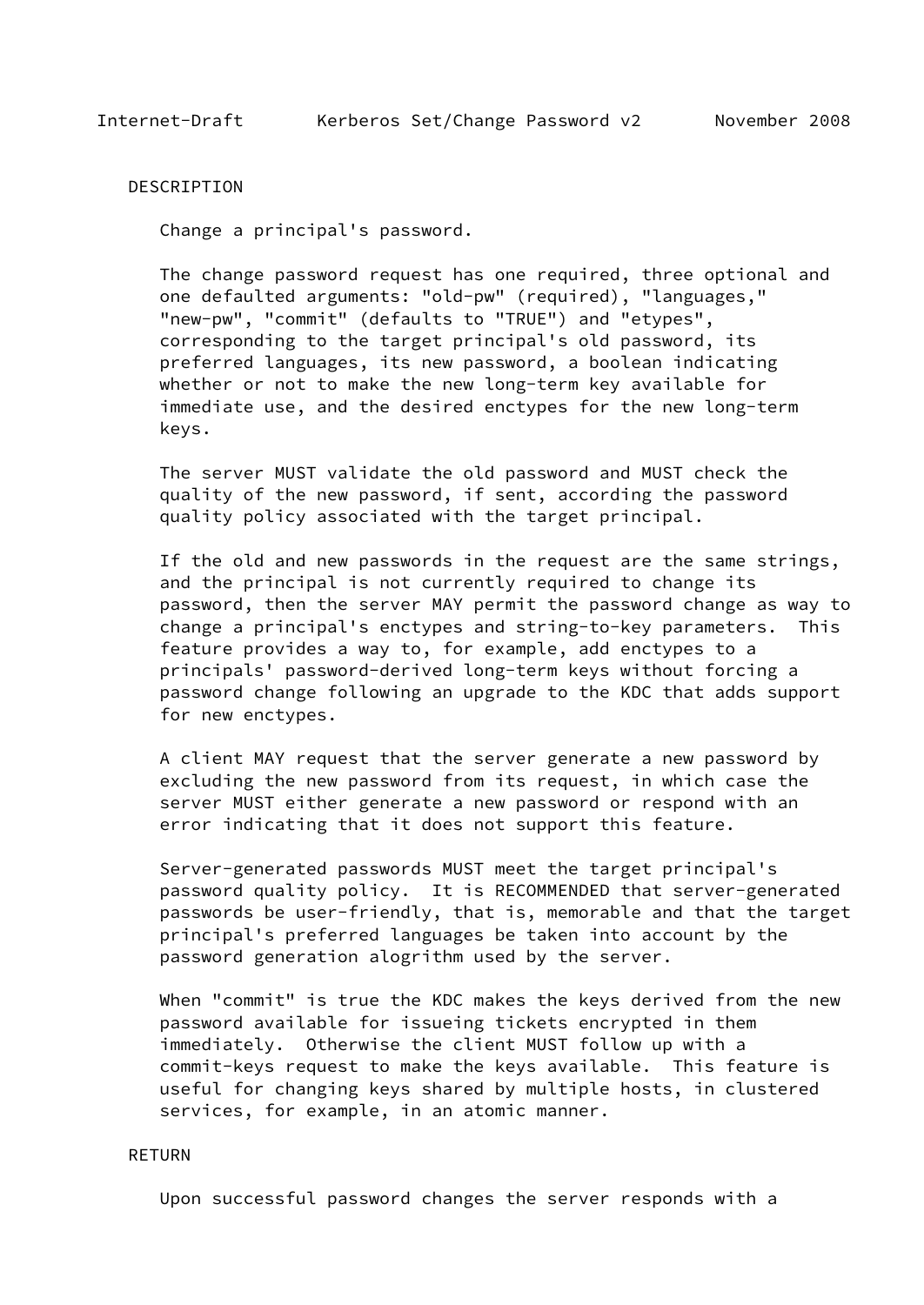#### DESCRIPTION

Change a principal's password.

 The change password request has one required, three optional and one defaulted arguments: "old-pw" (required), "languages," "new-pw", "commit" (defaults to "TRUE") and "etypes", corresponding to the target principal's old password, its preferred languages, its new password, a boolean indicating whether or not to make the new long-term key available for immediate use, and the desired enctypes for the new long-term keys.

 The server MUST validate the old password and MUST check the quality of the new password, if sent, according the password quality policy associated with the target principal.

 If the old and new passwords in the request are the same strings, and the principal is not currently required to change its password, then the server MAY permit the password change as way to change a principal's enctypes and string-to-key parameters. This feature provides a way to, for example, add enctypes to a principals' password-derived long-term keys without forcing a password change following an upgrade to the KDC that adds support for new enctypes.

 A client MAY request that the server generate a new password by excluding the new password from its request, in which case the server MUST either generate a new password or respond with an error indicating that it does not support this feature.

 Server-generated passwords MUST meet the target principal's password quality policy. It is RECOMMENDED that server-generated passwords be user-friendly, that is, memorable and that the target principal's preferred languages be taken into account by the password generation alogrithm used by the server.

 When "commit" is true the KDC makes the keys derived from the new password available for issueing tickets encrypted in them immediately. Otherwise the client MUST follow up with a commit-keys request to make the keys available. This feature is useful for changing keys shared by multiple hosts, in clustered services, for example, in an atomic manner.

### RETURN

Upon successful password changes the server responds with a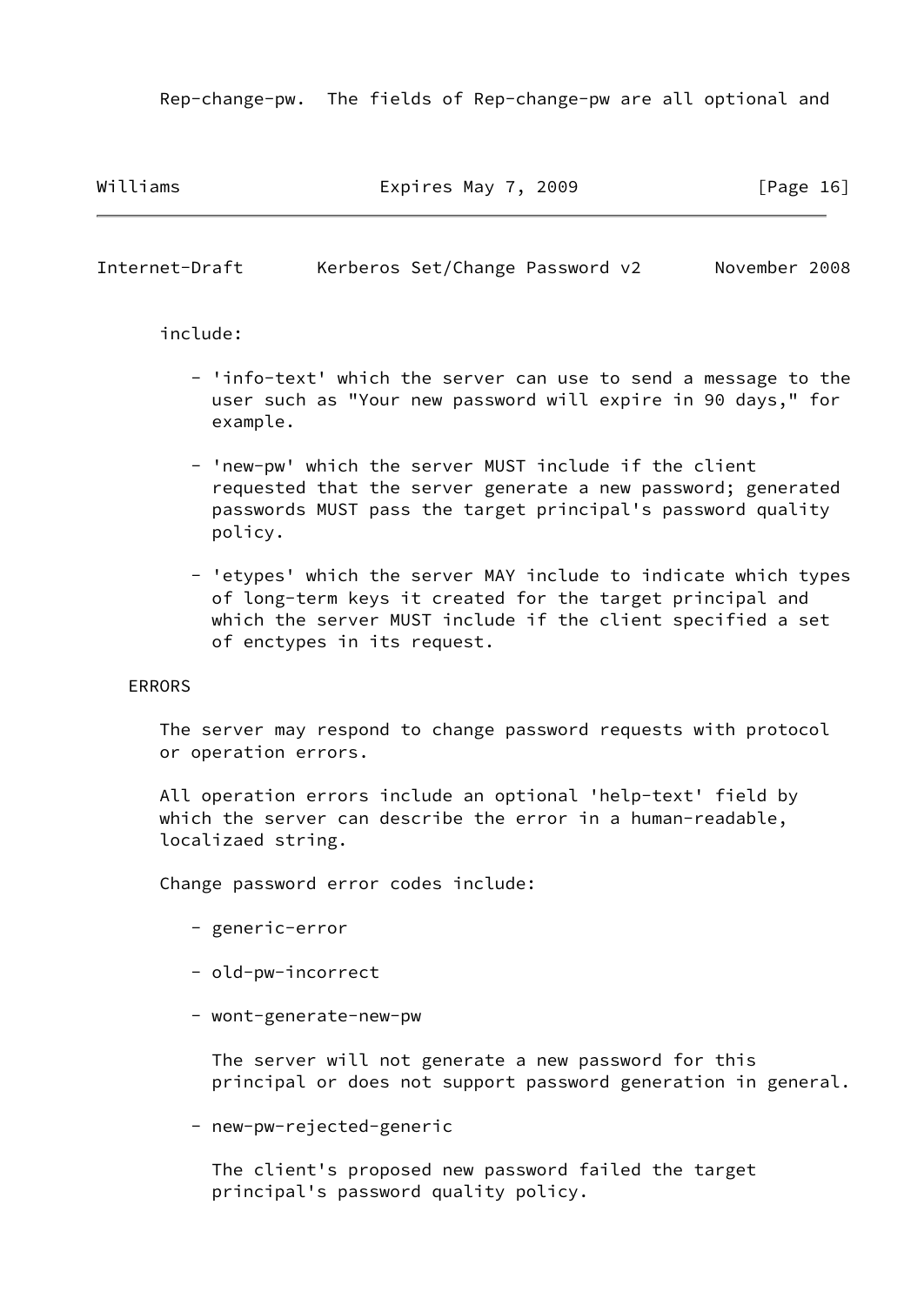Rep-change-pw. The fields of Rep-change-pw are all optional and

Williams **Expires May 7, 2009** [Page 16]

Internet-Draft Kerberos Set/Change Password v2 November 2008

include:

- 'info-text' which the server can use to send a message to the user such as "Your new password will expire in 90 days," for example.
- 'new-pw' which the server MUST include if the client requested that the server generate a new password; generated passwords MUST pass the target principal's password quality policy.
- 'etypes' which the server MAY include to indicate which types of long-term keys it created for the target principal and which the server MUST include if the client specified a set of enctypes in its request.

#### ERRORS

 The server may respond to change password requests with protocol or operation errors.

 All operation errors include an optional 'help-text' field by which the server can describe the error in a human-readable, localizaed string.

Change password error codes include:

- generic-error
- old-pw-incorrect
- wont-generate-new-pw

 The server will not generate a new password for this principal or does not support password generation in general.

- new-pw-rejected-generic

 The client's proposed new password failed the target principal's password quality policy.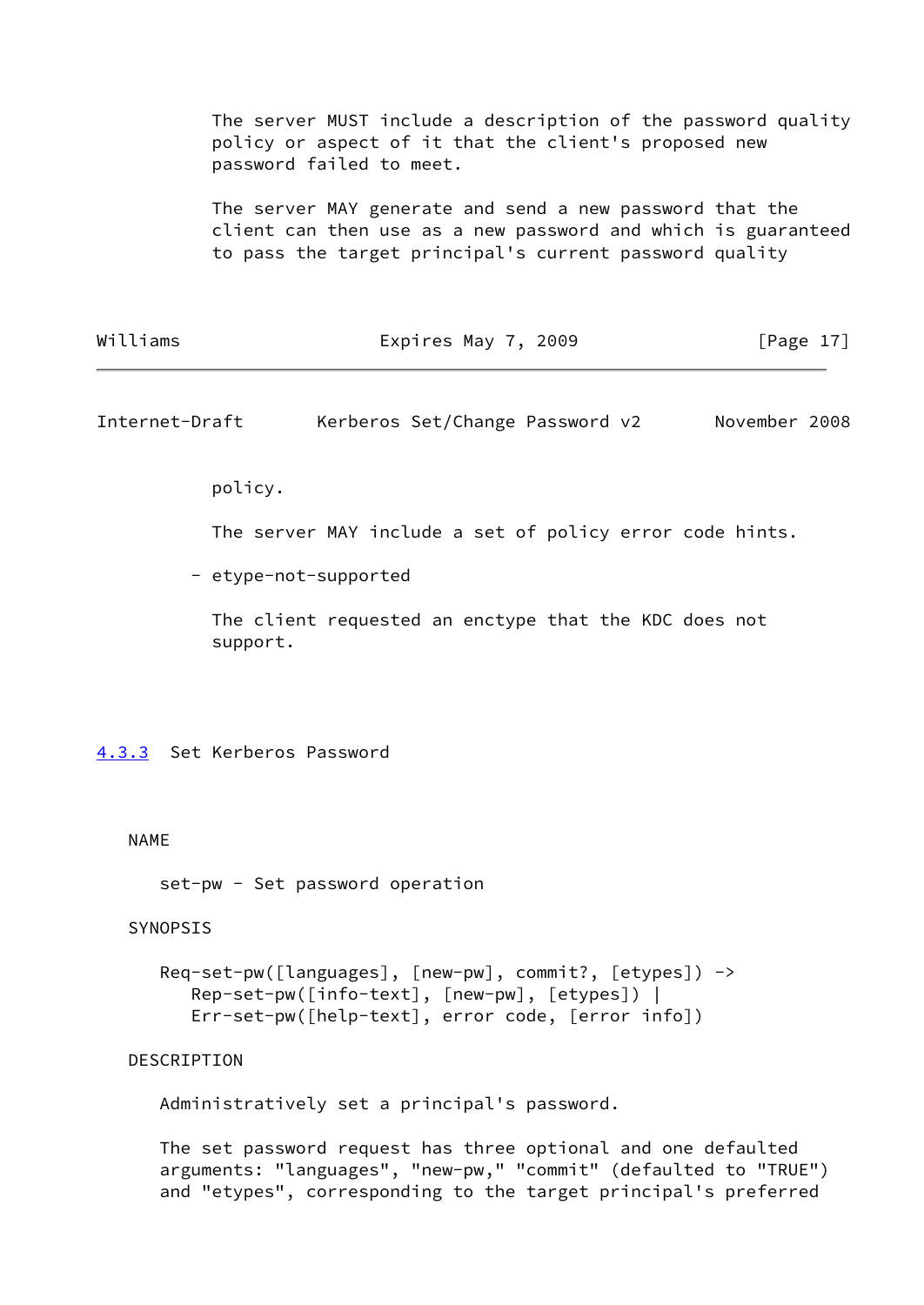The server MUST include a description of the password quality policy or aspect of it that the client's proposed new password failed to meet.

 The server MAY generate and send a new password that the client can then use as a new password and which is guaranteed to pass the target principal's current password quality

| Williams | Expires May 7, 2009 | [Page 17] |
|----------|---------------------|-----------|
|----------|---------------------|-----------|

<span id="page-19-1"></span>Internet-Draft Kerberos Set/Change Password v2 November 2008

policy.

The server MAY include a set of policy error code hints.

- etype-not-supported

 The client requested an enctype that the KDC does not support.

<span id="page-19-0"></span>[4.3.3](#page-19-0) Set Kerberos Password

#### NAME

set-pw - Set password operation

# SYNOPSIS

```
 Req-set-pw([languages], [new-pw], commit?, [etypes]) ->
    Rep-set-pw([info-text], [new-pw], [etypes]) |
    Err-set-pw([help-text], error code, [error info])
```
#### DESCRIPTION

Administratively set a principal's password.

 The set password request has three optional and one defaulted arguments: "languages", "new-pw," "commit" (defaulted to "TRUE") and "etypes", corresponding to the target principal's preferred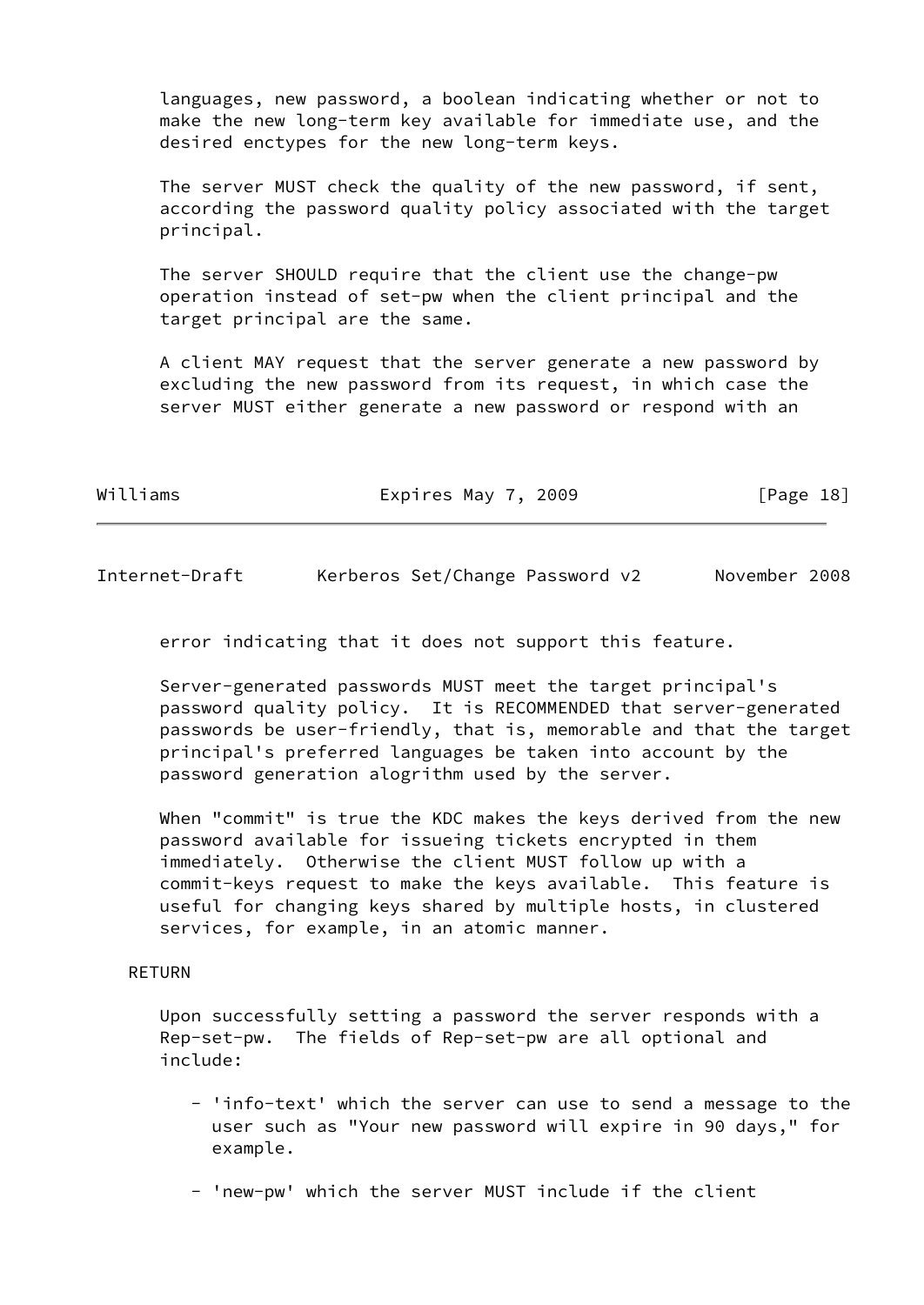languages, new password, a boolean indicating whether or not to make the new long-term key available for immediate use, and the desired enctypes for the new long-term keys.

 The server MUST check the quality of the new password, if sent, according the password quality policy associated with the target principal.

 The server SHOULD require that the client use the change-pw operation instead of set-pw when the client principal and the target principal are the same.

 A client MAY request that the server generate a new password by excluding the new password from its request, in which case the server MUST either generate a new password or respond with an

| Williams | Expires May 7, 2009 | [Page 18] |
|----------|---------------------|-----------|
|          |                     |           |

Internet-Draft Kerberos Set/Change Password v2 November 2008

error indicating that it does not support this feature.

 Server-generated passwords MUST meet the target principal's password quality policy. It is RECOMMENDED that server-generated passwords be user-friendly, that is, memorable and that the target principal's preferred languages be taken into account by the password generation alogrithm used by the server.

 When "commit" is true the KDC makes the keys derived from the new password available for issueing tickets encrypted in them immediately. Otherwise the client MUST follow up with a commit-keys request to make the keys available. This feature is useful for changing keys shared by multiple hosts, in clustered services, for example, in an atomic manner.

# RETURN

 Upon successfully setting a password the server responds with a Rep-set-pw. The fields of Rep-set-pw are all optional and include:

- 'info-text' which the server can use to send a message to the user such as "Your new password will expire in 90 days," for example.
- 'new-pw' which the server MUST include if the client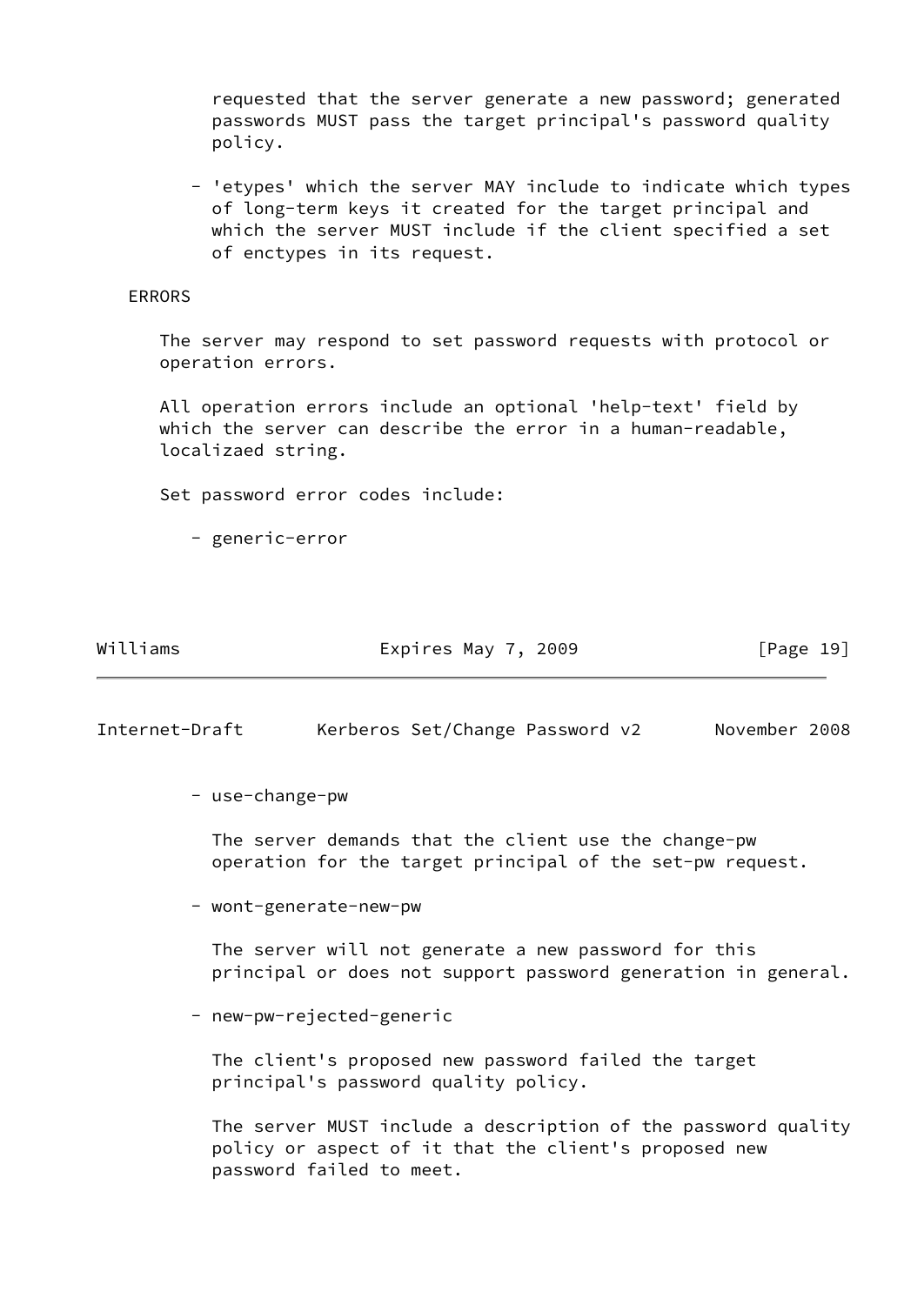requested that the server generate a new password; generated passwords MUST pass the target principal's password quality policy.

 - 'etypes' which the server MAY include to indicate which types of long-term keys it created for the target principal and which the server MUST include if the client specified a set of enctypes in its request.

### ERRORS

 The server may respond to set password requests with protocol or operation errors.

 All operation errors include an optional 'help-text' field by which the server can describe the error in a human-readable, localizaed string.

Set password error codes include:

- generic-error

Williams **Expires May 7, 2009** [Page 19]

<span id="page-21-0"></span>Internet-Draft Kerberos Set/Change Password v2 November 2008

- use-change-pw

 The server demands that the client use the change-pw operation for the target principal of the set-pw request.

- wont-generate-new-pw

 The server will not generate a new password for this principal or does not support password generation in general.

- new-pw-rejected-generic

 The client's proposed new password failed the target principal's password quality policy.

 The server MUST include a description of the password quality policy or aspect of it that the client's proposed new password failed to meet.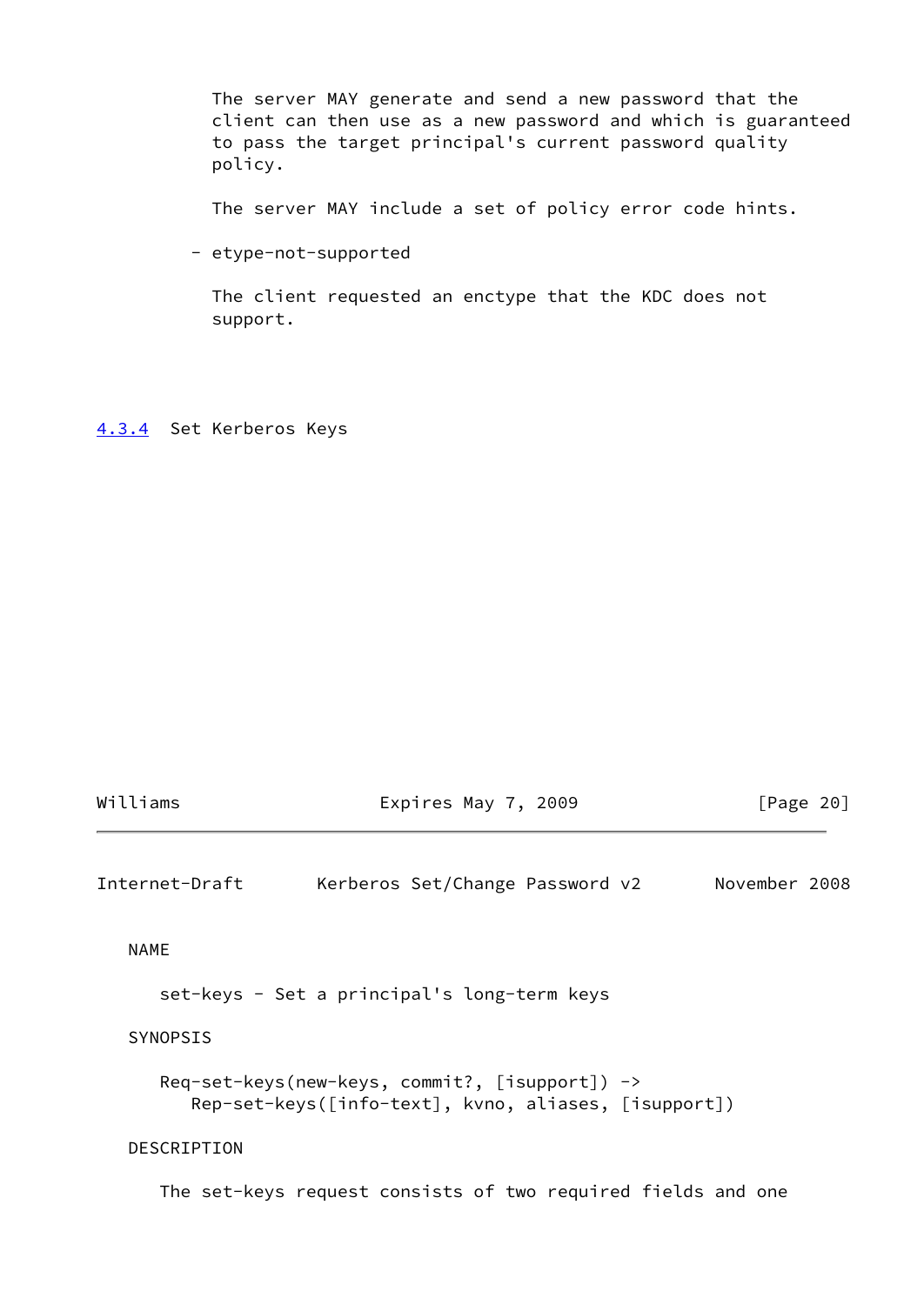The server MAY generate and send a new password that the client can then use as a new password and which is guaranteed to pass the target principal's current password quality policy.

The server MAY include a set of policy error code hints.

- etype-not-supported

 The client requested an enctype that the KDC does not support.

<span id="page-22-0"></span>[4.3.4](#page-22-0) Set Kerberos Keys

| Williams       | Expires May 7, 2009                                                                                      | $\lceil \text{Page } 20 \rceil$ |
|----------------|----------------------------------------------------------------------------------------------------------|---------------------------------|
| Internet-Draft | Kerberos Set/Change Password v2                                                                          | November 2008                   |
| <b>NAME</b>    |                                                                                                          |                                 |
|                | set-keys - Set a principal's long-term keys                                                              |                                 |
| SYNOPSIS       |                                                                                                          |                                 |
|                | $Reg-set-keys(new-keys, commit?, [isupport])$ -><br>Rep-set-keys([info-text], kvno, aliases, [isupport]) |                                 |
| DESCRIPTION    |                                                                                                          |                                 |
|                | The set-keys request consists of two required fields and one                                             |                                 |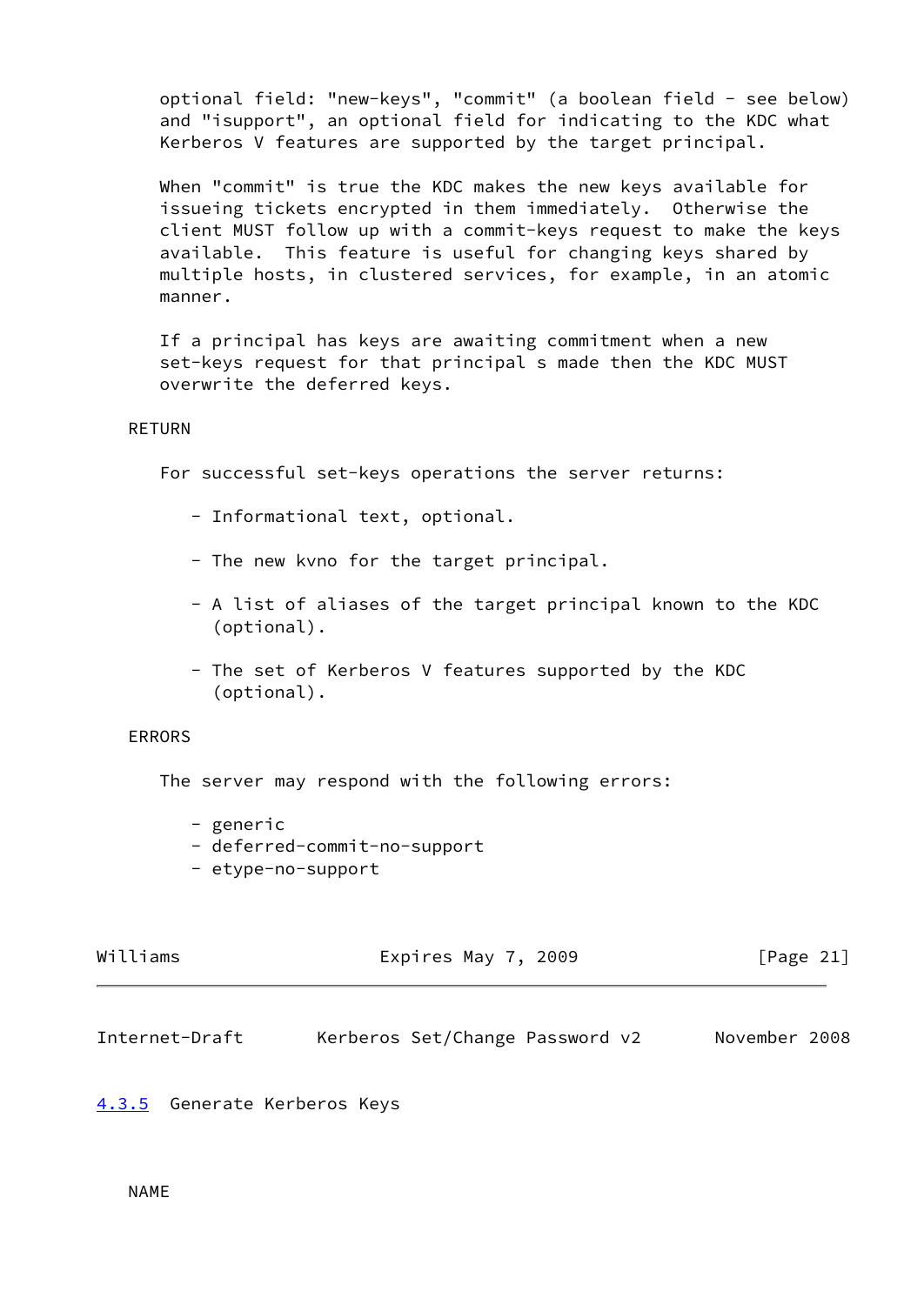optional field: "new-keys", "commit" (a boolean field - see below) and "isupport", an optional field for indicating to the KDC what Kerberos V features are supported by the target principal.

 When "commit" is true the KDC makes the new keys available for issueing tickets encrypted in them immediately. Otherwise the client MUST follow up with a commit-keys request to make the keys available. This feature is useful for changing keys shared by multiple hosts, in clustered services, for example, in an atomic manner.

 If a principal has keys are awaiting commitment when a new set-keys request for that principal s made then the KDC MUST overwrite the deferred keys.

### RETURN

For successful set-keys operations the server returns:

- Informational text, optional.
- The new kvno for the target principal.
- A list of aliases of the target principal known to the KDC (optional).
- The set of Kerberos V features supported by the KDC (optional).

# ERRORS

The server may respond with the following errors:

- generic
- deferred-commit-no-support
- etype-no-support

| Williams | Expires May 7, 2009 | [Page 21] |
|----------|---------------------|-----------|
|          |                     |           |

<span id="page-23-1"></span>Internet-Draft Kerberos Set/Change Password v2 November 2008

# <span id="page-23-0"></span>[4.3.5](#page-23-0) Generate Kerberos Keys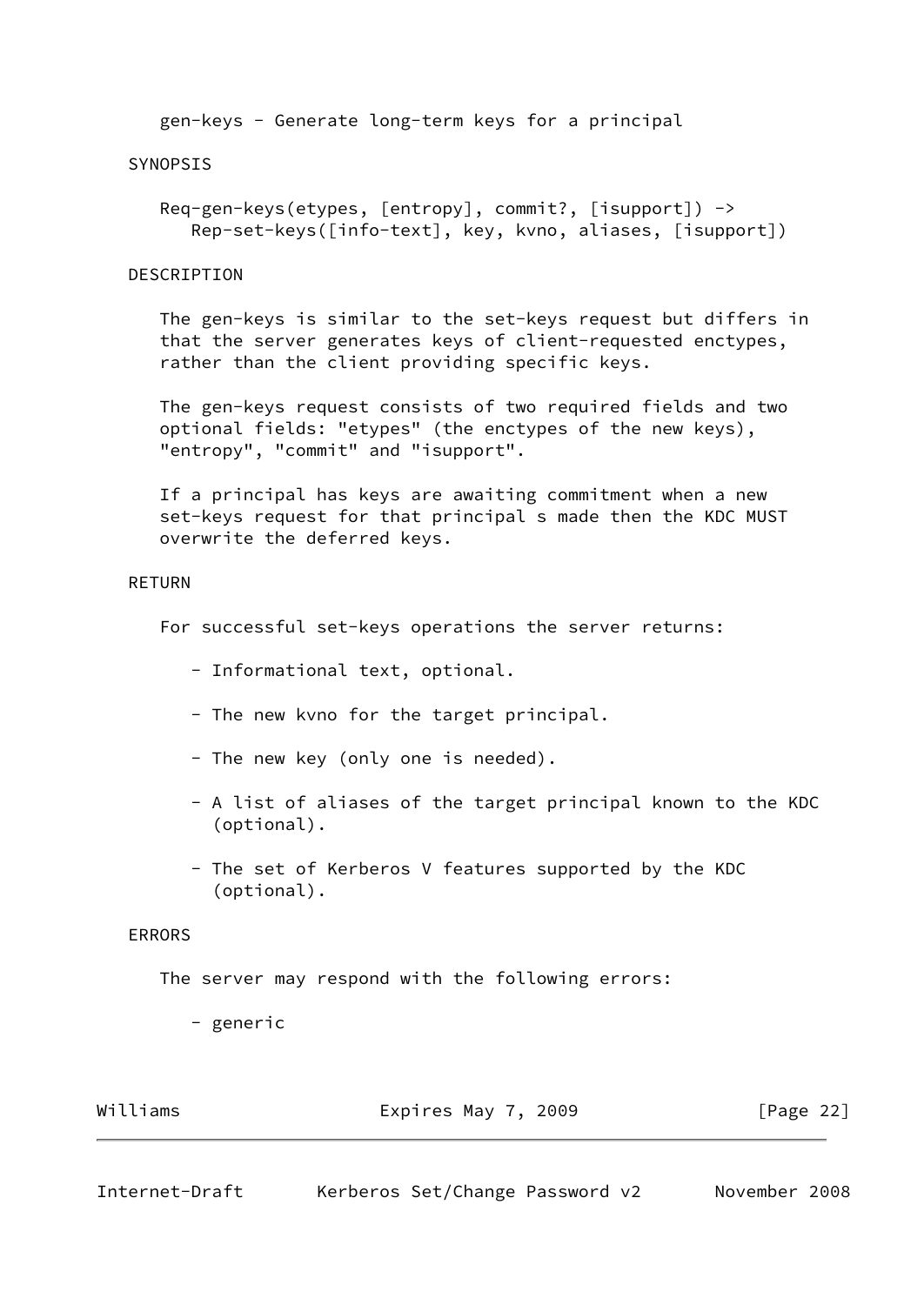gen-keys - Generate long-term keys for a principal

### SYNOPSIS

 Req-gen-keys(etypes, [entropy], commit?, [isupport]) -> Rep-set-keys([info-text], key, kvno, aliases, [isupport])

#### DESCRIPTION

 The gen-keys is similar to the set-keys request but differs in that the server generates keys of client-requested enctypes, rather than the client providing specific keys.

 The gen-keys request consists of two required fields and two optional fields: "etypes" (the enctypes of the new keys), "entropy", "commit" and "isupport".

 If a principal has keys are awaiting commitment when a new set-keys request for that principal s made then the KDC MUST overwrite the deferred keys.

# RETURN

For successful set-keys operations the server returns:

- Informational text, optional.
- The new kvno for the target principal.
- The new key (only one is needed).
- A list of aliases of the target principal known to the KDC (optional).
- The set of Kerberos V features supported by the KDC (optional).

# ERRORS

The server may respond with the following errors:

- generic

| Williams | Expires May 7, 2009 |  | [Page 22] |  |
|----------|---------------------|--|-----------|--|
|          |                     |  |           |  |

<span id="page-24-0"></span>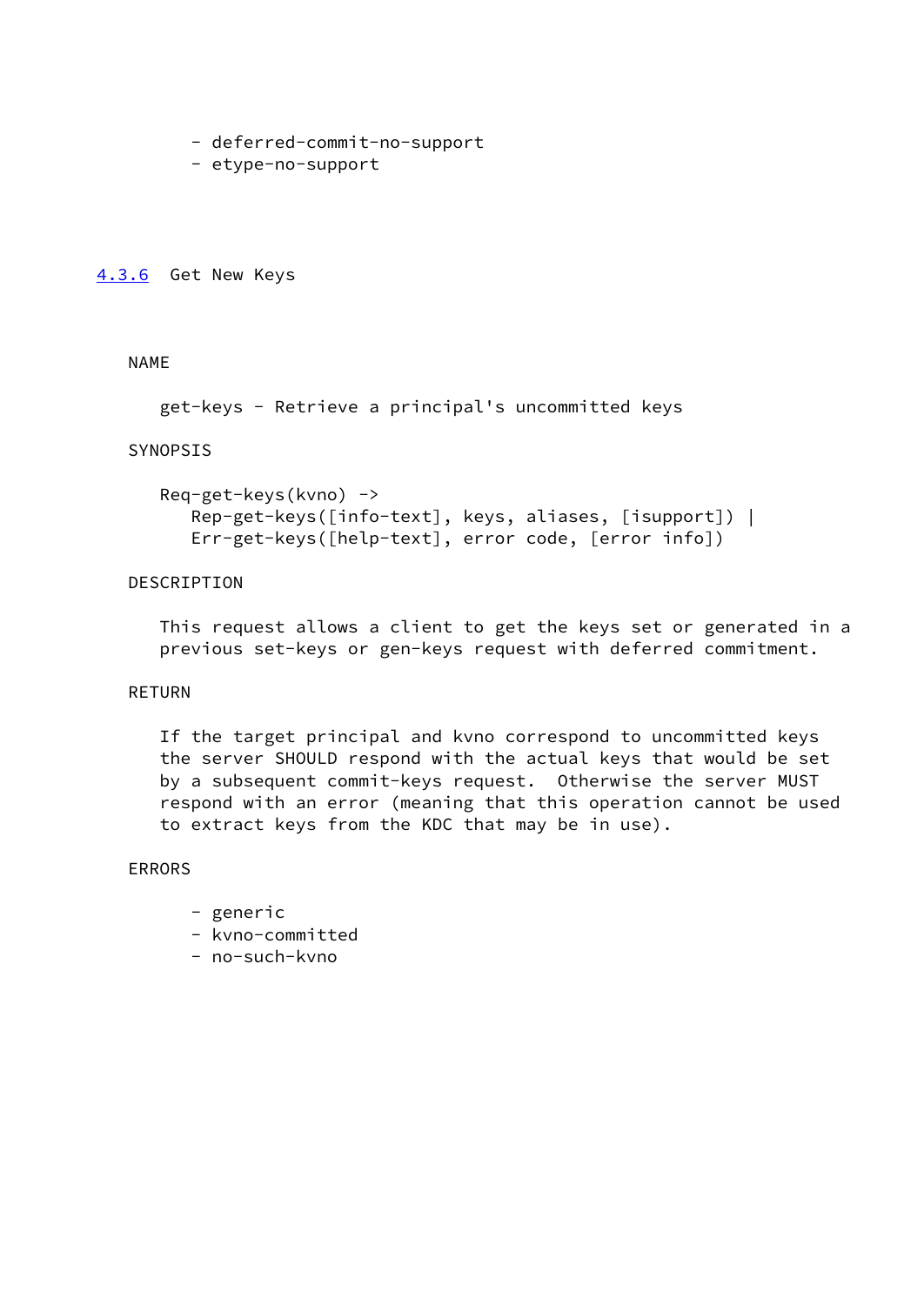- deferred-commit-no-support
- etype-no-support

#### <span id="page-25-0"></span>[4.3.6](#page-25-0) Get New Keys

# NAME

```
 get-keys - Retrieve a principal's uncommitted keys
```
### SYNOPSIS

```
 Req-get-keys(kvno) ->
    Rep-get-keys([info-text], keys, aliases, [isupport]) |
    Err-get-keys([help-text], error code, [error info])
```
# DESCRIPTION

 This request allows a client to get the keys set or generated in a previous set-keys or gen-keys request with deferred commitment.

# RETURN

 If the target principal and kvno correspond to uncommitted keys the server SHOULD respond with the actual keys that would be set by a subsequent commit-keys request. Otherwise the server MUST respond with an error (meaning that this operation cannot be used to extract keys from the KDC that may be in use).

# ERRORS

- generic
- kvno-committed
- no-such-kvno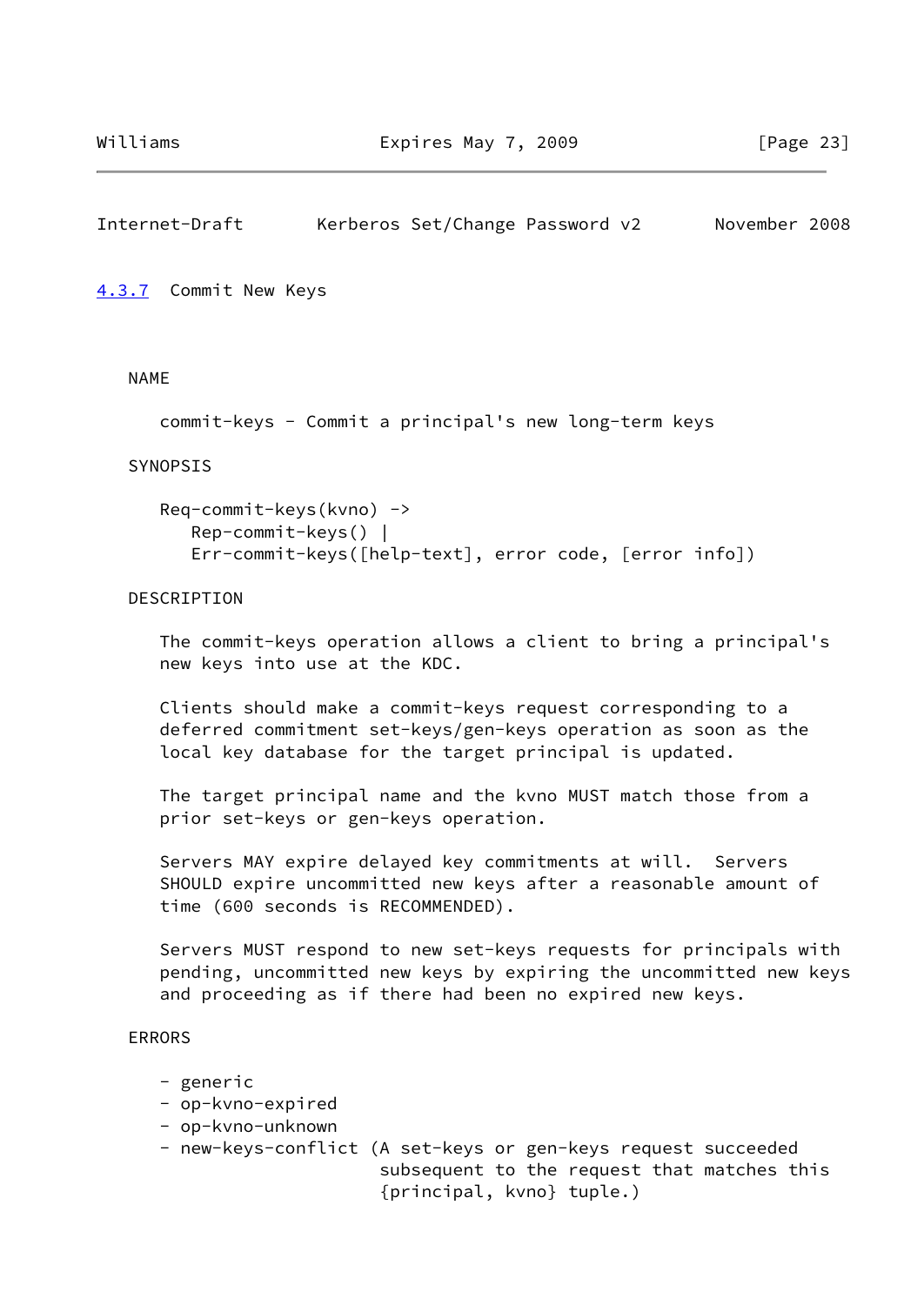# <span id="page-26-1"></span>Internet-Draft Kerberos Set/Change Password v2 November 2008

<span id="page-26-0"></span>[4.3.7](#page-26-0) Commit New Keys

NAME

```
 commit-keys - Commit a principal's new long-term keys
```
#### SYNOPSIS

```
 Req-commit-keys(kvno) ->
    Rep-commit-keys() |
    Err-commit-keys([help-text], error code, [error info])
```
### **DESCRIPTION**

 The commit-keys operation allows a client to bring a principal's new keys into use at the KDC.

 Clients should make a commit-keys request corresponding to a deferred commitment set-keys/gen-keys operation as soon as the local key database for the target principal is updated.

 The target principal name and the kvno MUST match those from a prior set-keys or gen-keys operation.

 Servers MAY expire delayed key commitments at will. Servers SHOULD expire uncommitted new keys after a reasonable amount of time (600 seconds is RECOMMENDED).

 Servers MUST respond to new set-keys requests for principals with pending, uncommitted new keys by expiring the uncommitted new keys and proceeding as if there had been no expired new keys.

### ERRORS

- generic
- op-kvno-expired
- op-kvno-unknown
- new-keys-conflict (A set-keys or gen-keys request succeeded subsequent to the request that matches this {principal, kvno} tuple.)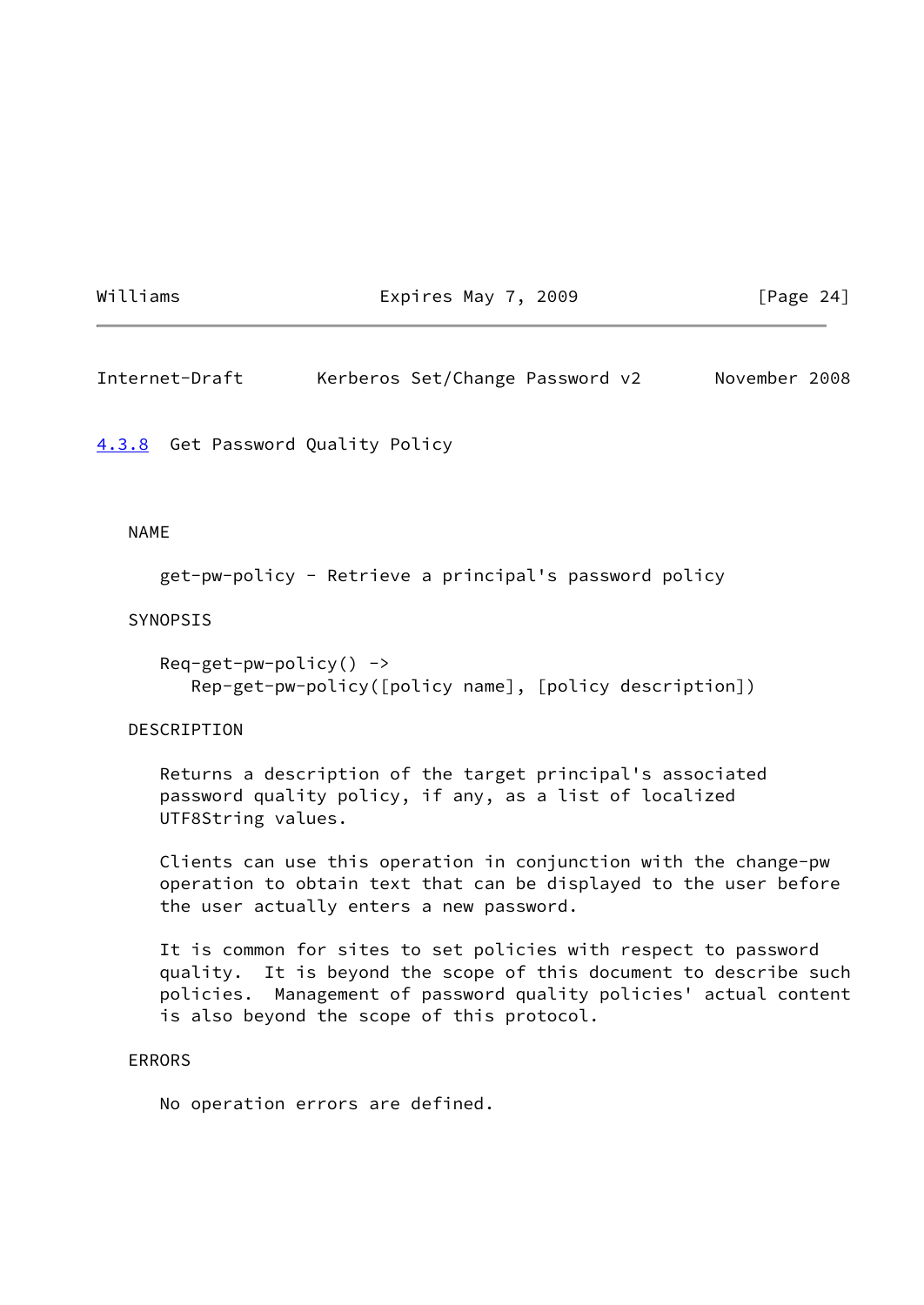Williams **Expires May 7, 2009** [Page 24]

<span id="page-27-1"></span>Internet-Draft Kerberos Set/Change Password v2 November 2008

<span id="page-27-0"></span>[4.3.8](#page-27-0) Get Password Quality Policy

#### NAME

```
 get-pw-policy - Retrieve a principal's password policy
```
#### SYNOPSIS

```
Req-get-pw-policy() ->
    Rep-get-pw-policy([policy name], [policy description])
```
#### DESCRIPTION

 Returns a description of the target principal's associated password quality policy, if any, as a list of localized UTF8String values.

 Clients can use this operation in conjunction with the change-pw operation to obtain text that can be displayed to the user before the user actually enters a new password.

 It is common for sites to set policies with respect to password quality. It is beyond the scope of this document to describe such policies. Management of password quality policies' actual content is also beyond the scope of this protocol.

#### ERRORS

No operation errors are defined.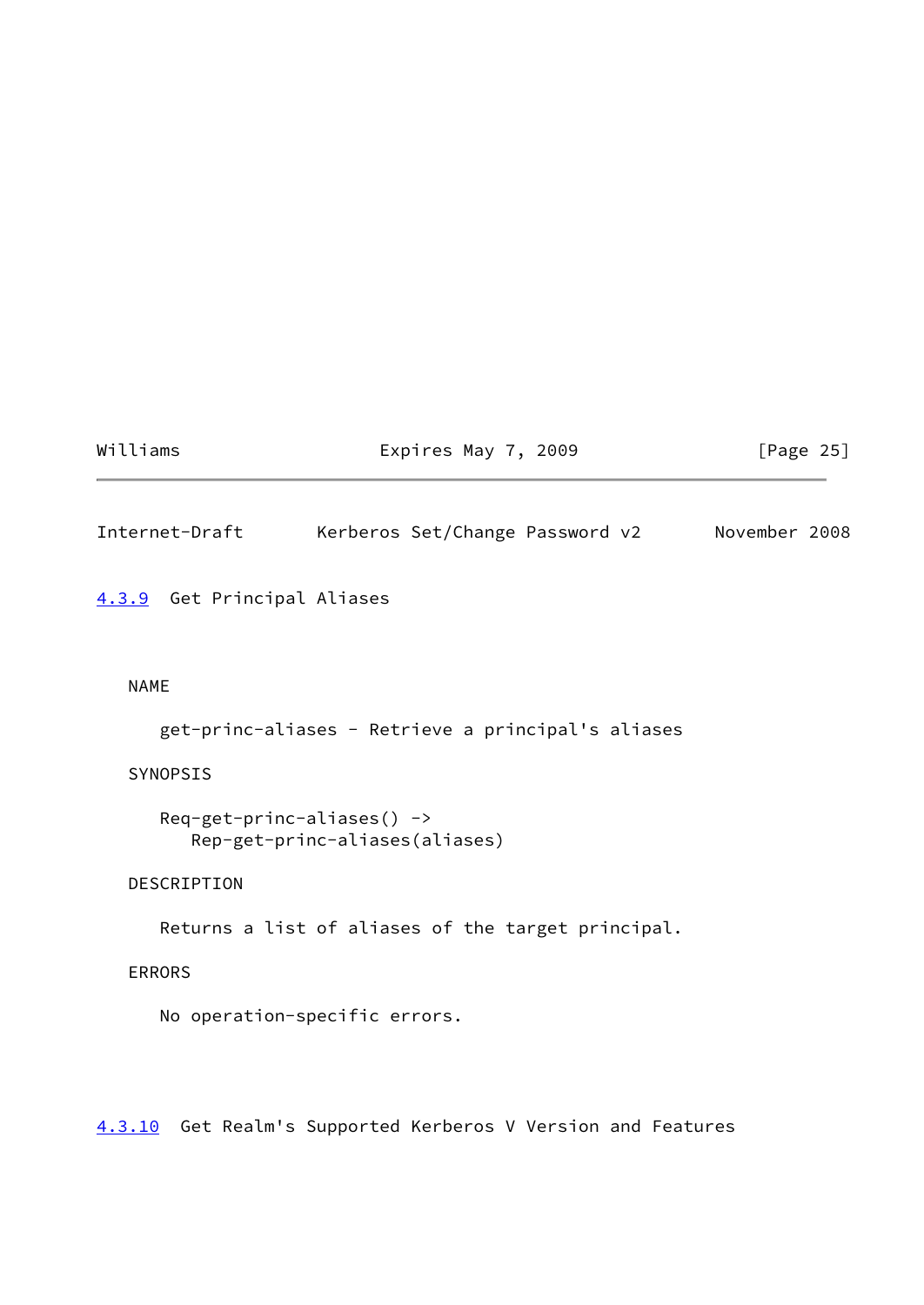# Williams **Expires May 7, 2009** [Page 25]

<span id="page-28-1"></span>Internet-Draft Kerberos Set/Change Password v2 November 2008

<span id="page-28-0"></span>[4.3.9](#page-28-0) Get Principal Aliases

# NAME

get-princ-aliases - Retrieve a principal's aliases

# SYNOPSIS

```
Req-get-princ-aliases() ->
    Rep-get-princ-aliases(aliases)
```
# DESCRIPTION

Returns a list of aliases of the target principal.

# ERRORS

No operation-specific errors.

<span id="page-28-2"></span>[4.3.10](#page-28-2) Get Realm's Supported Kerberos V Version and Features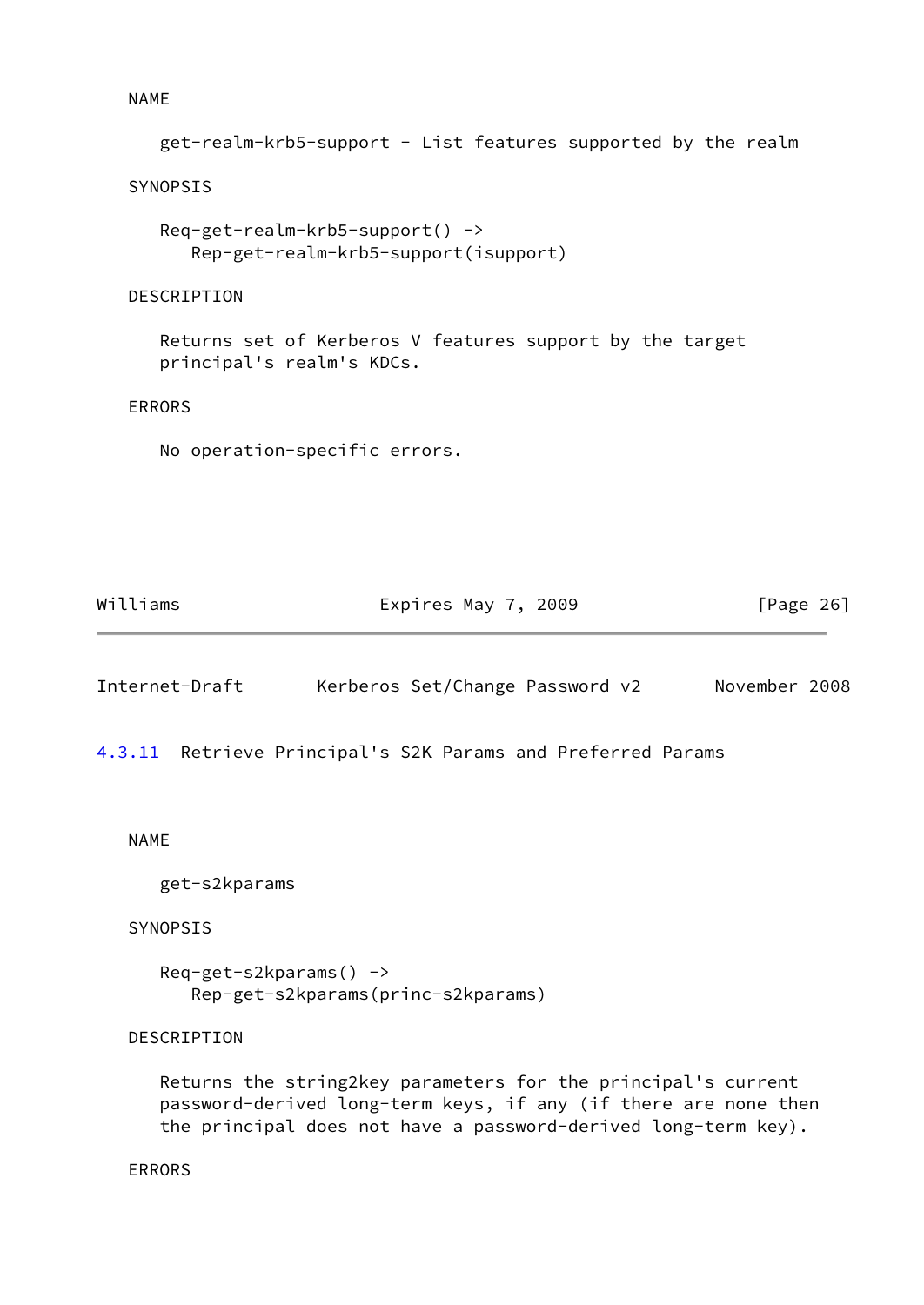NAME

```
 get-realm-krb5-support - List features supported by the realm
```
SYNOPSIS

```
 Req-get-realm-krb5-support() ->
    Rep-get-realm-krb5-support(isupport)
```
### **DESCRIPTION**

 Returns set of Kerberos V features support by the target principal's realm's KDCs.

### ERRORS

No operation-specific errors.

| Williams | Expires May 7, 2009 | [Page 26] |
|----------|---------------------|-----------|
|          |                     |           |

<span id="page-29-1"></span>

|  | Internet-Draft |  | Kerberos Set/Change Password v2 |  |  | November 2008 |  |
|--|----------------|--|---------------------------------|--|--|---------------|--|
|--|----------------|--|---------------------------------|--|--|---------------|--|

<span id="page-29-0"></span>[4.3.11](#page-29-0) Retrieve Principal's S2K Params and Preferred Params

#### NAME

get-s2kparams

### SYNOPSIS

 Req-get-s2kparams() -> Rep-get-s2kparams(princ-s2kparams)

# DESCRIPTION

 Returns the string2key parameters for the principal's current password-derived long-term keys, if any (if there are none then the principal does not have a password-derived long-term key).

## ERRORS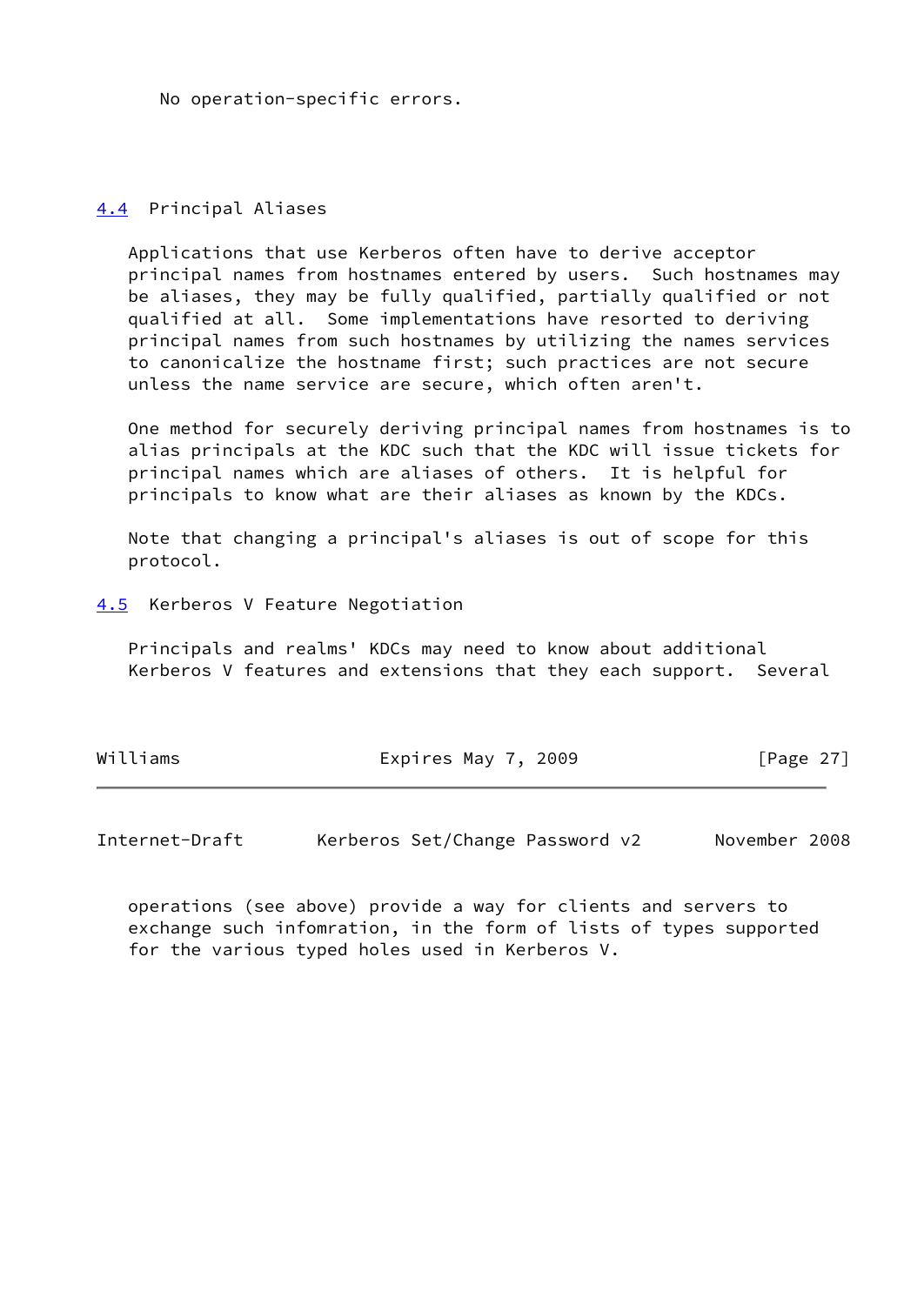No operation-specific errors.

# <span id="page-30-0"></span>[4.4](#page-30-0) Principal Aliases

 Applications that use Kerberos often have to derive acceptor principal names from hostnames entered by users. Such hostnames may be aliases, they may be fully qualified, partially qualified or not qualified at all. Some implementations have resorted to deriving principal names from such hostnames by utilizing the names services to canonicalize the hostname first; such practices are not secure unless the name service are secure, which often aren't.

 One method for securely deriving principal names from hostnames is to alias principals at the KDC such that the KDC will issue tickets for principal names which are aliases of others. It is helpful for principals to know what are their aliases as known by the KDCs.

 Note that changing a principal's aliases is out of scope for this protocol.

<span id="page-30-1"></span>[4.5](#page-30-1) Kerberos V Feature Negotiation

 Principals and realms' KDCs may need to know about additional Kerberos V features and extensions that they each support. Several

| Williams | Expires May 7, 2009 | [Page $27$ ] |
|----------|---------------------|--------------|
|----------|---------------------|--------------|

Internet-Draft Kerberos Set/Change Password v2 November 2008

 operations (see above) provide a way for clients and servers to exchange such infomration, in the form of lists of types supported for the various typed holes used in Kerberos V.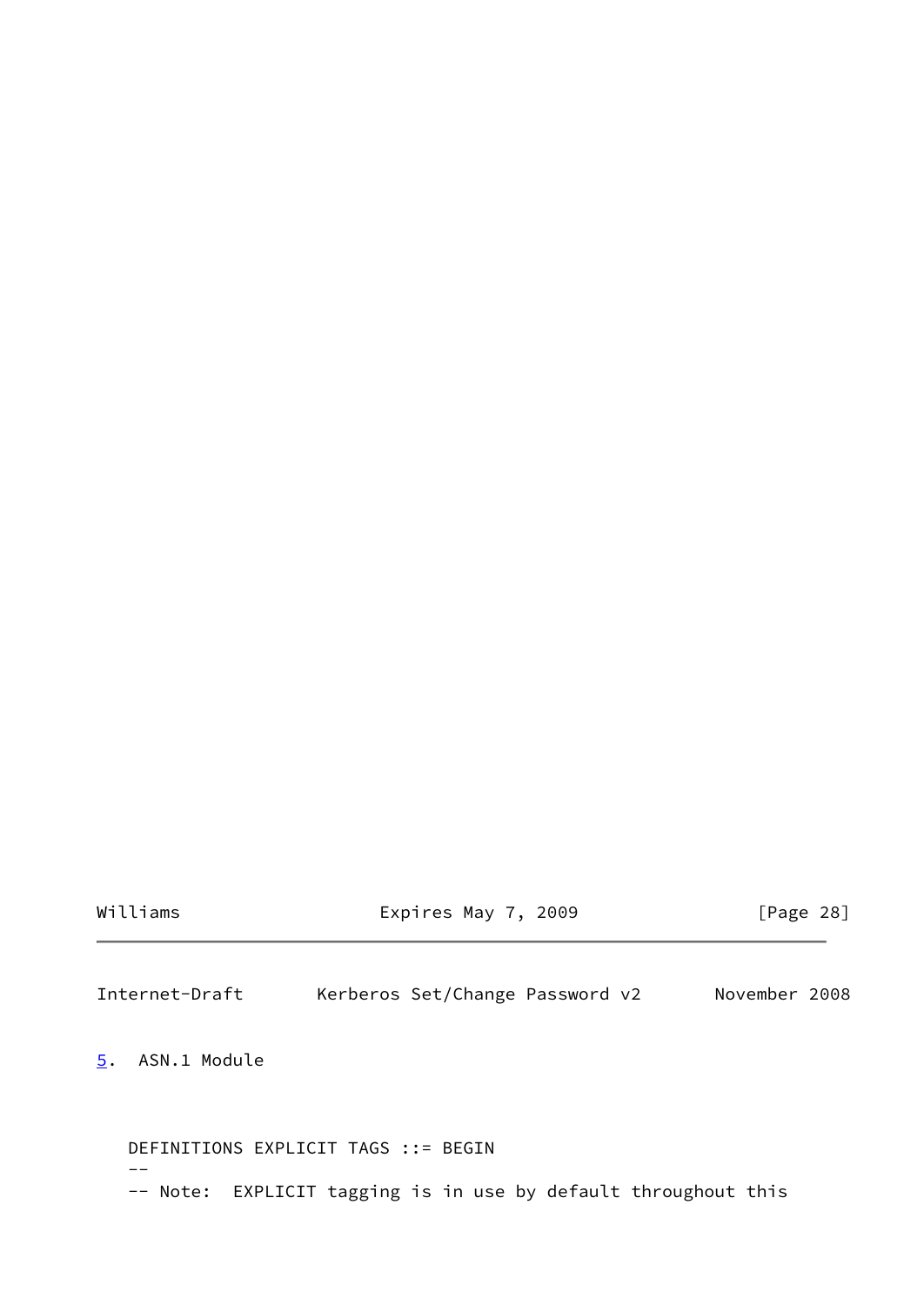| Williams |  |  |  |
|----------|--|--|--|

Expires May 7, 2009 [Page 28]

<span id="page-31-1"></span>Internet-Draft Kerberos Set/Change Password v2 November 2008

<span id="page-31-0"></span>[5](#page-31-0). ASN.1 Module

 DEFINITIONS EXPLICIT TAGS ::= BEGIN  $--$ -- Note: EXPLICIT tagging is in use by default throughout this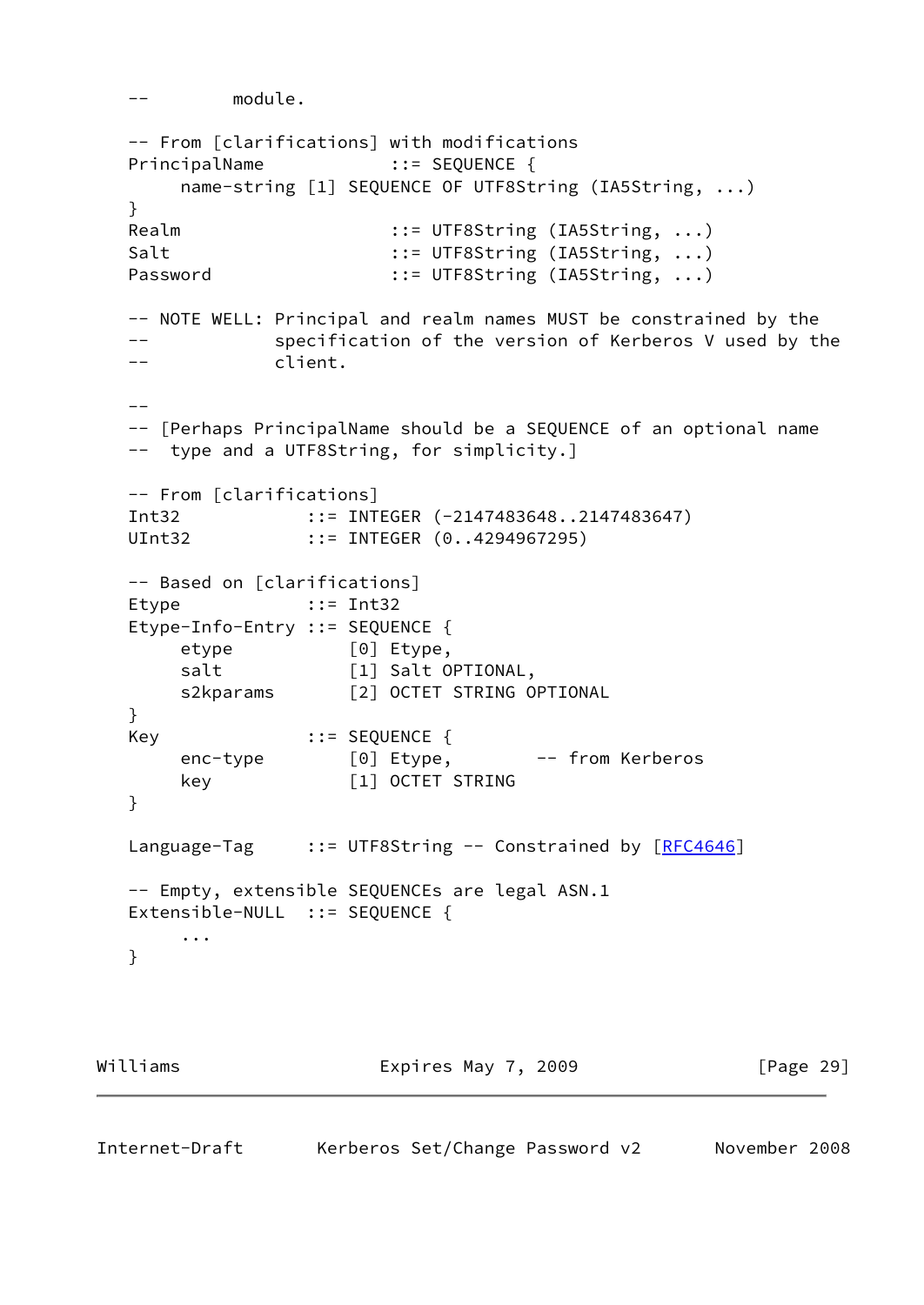```
 -- module.
   -- From [clarifications] with modifications
  PrincipalName ::= SEQUENCE {
       name-string [1] SEQUENCE OF UTF8String (IA5String, ...)
   }
  Realm ::= UTF8String (IA5String, ...)
  Salt ::= UTF8String (IA5String, ...)
  Password ::= UTF8String (IA5String, ...)
   -- NOTE WELL: Principal and realm names MUST be constrained by the
   -- specification of the version of Kerberos V used by the
   -- client.
  - - -- [Perhaps PrincipalName should be a SEQUENCE of an optional name
   -- type and a UTF8String, for simplicity.]
   -- From [clarifications]
  Int32 ::= INTEGER (-2147483648..2147483647)
  UInt32 ::= INTEGER (0..4294967295)
   -- Based on [clarifications]
  Etype ::= Int32
   Etype-Info-Entry ::= SEQUENCE {
      etype [0] Etype,
      salt [1] Salt OPTIONAL,
      s2kparams [2] OCTET STRING OPTIONAL
   }
  Key ::= SEQUENCE {
      enc-type [0] Etype, -- from Kerberos
       key [1] OCTET STRING
   }
  RFC4646]
   -- Empty, extensible SEQUENCEs are legal ASN.1
  Extensible-NULL ::= SEQUENCE {
       ...
   }
Williams Expires May 7, 2009 [Page 29]
```

```
Internet-Draft Kerberos Set/Change Password v2 November 2008
```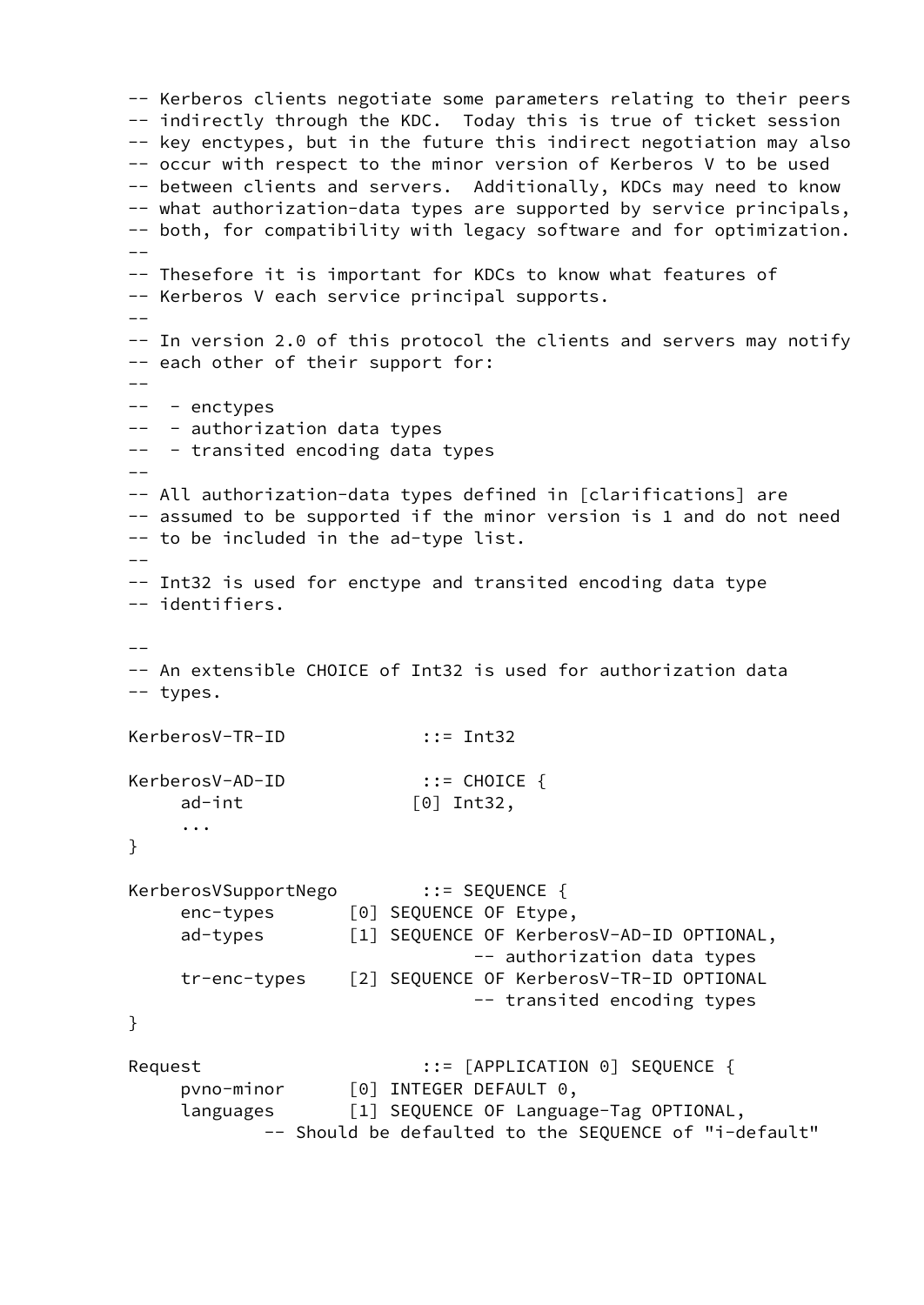-- Kerberos clients negotiate some parameters relating to their peers -- indirectly through the KDC. Today this is true of ticket session -- key enctypes, but in the future this indirect negotiation may also -- occur with respect to the minor version of Kerberos V to be used -- between clients and servers. Additionally, KDCs may need to know -- what authorization-data types are supported by service principals, -- both, for compatibility with legacy software and for optimization. -- -- Thesefore it is important for KDCs to know what features of -- Kerberos V each service principal supports.  $- -$  -- In version 2.0 of this protocol the clients and servers may notify -- each other of their support for:  $- -$ -- - enctypes -- - authorization data types -- - transited encoding data types  $- -$  -- All authorization-data types defined in [clarifications] are -- assumed to be supported if the minor version is 1 and do not need -- to be included in the ad-type list. -- -- Int32 is used for enctype and transited encoding data type -- identifiers. -- -- An extensible CHOICE of Int32 is used for authorization data -- types. KerberosV-TR-ID ::= Int32 KerberosV-AD-ID ::= CHOICE { ad-int [0] Int32, ... } KerberosVSupportNego ::= SEQUENCE { enc-types [0] SEQUENCE OF Etype, ad-types [1] SEQUENCE OF KerberosV-AD-ID OPTIONAL, -- authorization data types tr-enc-types [2] SEQUENCE OF KerberosV-TR-ID OPTIONAL -- transited encoding types } Request ::= [APPLICATION 0] SEQUENCE { pvno-minor [0] INTEGER DEFAULT 0, languages [1] SEQUENCE OF Language-Tag OPTIONAL, -- Should be defaulted to the SEQUENCE of "i-default"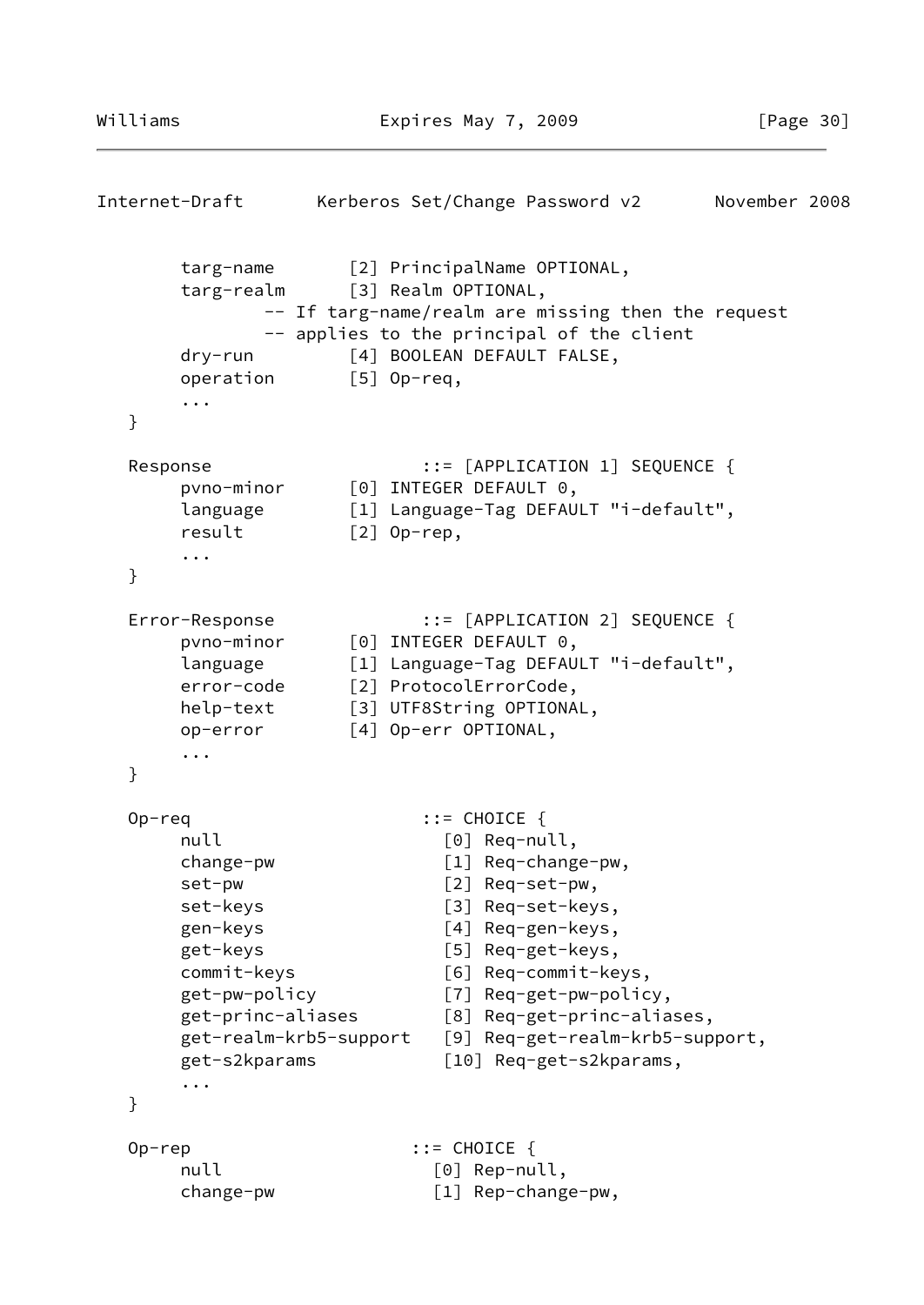```
Internet-Draft Kerberos Set/Change Password v2 November 2008
       targ-name [2] PrincipalName OPTIONAL,
       targ-realm [3] Realm OPTIONAL,
              -- If targ-name/realm are missing then the request
              -- applies to the principal of the client
       dry-run [4] BOOLEAN DEFAULT FALSE,
       operation [5] Op-req,
       ...
   }
  Response ::=[APPLICATION 1] SEQUENCE {} pvno-minor [0] INTEGER DEFAULT 0,
       language [1] Language-Tag DEFAULT "i-default",
      result [2] Op-rep,
       ...
   }
   Error-Response ::= [APPLICATION 2] SEQUENCE {
       pvno-minor [0] INTEGER DEFAULT 0,
       language [1] Language-Tag DEFAULT "i-default",
       error-code [2] ProtocolErrorCode,
       help-text [3] UTF8String OPTIONAL,
       op-error [4] Op-err OPTIONAL,
       ...
   }
   Op-req ::= CHOICE {
      null [0] Req-null,
       change-pw [1] Req-change-pw,
      set-pw \lceil 2 \rceil Req-set-pw,
       set-keys [3] Req-set-keys,
       gen-keys [4] Req-gen-keys,
       get-keys [5] Req-get-keys,
       commit-keys [6] Req-commit-keys,
       get-pw-policy [7] Req-get-pw-policy,
       get-princ-aliases [8] Req-get-princ-aliases,
       get-realm-krb5-support [9] Req-get-realm-krb5-support,
       get-s2kparams [10] Req-get-s2kparams,
       ...
   }
   Op-rep ::= CHOICE {
      null [0] Rep-null,
       change-pw [1] Rep-change-pw,
```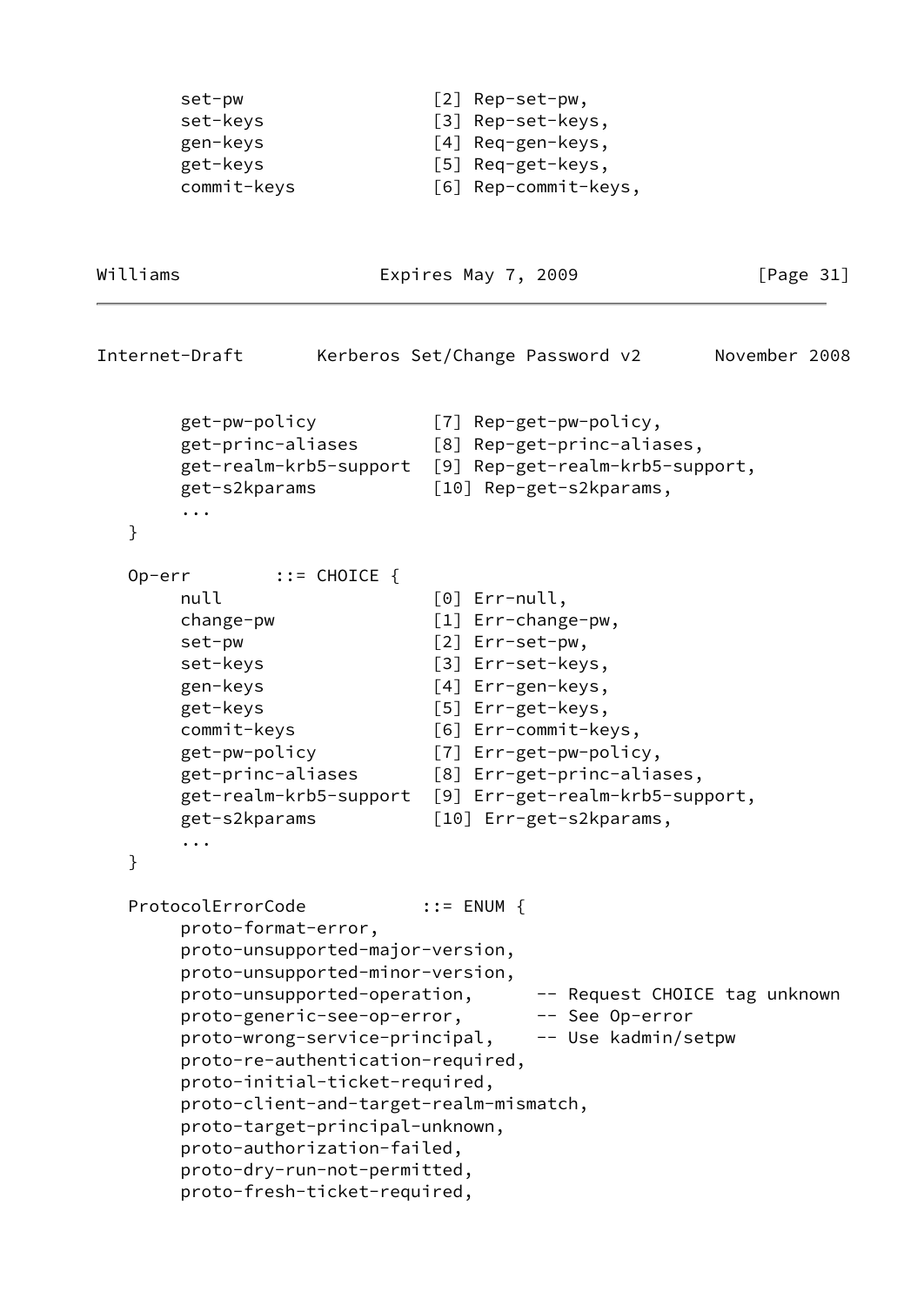```
set-pw \lceil 2 \rceil Rep-set-pw,
set-keys [3] Rep-set-keys,
 gen-keys [4] Req-gen-keys,
 get-keys [5] Req-get-keys,
 commit-keys [6] Rep-commit-keys,
```
Williams **Expires May 7, 2009** [Page 31]

```
Internet-Draft Kerberos Set/Change Password v2 November 2008
        get-pw-policy [7] Rep-get-pw-policy,
        get-princ-aliases [8] Rep-get-princ-aliases,
        get-realm-krb5-support [9] Rep-get-realm-krb5-support,
        get-s2kparams [10] Rep-get-s2kparams,
        ...
   }
   Op-err ::= CHOICE {
       null [0] Err-null,
        change-pw [1] Err-change-pw,
       set-pw \begin{bmatrix} 2 \end{bmatrix} Err-set-pw,
       set-keys [3] Err-set-keys,
        gen-keys [4] Err-gen-keys,
        get-keys [5] Err-get-keys,
        commit-keys [6] Err-commit-keys,
        get-pw-policy [7] Err-get-pw-policy,
        get-princ-aliases [8] Err-get-princ-aliases,
        get-realm-krb5-support [9] Err-get-realm-krb5-support,
        get-s2kparams [10] Err-get-s2kparams,
        ...
   }
  ProtocolErrorCode ::= ENUM {
        proto-format-error,
        proto-unsupported-major-version,
        proto-unsupported-minor-version,
       proto-unsupported-operation, -- Request CHOICE tag unknown
       proto-generic-see-op-error, -- See Op-error
        proto-wrong-service-principal, -- Use kadmin/setpw
        proto-re-authentication-required,
        proto-initial-ticket-required,
        proto-client-and-target-realm-mismatch,
        proto-target-principal-unknown,
        proto-authorization-failed,
        proto-dry-run-not-permitted,
        proto-fresh-ticket-required,
```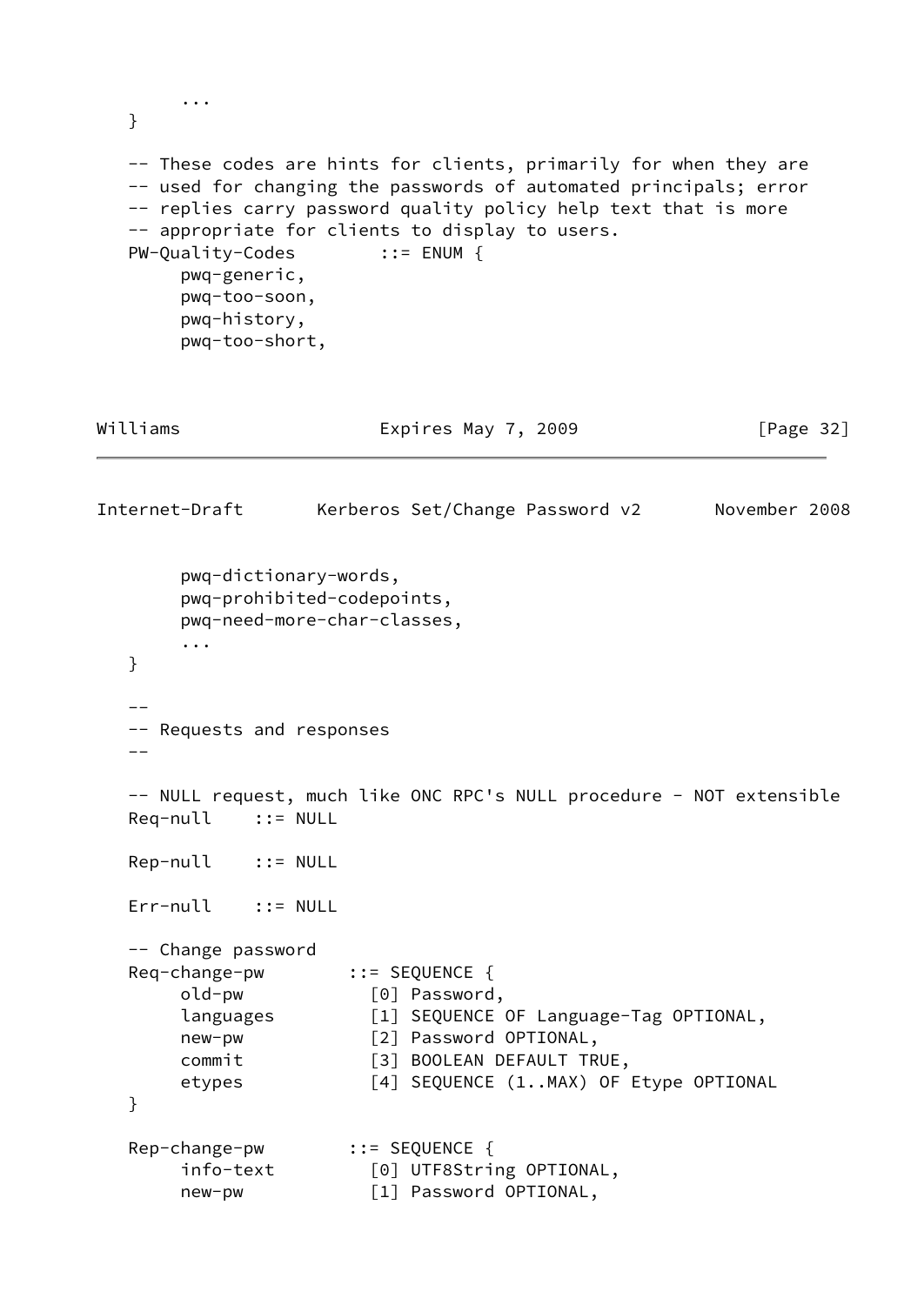```
 ...
   }
   -- These codes are hints for clients, primarily for when they are
   -- used for changing the passwords of automated principals; error
   -- replies carry password quality policy help text that is more
   -- appropriate for clients to display to users.
   PW-Quality-Codes ::= ENUM {
        pwq-generic,
        pwq-too-soon,
        pwq-history,
        pwq-too-short,
Williams Expires May 7, 2009 [Page 32]
Internet-Draft Kerberos Set/Change Password v2 November 2008
        pwq-dictionary-words,
        pwq-prohibited-codepoints,
        pwq-need-more-char-classes,
        ...
   }
  - - -- Requests and responses
  --- NULL request, much like ONC RPC's NULL procedure - NOT extensible
   Req-null ::= NULL
   Rep-null ::= NULL
   Err-null ::= NULL
   -- Change password
   Req-change-pw ::= SEQUENCE {
        old-pw [0] Password,
        languages [1] SEQUENCE OF Language-Tag OPTIONAL,
        new-pw [2] Password OPTIONAL,
       commit [3] BOOLEAN DEFAULT TRUE,
       etypes [4] SEQUENCE (1..MAX) OF Etype OPTIONAL
   }
   Rep-change-pw ::= SEQUENCE {
        info-text [0] UTF8String OPTIONAL,
        new-pw [1] Password OPTIONAL,
```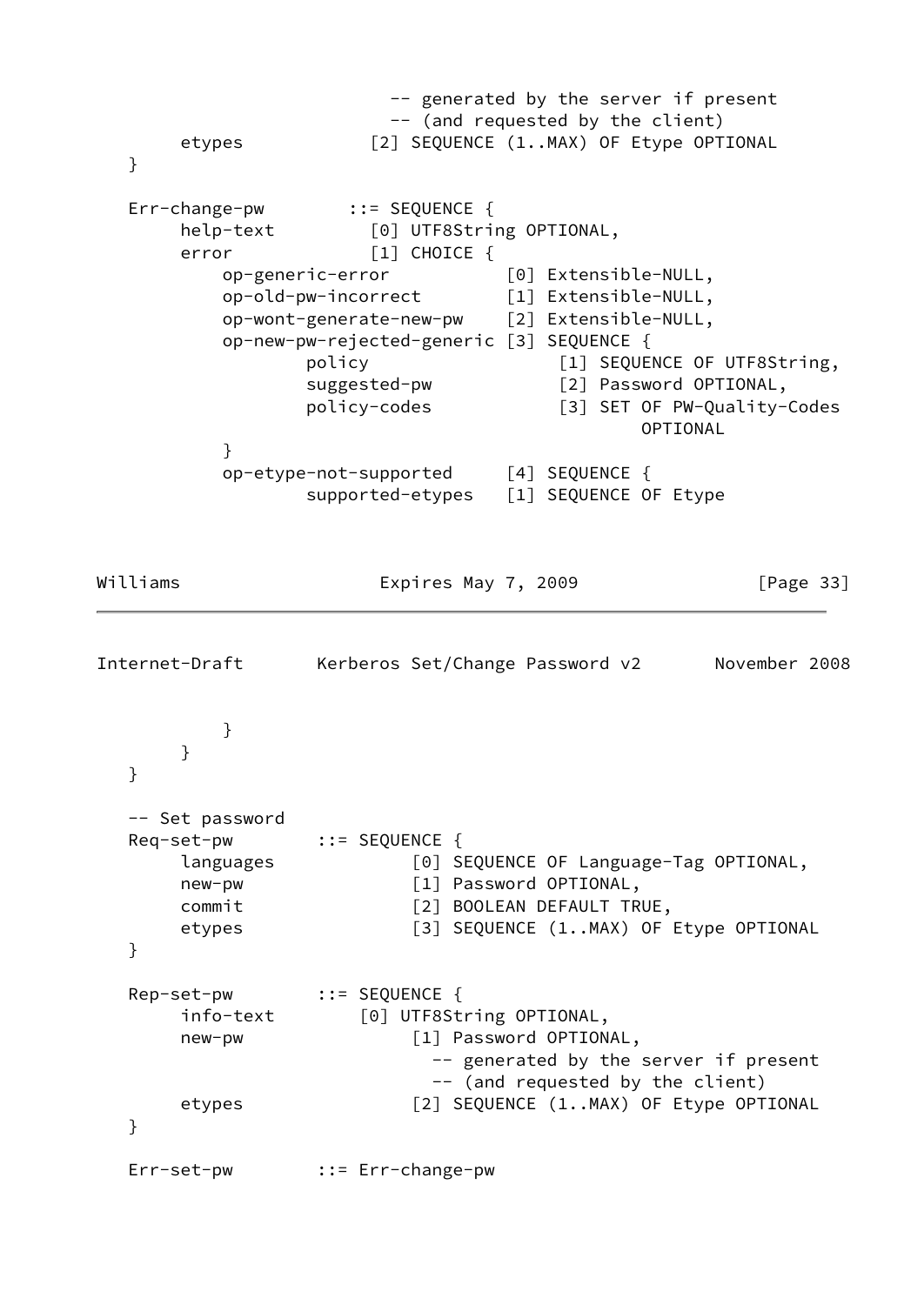```
 -- generated by the server if present
                        -- (and requested by the client)
       etypes [2] SEQUENCE (1..MAX) OF Etype OPTIONAL
   }
   Err-change-pw ::= SEQUENCE {
       help-text [0] UTF8String OPTIONAL,
      error [1] CHOICE {
           op-generic-error [0] Extensible-NULL,
           op-old-pw-incorrect [1] Extensible-NULL,
           op-wont-generate-new-pw [2] Extensible-NULL,
           op-new-pw-rejected-generic [3] SEQUENCE {
                 policy [1] SEQUENCE OF UTF8String,
                  suggested-pw [2] Password OPTIONAL,
                  policy-codes [3] SET OF PW-Quality-Codes
                                             OPTIONAL
 }
           op-etype-not-supported [4] SEQUENCE {
                 supported-etypes [1] SEQUENCE OF Etype
Williams Expires May 7, 2009 [Page 33]
Internet-Draft Kerberos Set/Change Password v2 November 2008
 }
       }
   }
   -- Set password
   Req-set-pw ::= SEQUENCE {
       languages [0] SEQUENCE OF Language-Tag OPTIONAL,
      new-pw \begin{bmatrix} 1 \end{bmatrix} Password OPTIONAL,
       commit [2] BOOLEAN DEFAULT TRUE,
      etypes [3] SEQUENCE (1..MAX) OF Etype OPTIONAL
   }
   Rep-set-pw ::= SEQUENCE {
       info-text [0] UTF8String OPTIONAL,
       new-pw [1] Password OPTIONAL,
                            -- generated by the server if present
                            -- (and requested by the client)
      etypes [2] SEQUENCE (1..MAX) OF Etype OPTIONAL
   }
   Err-set-pw ::= Err-change-pw
```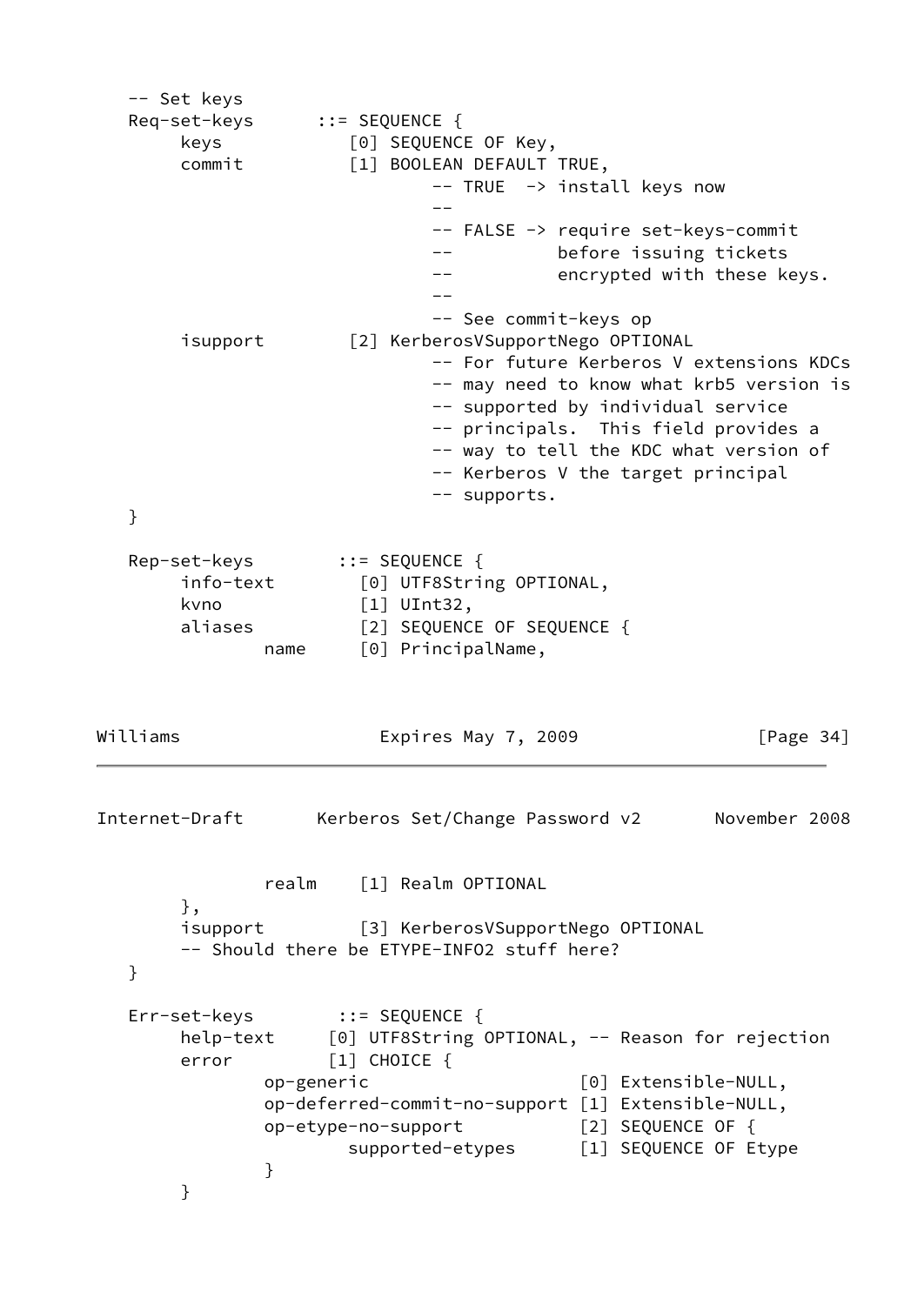-- Set keys Req-set-keys ::= SEQUENCE { keys [0] SEQUENCE OF Key, commit [1] BOOLEAN DEFAULT TRUE, -- TRUE -> install keys now -- -- FALSE -> require set-keys-commit -- before issuing tickets -- encrypted with these keys. -- -- See commit-keys op isupport [2] KerberosVSupportNego OPTIONAL -- For future Kerberos V extensions KDCs -- may need to know what krb5 version is -- supported by individual service -- principals. This field provides a -- way to tell the KDC what version of -- Kerberos V the target principal -- supports. } Rep-set-keys ::= SEQUENCE { info-text [0] UTF8String OPTIONAL, kvno [1] UInt32, aliases [2] SEQUENCE OF SEQUENCE { name [0] PrincipalName, Williams **Expires May 7, 2009** [Page 34] Internet-Draft Kerberos Set/Change Password v2 November 2008 realm [1] Realm OPTIONAL }, isupport [3] KerberosVSupportNego OPTIONAL -- Should there be ETYPE-INFO2 stuff here? } Err-set-keys ::= SEQUENCE { help-text [0] UTF8String OPTIONAL, -- Reason for rejection error [1] CHOICE { op-generic [0] Extensible-NULL, op-deferred-commit-no-support [1] Extensible-NULL, op-etype-no-support [2] SEQUENCE OF { supported-etypes [1] SEQUENCE OF Etype } }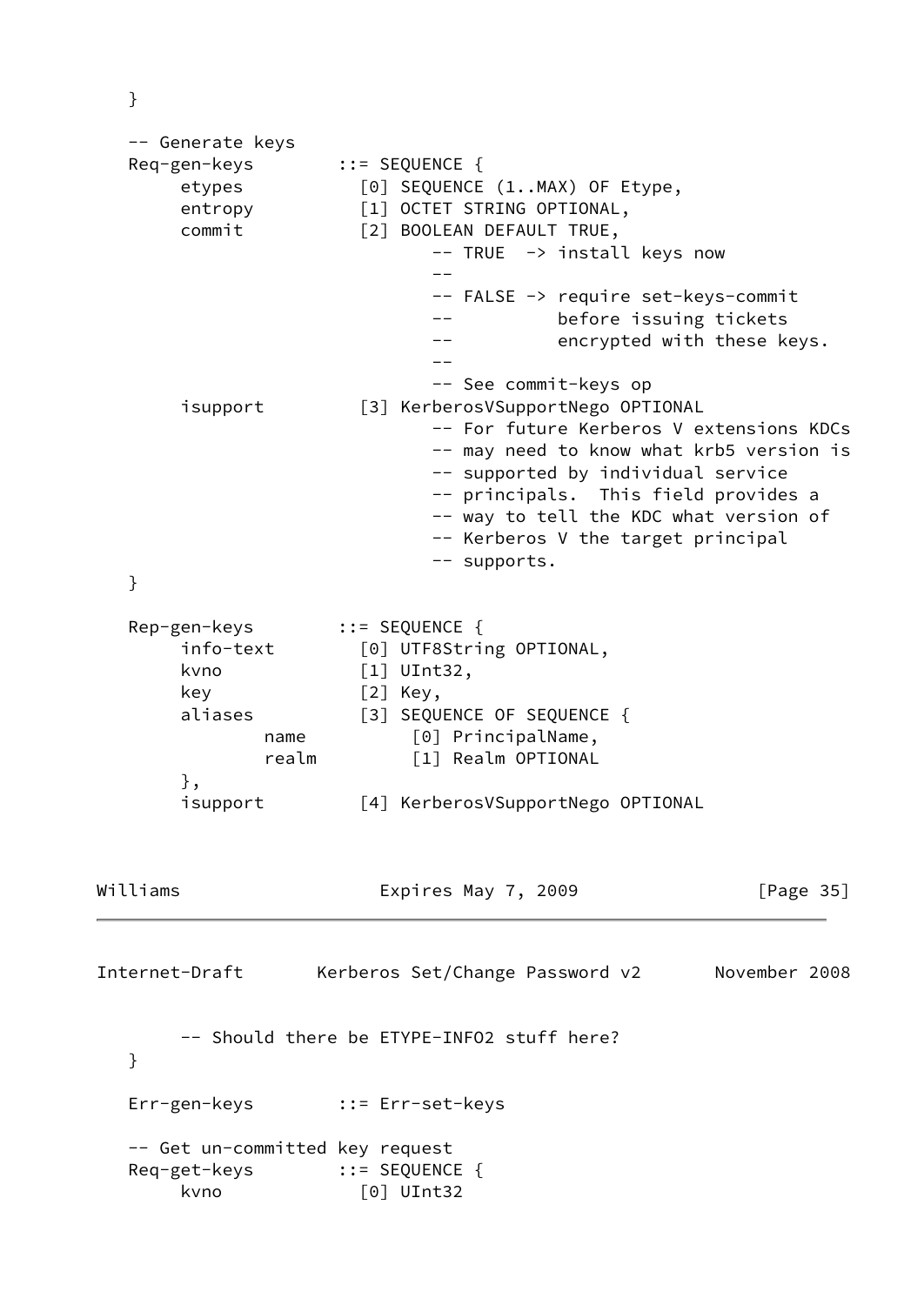}

```
 -- Generate keys
   Req-gen-keys ::= SEQUENCE {
       etypes [0] SEQUENCE (1..MAX) OF Etype,
      entropy [1] OCTET STRING OPTIONAL,
       commit [2] BOOLEAN DEFAULT TRUE,
                           -- TRUE -> install keys now
 --
                           -- FALSE -> require set-keys-commit
                           -- before issuing tickets
                          -- encrypted with these keys.
 --
                           -- See commit-keys op
       isupport [3] KerberosVSupportNego OPTIONAL
                           -- For future Kerberos V extensions KDCs
                           -- may need to know what krb5 version is
                           -- supported by individual service
                           -- principals. This field provides a
                           -- way to tell the KDC what version of
                           -- Kerberos V the target principal
                           -- supports.
   }
   Rep-gen-keys ::= SEQUENCE {
       info-text [0] UTF8String OPTIONAL,
       kvno [1] UInt32,
       key [2] Key,
      aliases [3] SEQUENCE OF SEQUENCE {
             name [0] PrincipalName,
              realm [1] Realm OPTIONAL
       },
       isupport [4] KerberosVSupportNego OPTIONAL
Williams Expires May 7, 2009 [Page 35]
Internet-Draft Kerberos Set/Change Password v2 November 2008
       -- Should there be ETYPE-INFO2 stuff here?
   }
   Err-gen-keys ::= Err-set-keys
   -- Get un-committed key request
   Req-get-keys ::= SEQUENCE {
       kvno [0] UInt32
```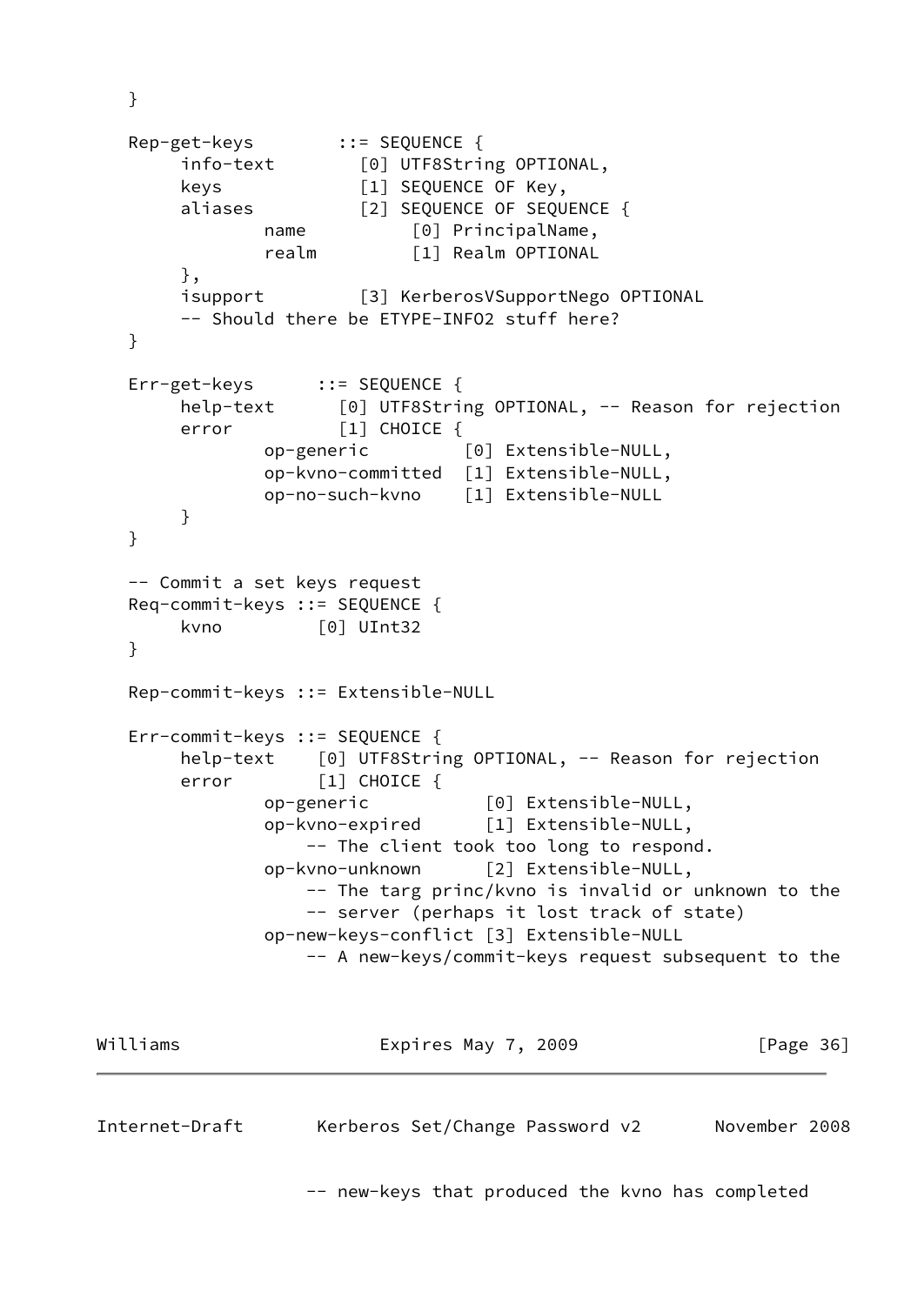```
 Rep-get-keys ::= SEQUENCE {
        info-text [0] UTF8String OPTIONAL,
        keys [1] SEQUENCE OF Key,
        aliases [2] SEQUENCE OF SEQUENCE {
              name [0] PrincipalName,
               realm [1] Realm OPTIONAL
        },
        isupport [3] KerberosVSupportNego OPTIONAL
        -- Should there be ETYPE-INFO2 stuff here?
   }
   Err-get-keys ::= SEQUENCE {
       help-text [0] UTF8String OPTIONAL, -- Reason for rejection
       error [1] CHOICE {
               op-generic [0] Extensible-NULL,
               op-kvno-committed [1] Extensible-NULL,
               op-no-such-kvno [1] Extensible-NULL
        }
   }
   -- Commit a set keys request
   Req-commit-keys ::= SEQUENCE {
        kvno [0] UInt32
   }
   Rep-commit-keys ::= Extensible-NULL
   Err-commit-keys ::= SEQUENCE {
       help-text [0] UTF8String OPTIONAL, -- Reason for rejection
       error [1] CHOICE {
               op-generic [0] Extensible-NULL,
               op-kvno-expired [1] Extensible-NULL,
                   -- The client took too long to respond.
               op-kvno-unknown [2] Extensible-NULL,
                   -- The targ princ/kvno is invalid or unknown to the
                   -- server (perhaps it lost track of state)
               op-new-keys-conflict [3] Extensible-NULL
                   -- A new-keys/commit-keys request subsequent to the
Williams Expires May 7, 2009 [Page 36]
```
}

Internet-Draft Kerberos Set/Change Password v2 November 2008

-- new-keys that produced the kvno has completed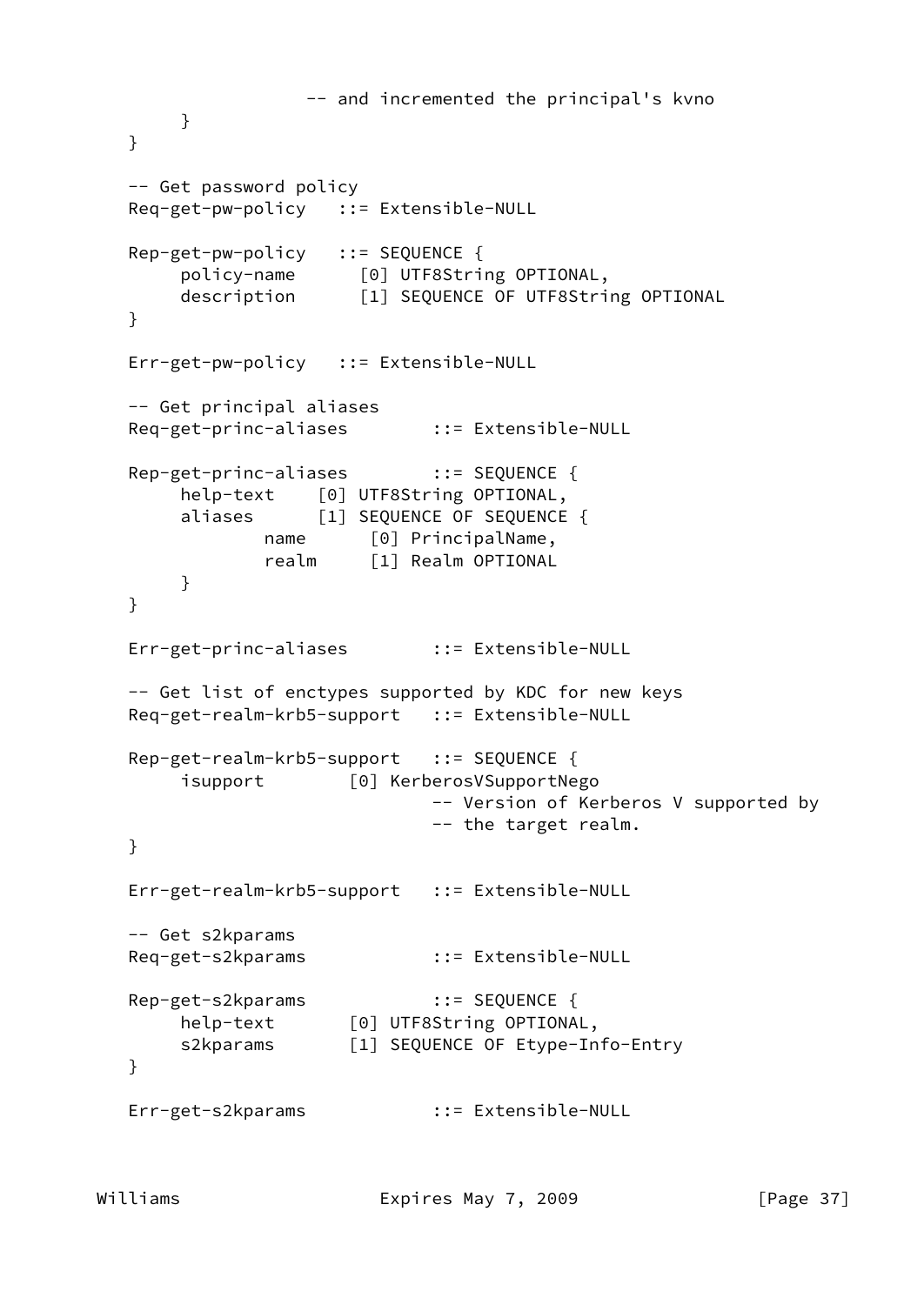```
 -- and incremented the principal's kvno
        }
   }
   -- Get password policy
   Req-get-pw-policy ::= Extensible-NULL
   Rep-get-pw-policy ::= SEQUENCE {
 policy-name [0] UTF8String OPTIONAL,
 description [1] SEQUENCE OF UTF8String OPTIONAL
   }
   Err-get-pw-policy ::= Extensible-NULL
   -- Get principal aliases
   Req-get-princ-aliases ::= Extensible-NULL
   Rep-get-princ-aliases ::= SEQUENCE {
        help-text [0] UTF8String OPTIONAL,
       aliases [1] SEQUENCE OF SEQUENCE {
              name [0] PrincipalName,
               realm [1] Realm OPTIONAL
        }
   }
   Err-get-princ-aliases ::= Extensible-NULL
   -- Get list of enctypes supported by KDC for new keys
   Req-get-realm-krb5-support ::= Extensible-NULL
  Rep-get-realm-krb5-support ::= SEQUENCE {
        isupport [0] KerberosVSupportNego
                              -- Version of Kerberos V supported by
                              -- the target realm.
   }
   Err-get-realm-krb5-support ::= Extensible-NULL
   -- Get s2kparams
   Req-get-s2kparams ::= Extensible-NULL
  Rep-get-s2kparams ::= SEQUENCE {
        help-text [0] UTF8String OPTIONAL,
        s2kparams [1] SEQUENCE OF Etype-Info-Entry
   }
   Err-get-s2kparams ::= Extensible-NULL
```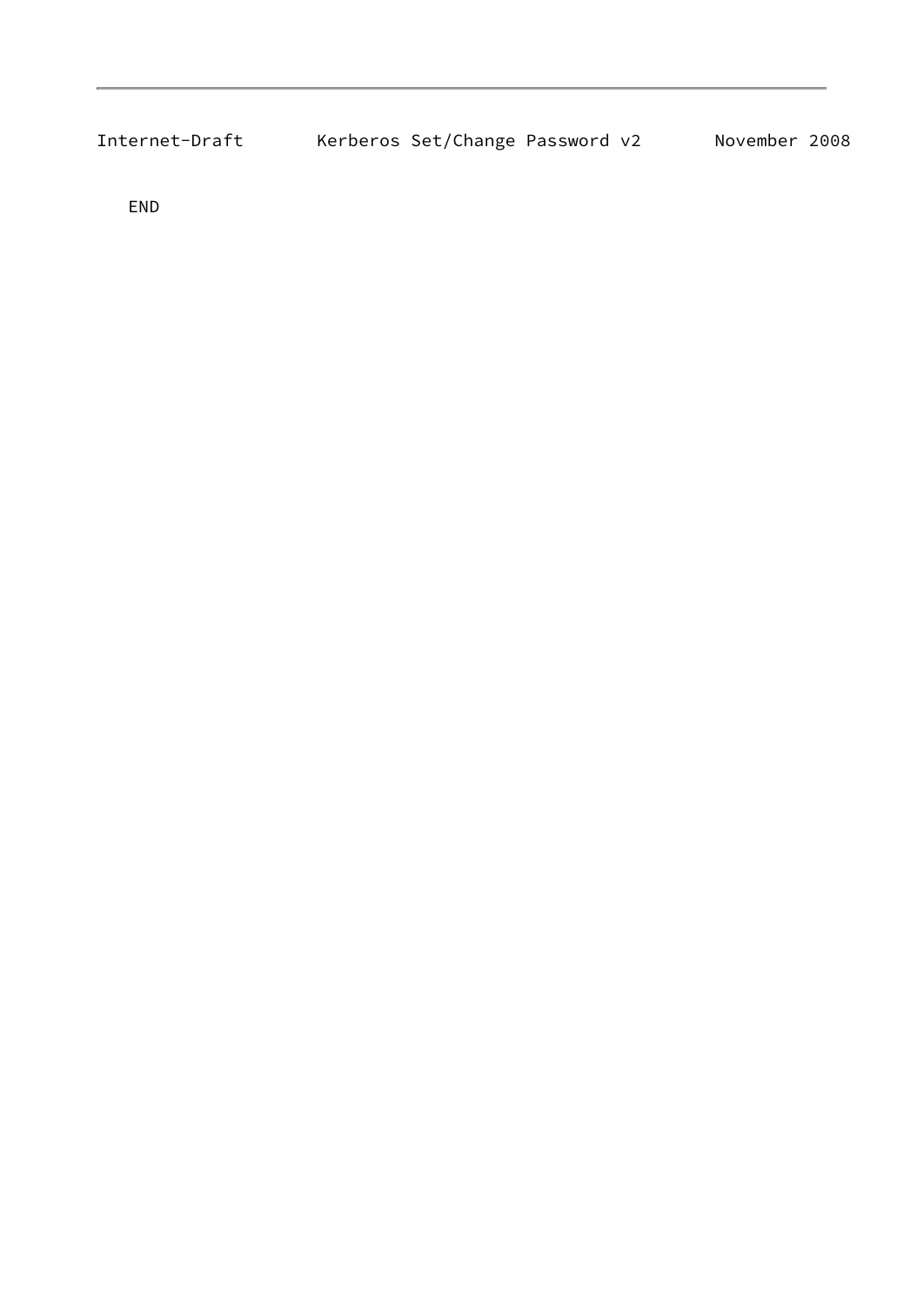| Internet-Draft | Kerberos Set/Change Password v2 |  | November 2008 |  |
|----------------|---------------------------------|--|---------------|--|
|                |                                 |  |               |  |

END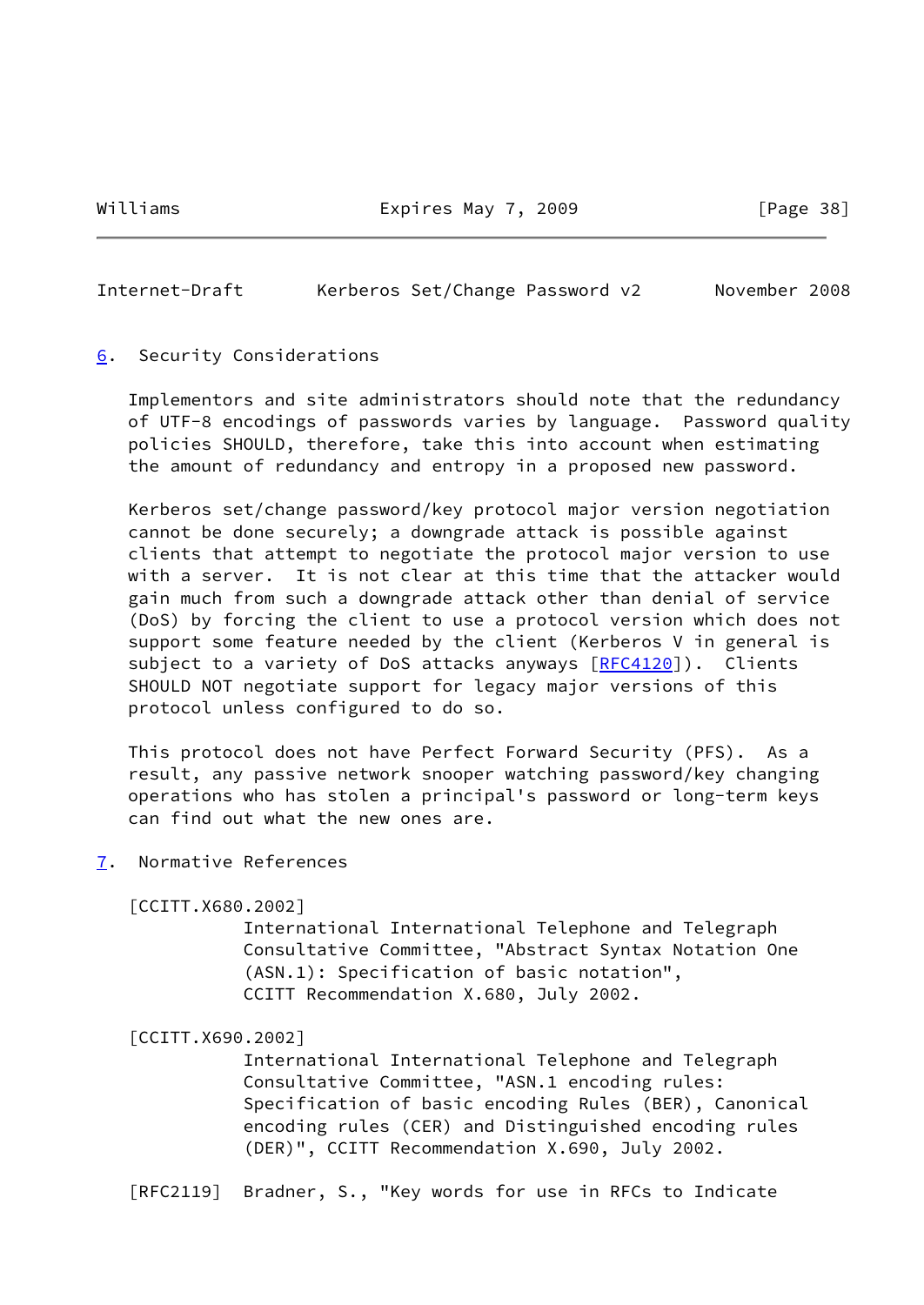Williams **Expires May 7, 2009** [Page 38]

<span id="page-43-1"></span>Internet-Draft Kerberos Set/Change Password v2 November 2008

#### <span id="page-43-0"></span>[6](#page-43-0). Security Considerations

 Implementors and site administrators should note that the redundancy of UTF-8 encodings of passwords varies by language. Password quality policies SHOULD, therefore, take this into account when estimating the amount of redundancy and entropy in a proposed new password.

 Kerberos set/change password/key protocol major version negotiation cannot be done securely; a downgrade attack is possible against clients that attempt to negotiate the protocol major version to use with a server. It is not clear at this time that the attacker would gain much from such a downgrade attack other than denial of service (DoS) by forcing the client to use a protocol version which does not support some feature needed by the client (Kerberos V in general is subject to a variety of DoS attacks anyways [\[RFC4120](https://datatracker.ietf.org/doc/pdf/rfc4120)]). Clients SHOULD NOT negotiate support for legacy major versions of this protocol unless configured to do so.

 This protocol does not have Perfect Forward Security (PFS). As a result, any passive network snooper watching password/key changing operations who has stolen a principal's password or long-term keys can find out what the new ones are.

<span id="page-43-2"></span>[7](#page-43-2). Normative References

<span id="page-43-3"></span>[CCITT.X680.2002]

 International International Telephone and Telegraph Consultative Committee, "Abstract Syntax Notation One (ASN.1): Specification of basic notation", CCITT Recommendation X.680, July 2002.

<span id="page-43-4"></span>[CCITT.X690.2002]

 International International Telephone and Telegraph Consultative Committee, "ASN.1 encoding rules: Specification of basic encoding Rules (BER), Canonical encoding rules (CER) and Distinguished encoding rules (DER)", CCITT Recommendation X.690, July 2002.

[RFC2119] Bradner, S., "Key words for use in RFCs to Indicate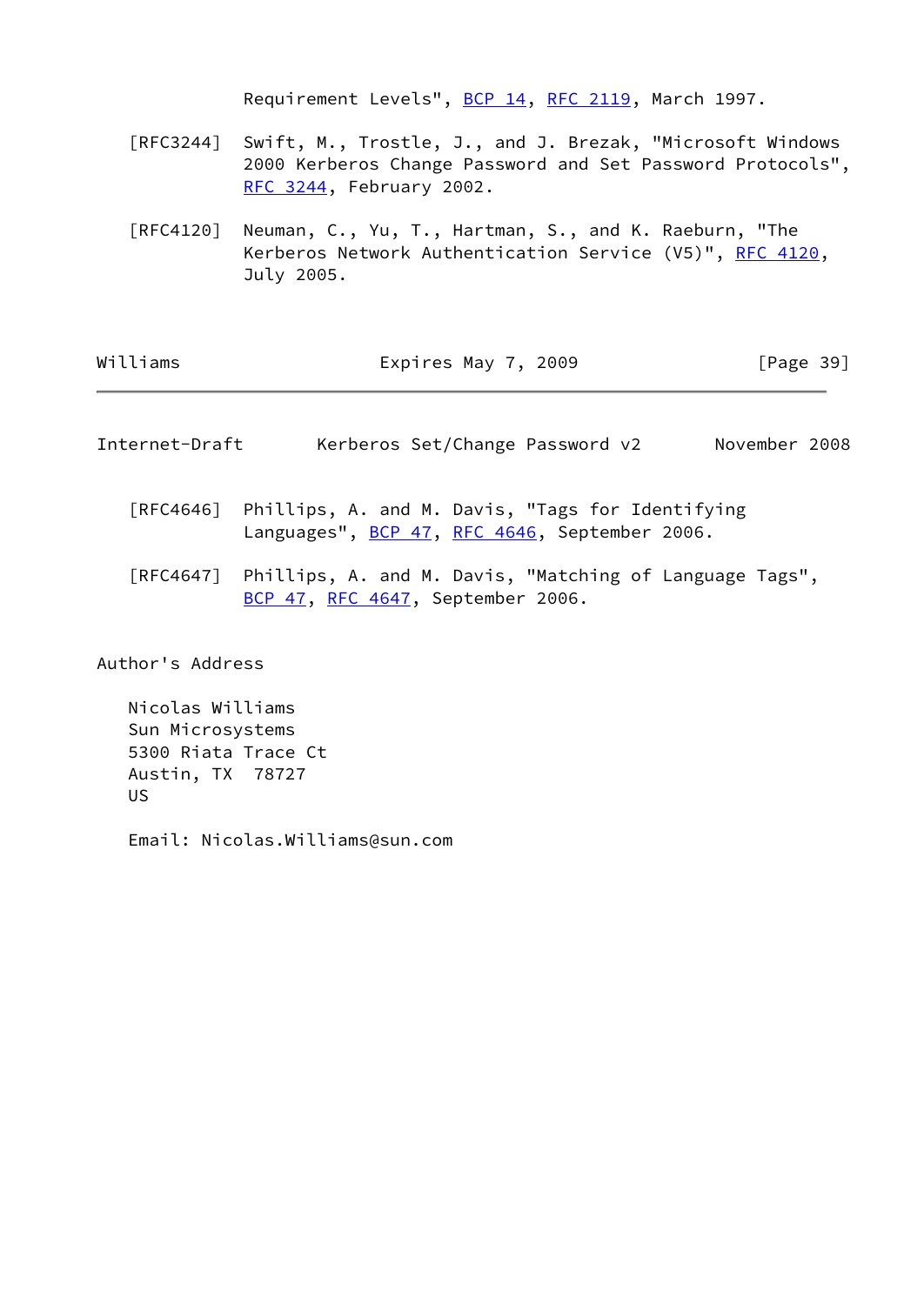Requirement Levels", [BCP 14](https://datatracker.ietf.org/doc/pdf/bcp14), [RFC 2119](https://datatracker.ietf.org/doc/pdf/rfc2119), March 1997.

- [RFC3244] Swift, M., Trostle, J., and J. Brezak, "Microsoft Windows 2000 Kerberos Change Password and Set Password Protocols", [RFC 3244,](https://datatracker.ietf.org/doc/pdf/rfc3244) February 2002.
- [RFC4120] Neuman, C., Yu, T., Hartman, S., and K. Raeburn, "The Kerberos Network Authentication Service (V5)", [RFC 4120](https://datatracker.ietf.org/doc/pdf/rfc4120), July 2005.

| Williams | Expires May 7, 2009 | [Page 39] |
|----------|---------------------|-----------|
|----------|---------------------|-----------|

<span id="page-44-0"></span>

| Internet-Draft |  | Kerberos Set/Change Password v2 |  |  | November 2008 |  |
|----------------|--|---------------------------------|--|--|---------------|--|
|----------------|--|---------------------------------|--|--|---------------|--|

- [RFC4646] Phillips, A. and M. Davis, "Tags for Identifying Languages", [BCP 47](https://datatracker.ietf.org/doc/pdf/bcp47), [RFC 4646,](https://datatracker.ietf.org/doc/pdf/rfc4646) September 2006.
- [RFC4647] Phillips, A. and M. Davis, "Matching of Language Tags", [BCP 47](https://datatracker.ietf.org/doc/pdf/bcp47), [RFC 4647,](https://datatracker.ietf.org/doc/pdf/rfc4647) September 2006.

Author's Address

 Nicolas Williams Sun Microsystems 5300 Riata Trace Ct Austin, TX 78727 US

Email: Nicolas.Williams@sun.com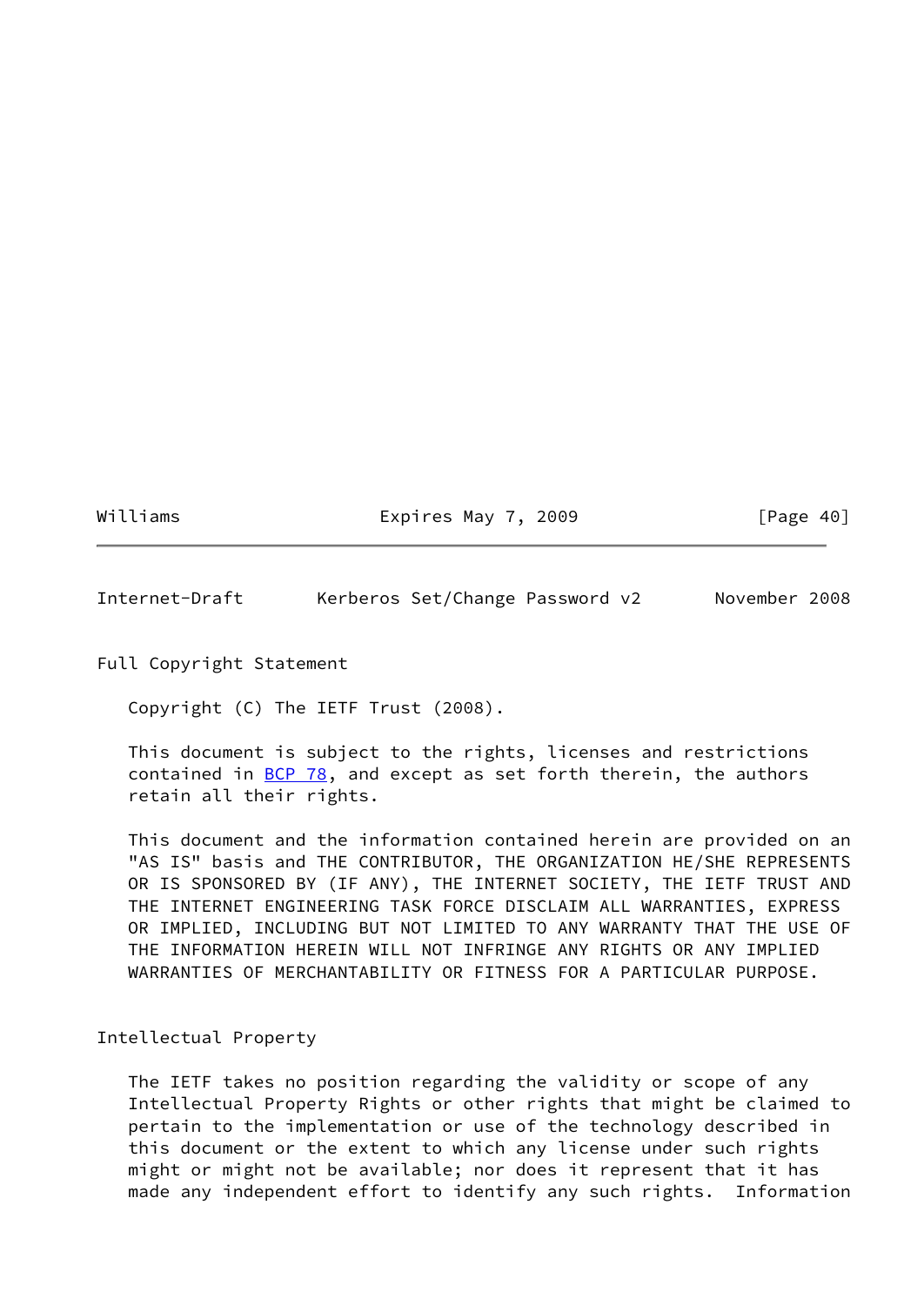Williams **Expires May 7, 2009** [Page 40]

<span id="page-45-0"></span>Internet-Draft Kerberos Set/Change Password v2 November 2008

Full Copyright Statement

Copyright (C) The IETF Trust (2008).

 This document is subject to the rights, licenses and restrictions contained in  $\underline{BCP}$  78, and except as set forth therein, the authors retain all their rights.

 This document and the information contained herein are provided on an "AS IS" basis and THE CONTRIBUTOR, THE ORGANIZATION HE/SHE REPRESENTS OR IS SPONSORED BY (IF ANY), THE INTERNET SOCIETY, THE IETF TRUST AND THE INTERNET ENGINEERING TASK FORCE DISCLAIM ALL WARRANTIES, EXPRESS OR IMPLIED, INCLUDING BUT NOT LIMITED TO ANY WARRANTY THAT THE USE OF THE INFORMATION HEREIN WILL NOT INFRINGE ANY RIGHTS OR ANY IMPLIED WARRANTIES OF MERCHANTABILITY OR FITNESS FOR A PARTICULAR PURPOSE.

# Intellectual Property

 The IETF takes no position regarding the validity or scope of any Intellectual Property Rights or other rights that might be claimed to pertain to the implementation or use of the technology described in this document or the extent to which any license under such rights might or might not be available; nor does it represent that it has made any independent effort to identify any such rights. Information